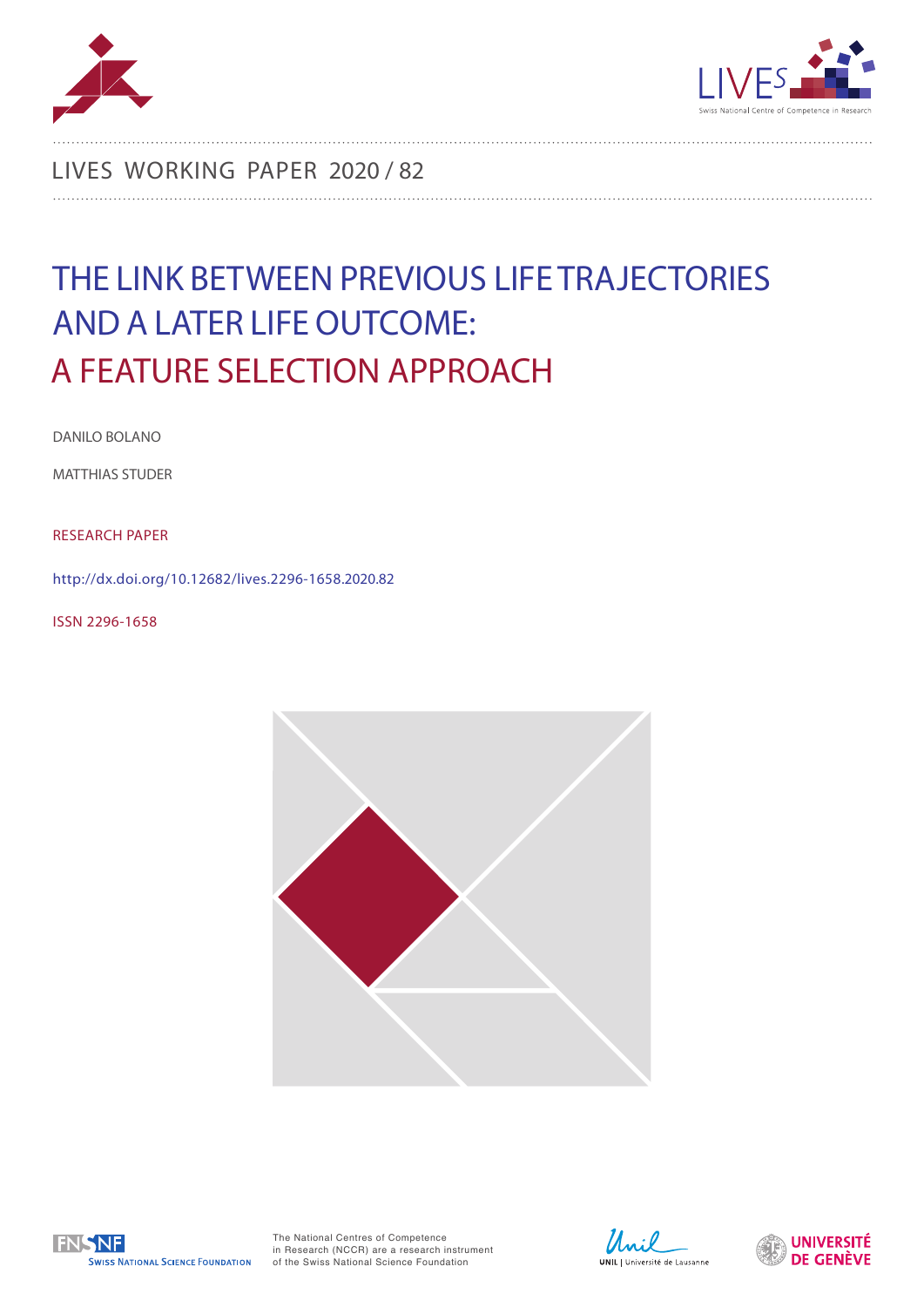



LIVES WORKING PAPER 2020 / 82

# THE LINK BETWEEN PREVIOUS LIFE TRAJECTORIES AND A LATER LIFE OUTCOME: A FEATURE SELECTION APPROACH

DANILO BOLANO

MATTHIAS STUDER

RESEARCH PAPER

http://dx.doi.org/10.12682/lives.2296-1658.2020.82

ISSN 2296-1658





The National Centres of Competence in Research (NCCR) are a research instrument of the Swiss National Science Foundation



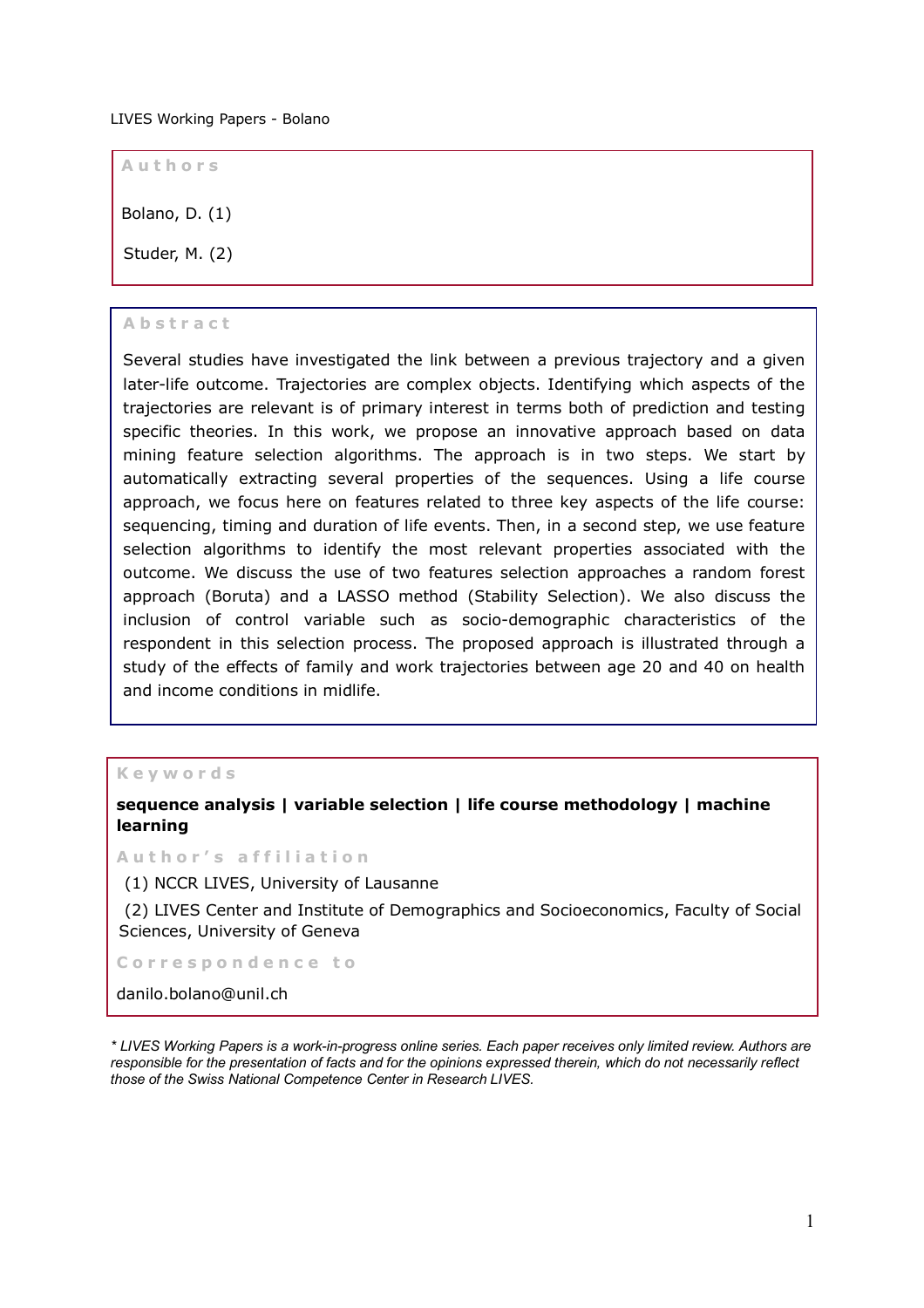#### LIVES Working Papers - Bolano

**Aut h ors**

Bolano, D. (1)

Studer, M. (2)

#### **Abstract**

Several studies have investigated the link between a previous trajectory and a given later-life outcome. Trajectories are complex objects. Identifying which aspects of the trajectories are relevant is of primary interest in terms both of prediction and testing specific theories. In this work, we propose an innovative approach based on data mining feature selection algorithms. The approach is in two steps. We start by automatically extracting several properties of the sequences. Using a life course approach, we focus here on features related to three key aspects of the life course: sequencing, timing and duration of life events. Then, in a second step, we use feature selection algorithms to identify the most relevant properties associated with the outcome. We discuss the use of two features selection approaches a random forest approach (Boruta) and a LASSO method (Stability Selection). We also discuss the inclusion of control variable such as socio-demographic characteristics of the respondent in this selection process. The proposed approach is illustrated through a study of the effects of family and work trajectories between age 20 and 40 on health and income conditions in midlife.

#### **Keywords**

**sequence analysis | variable selection | life course methodology | machine learning** 

**Author's affiliation**

(1) NCCR LIVES, University of Lausanne

(2) LIVES Center and Institute of Demographics and Socioeconomics, Faculty of Social Sciences, University of Geneva

**C orrespondence to**

danilo.bolano@unil.ch

*\* LIVES Working Papers is a work-in-progress online series. Each paper receives only limited review. Authors are responsible for the presentation of facts and for the opinions expressed therein, which do not necessarily reflect those of the Swiss National Competence Center in Research LIVES.*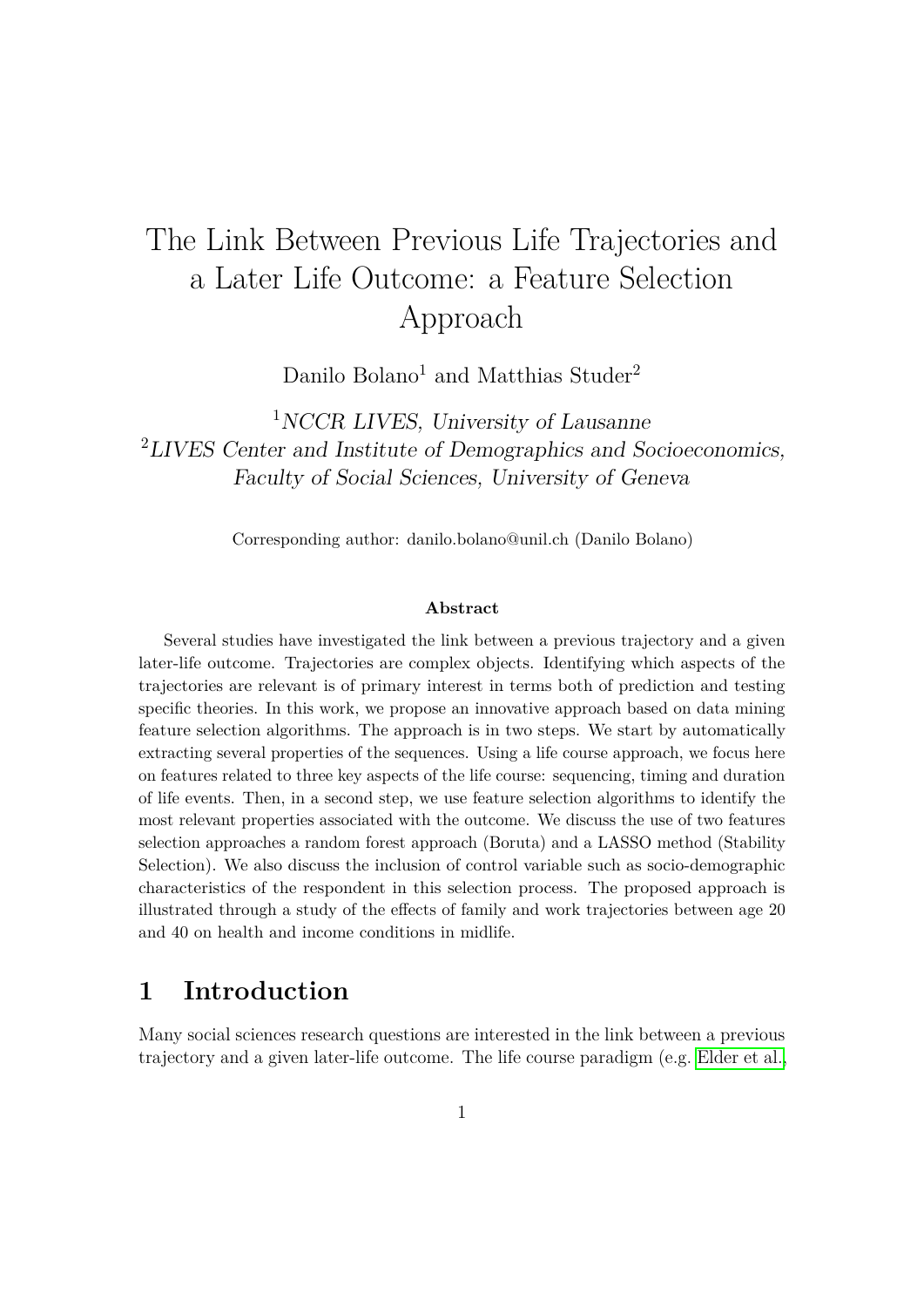# The Link Between Previous Life Trajectories and a Later Life Outcome: a Feature Selection Approach

Danilo Bolano<sup>1</sup> and Matthias Studer<sup>2</sup>

<sup>1</sup>NCCR LIVES, University of Lausanne <sup>2</sup>LIVES Center and Institute of Demographics and Socioeconomics, Faculty of Social Sciences, University of Geneva

Corresponding author: danilo.bolano@unil.ch (Danilo Bolano)

#### **Abstract**

Several studies have investigated the link between a previous trajectory and a given later-life outcome. Trajectories are complex objects. Identifying which aspects of the trajectories are relevant is of primary interest in terms both of prediction and testing specific theories. In this work, we propose an innovative approach based on data mining feature selection algorithms. The approach is in two steps. We start by automatically extracting several properties of the sequences. Using a life course approach, we focus here on features related to three key aspects of the life course: sequencing, timing and duration of life events. Then, in a second step, we use feature selection algorithms to identify the most relevant properties associated with the outcome. We discuss the use of two features selection approaches a random forest approach (Boruta) and a LASSO method (Stability Selection). We also discuss the inclusion of control variable such as socio-demographic characteristics of the respondent in this selection process. The proposed approach is illustrated through a study of the effects of family and work trajectories between age 20 and 40 on health and income conditions in midlife.

## **1 Introduction**

Many social sciences research questions are interested in the link between a previous trajectory and a given later-life outcome. The life course paradigm (e.g. [Elder et al.,](#page-29-0)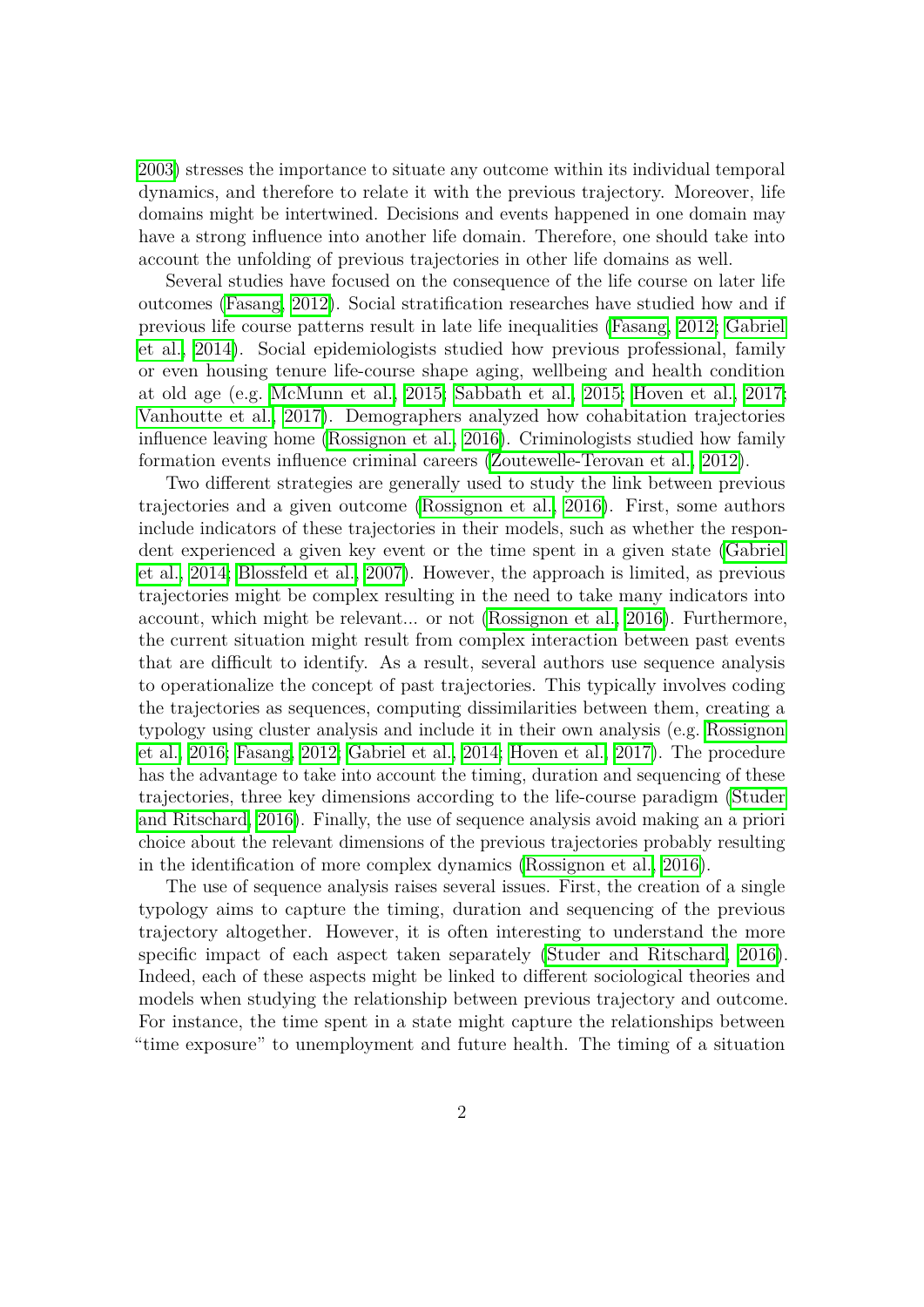[2003\)](#page-29-0) stresses the importance to situate any outcome within its individual temporal dynamics, and therefore to relate it with the previous trajectory. Moreover, life domains might be intertwined. Decisions and events happened in one domain may have a strong influence into another life domain. Therefore, one should take into account the unfolding of previous trajectories in other life domains as well.

Several studies have focused on the consequence of the life course on later life outcomes [\(Fasang, 2012\)](#page-29-1). Social stratification researches have studied how and if previous life course patterns result in late life inequalities [\(Fasang, 2012;](#page-29-1) [Gabriel](#page-29-2) [et al., 2014\)](#page-29-2). Social epidemiologists studied how previous professional, family or even housing tenure life-course shape aging, wellbeing and health condition at old age (e.g. [McMunn et al., 2015;](#page-31-0) [Sabbath et al., 2015;](#page-32-0) [Hoven et al., 2017;](#page-30-0) [Vanhoutte et al., 2017\)](#page-33-0). Demographers analyzed how cohabitation trajectories influence leaving home [\(Rossignon et al., 2016\)](#page-32-1). Criminologists studied how family formation events influence criminal careers [\(Zoutewelle-Terovan et al., 2012\)](#page-33-1).

Two different strategies are generally used to study the link between previous trajectories and a given outcome [\(Rossignon et al., 2016\)](#page-32-1). First, some authors include indicators of these trajectories in their models, such as whether the respondent experienced a given key event or the time spent in a given state [\(Gabriel](#page-29-2) [et al., 2014;](#page-29-2) [Blossfeld et al., 2007\)](#page-28-0). However, the approach is limited, as previous trajectories might be complex resulting in the need to take many indicators into account, which might be relevant... or not  $(Rossignon et al.]$  2016). Furthermore, the current situation might result from complex interaction between past events that are difficult to identify. As a result, several authors use sequence analysis to operationalize the concept of past trajectories. This typically involves coding the trajectories as sequences, computing dissimilarities between them, creating a typology using cluster analysis and include it in their own analysis (e.g. [Rossignon](#page-32-1) [et al., 2016;](#page-32-1) [Fasang, 2012;](#page-29-1) [Gabriel et al., 2014;](#page-29-2) [Hoven et al., 2017\)](#page-30-0). The procedure has the advantage to take into account the timing, duration and sequencing of these trajectories, three key dimensions according to the life-course paradigm [\(Studer](#page-33-2) [and Ritschard, 2016\)](#page-33-2). Finally, the use of sequence analysis avoid making an a priori choice about the relevant dimensions of the previous trajectories probably resulting in the identification of more complex dynamics [\(Rossignon et al., 2016\)](#page-32-1).

The use of sequence analysis raises several issues. First, the creation of a single typology aims to capture the timing, duration and sequencing of the previous trajectory altogether. However, it is often interesting to understand the more specific impact of each aspect taken separately [\(Studer and Ritschard, 2016\)](#page-33-2). Indeed, each of these aspects might be linked to different sociological theories and models when studying the relationship between previous trajectory and outcome. For instance, the time spent in a state might capture the relationships between "time exposure" to unemployment and future health. The timing of a situation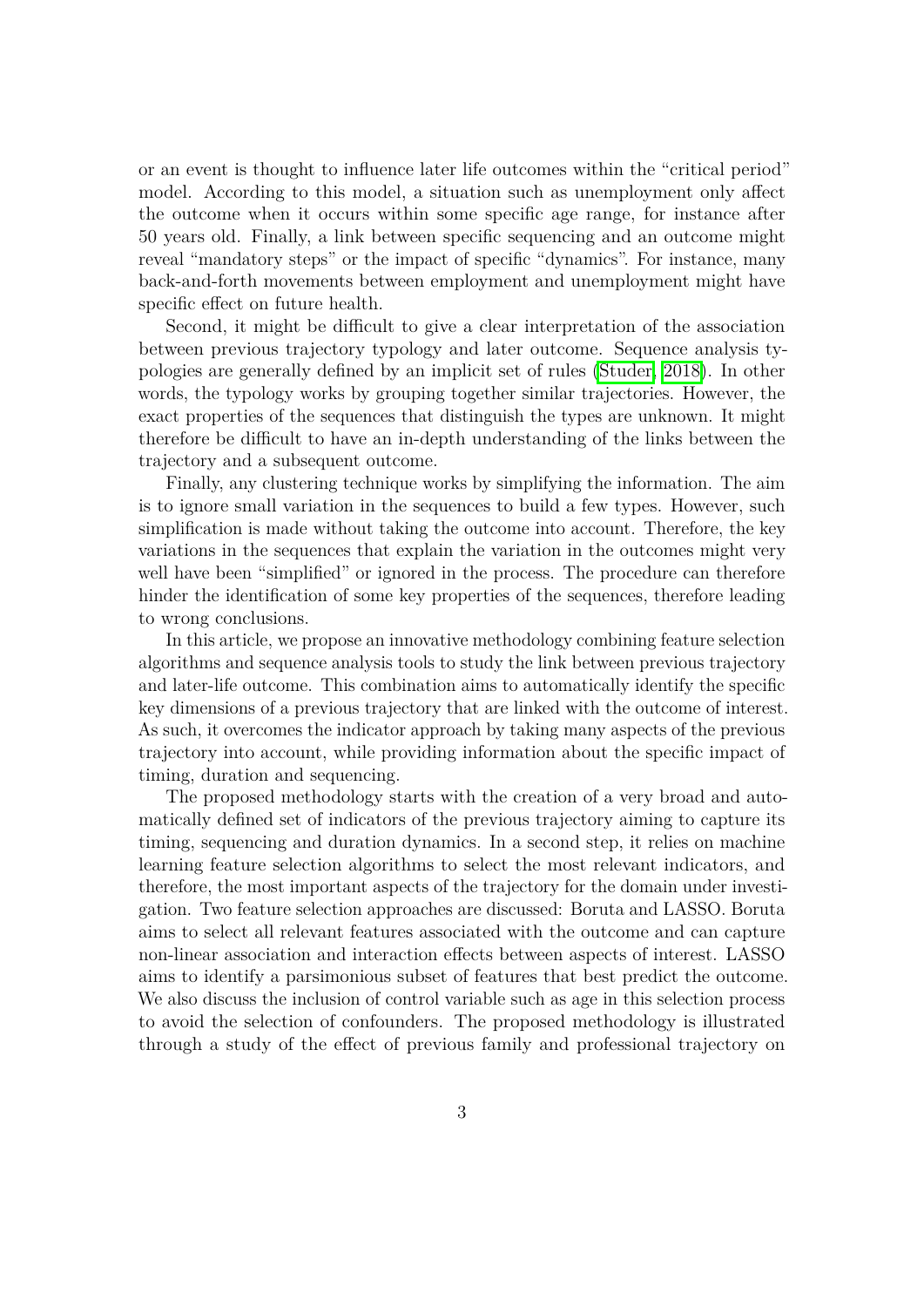or an event is thought to influence later life outcomes within the "critical period" model. According to this model, a situation such as unemployment only affect the outcome when it occurs within some specific age range, for instance after 50 years old. Finally, a link between specific sequencing and an outcome might reveal "mandatory steps" or the impact of specific "dynamics". For instance, many back-and-forth movements between employment and unemployment might have specific effect on future health.

Second, it might be difficult to give a clear interpretation of the association between previous trajectory typology and later outcome. Sequence analysis typologies are generally defined by an implicit set of rules [\(Studer, 2018\)](#page-32-2). In other words, the typology works by grouping together similar trajectories. However, the exact properties of the sequences that distinguish the types are unknown. It might therefore be difficult to have an in-depth understanding of the links between the trajectory and a subsequent outcome.

Finally, any clustering technique works by simplifying the information. The aim is to ignore small variation in the sequences to build a few types. However, such simplification is made without taking the outcome into account. Therefore, the key variations in the sequences that explain the variation in the outcomes might very well have been "simplified" or ignored in the process. The procedure can therefore hinder the identification of some key properties of the sequences, therefore leading to wrong conclusions.

In this article, we propose an innovative methodology combining feature selection algorithms and sequence analysis tools to study the link between previous trajectory and later-life outcome. This combination aims to automatically identify the specific key dimensions of a previous trajectory that are linked with the outcome of interest. As such, it overcomes the indicator approach by taking many aspects of the previous trajectory into account, while providing information about the specific impact of timing, duration and sequencing.

The proposed methodology starts with the creation of a very broad and automatically defined set of indicators of the previous trajectory aiming to capture its timing, sequencing and duration dynamics. In a second step, it relies on machine learning feature selection algorithms to select the most relevant indicators, and therefore, the most important aspects of the trajectory for the domain under investigation. Two feature selection approaches are discussed: Boruta and LASSO. Boruta aims to select all relevant features associated with the outcome and can capture non-linear association and interaction effects between aspects of interest. LASSO aims to identify a parsimonious subset of features that best predict the outcome. We also discuss the inclusion of control variable such as age in this selection process to avoid the selection of confounders. The proposed methodology is illustrated through a study of the effect of previous family and professional trajectory on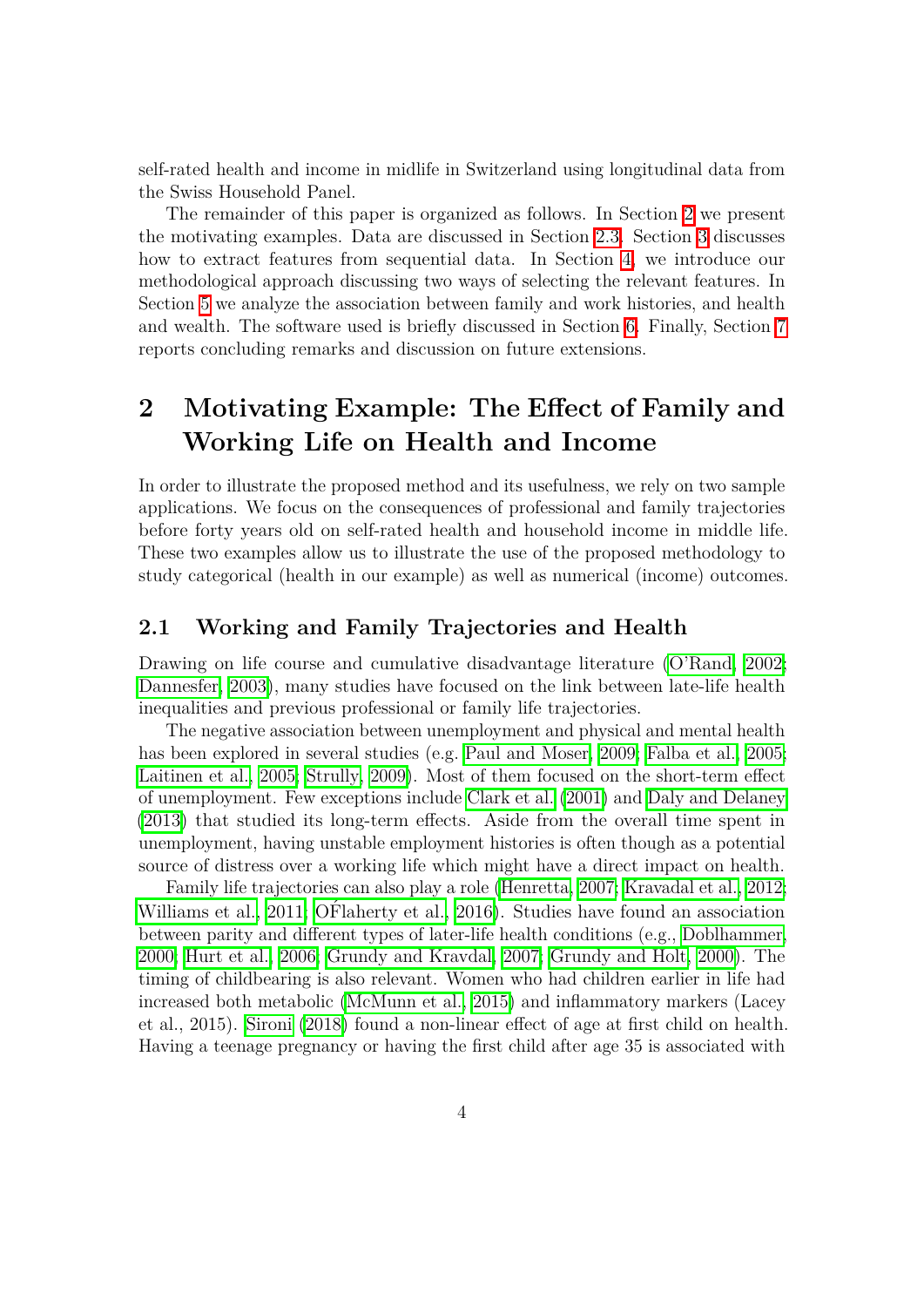self-rated health and income in midlife in Switzerland using longitudinal data from the Swiss Household Panel.

The remainder of this paper is organized as follows. In Section  $2 \leq$  we present the motivating examples. Data are discussed in Section  $\overline{2.3}$ . Section  $\overline{3}$  discusses how to extract features from sequential data. In Section  $\frac{1}{4}$ , we introduce our methodological approach discussing two ways of selecting the relevant features. In Section [5](#page-21-0) we analyze the association between family and work histories, and health and wealth. The software used is briefly discussed in Section  $\overline{6}$ . Finally, Section  $\overline{7}$ reports concluding remarks and discussion on future extensions.

## <span id="page-5-0"></span>**2 Motivating Example: The Effect of Family and Working Life on Health and Income**

In order to illustrate the proposed method and its usefulness, we rely on two sample applications. We focus on the consequences of professional and family trajectories before forty years old on self-rated health and household income in middle life. These two examples allow us to illustrate the use of the proposed methodology to study categorical (health in our example) as well as numerical (income) outcomes.

### **2.1 Working and Family Trajectories and Health**

Drawing on life course and cumulative disadvantage literature [\(O'Rand, 2002;](#page-31-1) [Dannesfer, 2003\)](#page-28-1), many studies have focused on the link between late-life health inequalities and previous professional or family life trajectories.

The negative association between unemployment and physical and mental health has been explored in several studies (e.g. [Paul and Moser, 2009;](#page-31-2) [Falba et al., 2005;](#page-29-3) [Laitinen et al., 2005;](#page-31-3) [Strully, 2009\)](#page-32-3). Most of them focused on the short-term effect of unemployment. Few exceptions include [Clark et al.](#page-28-2) [\(2001\)](#page-28-2) and [Daly and Delaney](#page-28-3) [\(2013\)](#page-28-3) that studied its long-term effects. Aside from the overall time spent in unemployment, having unstable employment histories is often though as a potential source of distress over a working life which might have a direct impact on health.

Family life trajectories can also play a role [\(Henretta, 2007;](#page-30-1) [Kravadal et al., 2012;](#page-30-2) Williams et al.,  $2011$ ; OF laherty et al.,  $2016$ ). Studies have found an association between parity and different types of later-life health conditions (e.g., [Doblhammer,](#page-29-4) [2000;](#page-29-4) [Hurt et al., 2006;](#page-30-3) [Grundy and Kravdal, 2007;](#page-30-4) [Grundy and Holt, 2000\)](#page-29-5). The timing of childbearing is also relevant. Women who had children earlier in life had increased both metabolic [\(McMunn et al., 2015\)](#page-31-0) and inflammatory markers (Lacey et al., 2015). [Sironi](#page-32-4) [\(2018\)](#page-32-4) found a non-linear effect of age at first child on health. Having a teenage pregnancy or having the first child after age 35 is associated with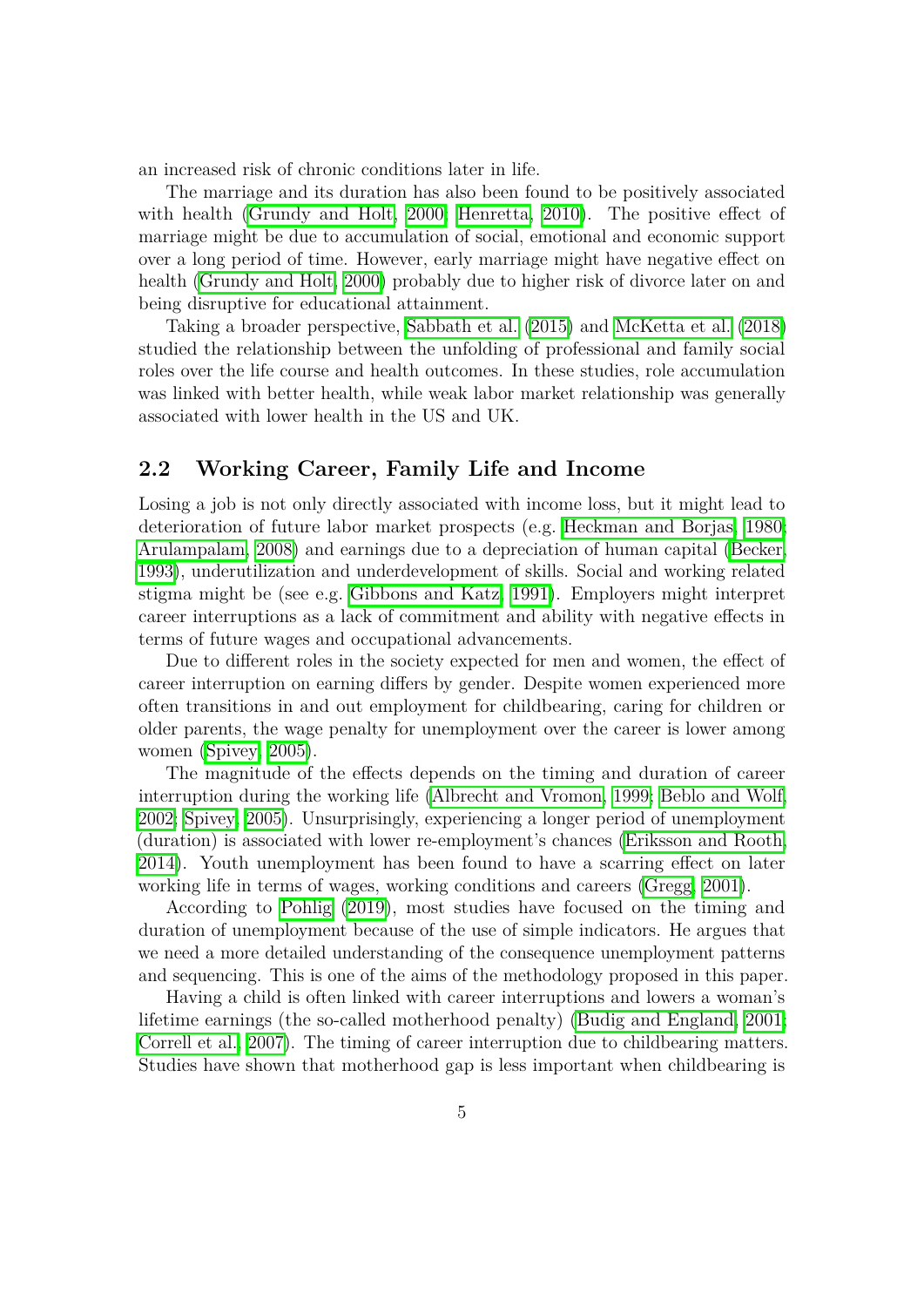an increased risk of chronic conditions later in life.

The marriage and its duration has also been found to be positively associated with health (Grundy and Holt,  $2000$ ; Henretta,  $2010$ ). The positive effect of marriage might be due to accumulation of social, emotional and economic support over a long period of time. However, early marriage might have negative effect on health [\(Grundy and Holt, 2000\)](#page-29-5) probably due to higher risk of divorce later on and being disruptive for educational attainment.

Taking a broader perspective, [Sabbath et al.](#page-32-0) [\(2015\)](#page-32-0) and [McKetta et al.](#page-31-5) [\(2018\)](#page-31-5) studied the relationship between the unfolding of professional and family social roles over the life course and health outcomes. In these studies, role accumulation was linked with better health, while weak labor market relationship was generally associated with lower health in the US and UK.

## **2.2 Working Career, Family Life and Income**

Losing a job is not only directly associated with income loss, but it might lead to deterioration of future labor market prospects (e.g. [Heckman and Borjas, 1980;](#page-30-6) [Arulampalam, 2008\)](#page-27-0) and earnings due to a depreciation of human capital [\(Becker,](#page-28-4) [1993\)](#page-28-4), underutilization and underdevelopment of skills. Social and working related stigma might be (see e.g.  $\boxed{\text{Gibbons and Katz}}$ , 1991). Employers might interpret career interruptions as a lack of commitment and ability with negative effects in terms of future wages and occupational advancements.

Due to different roles in the society expected for men and women, the effect of career interruption on earning differs by gender. Despite women experienced more often transitions in and out employment for childbearing, caring for children or older parents, the wage penalty for unemployment over the career is lower among women  $(S$ pivey,  $2005$ ).

The magnitude of the effects depends on the timing and duration of career interruption during the working life [\(Albrecht and Vromon, 1999;](#page-27-1) [Beblo and Wolf,](#page-27-2) [2002;](#page-27-2) [Spivey, 2005\)](#page-32-5). Unsurprisingly, experiencing a longer period of unemployment (duration) is associated with lower re-employment's chances (Eriksson and Rooth [2014\)](#page-29-7). Youth unemployment has been found to have a scarring effect on later working life in terms of wages, working conditions and careers [\(Gregg, 2001\)](#page-29-8).

According to [Pohlig](#page-32-6) [\(2019\)](#page-32-6), most studies have focused on the timing and duration of unemployment because of the use of simple indicators. He argues that we need a more detailed understanding of the consequence unemployment patterns and sequencing. This is one of the aims of the methodology proposed in this paper.

Having a child is often linked with career interruptions and lowers a woman's lifetime earnings (the so-called motherhood penalty) [\(Budig and England, 2001;](#page-28-5) [Correll et al., 2007\)](#page-28-6). The timing of career interruption due to childbearing matters. Studies have shown that motherhood gap is less important when childbearing is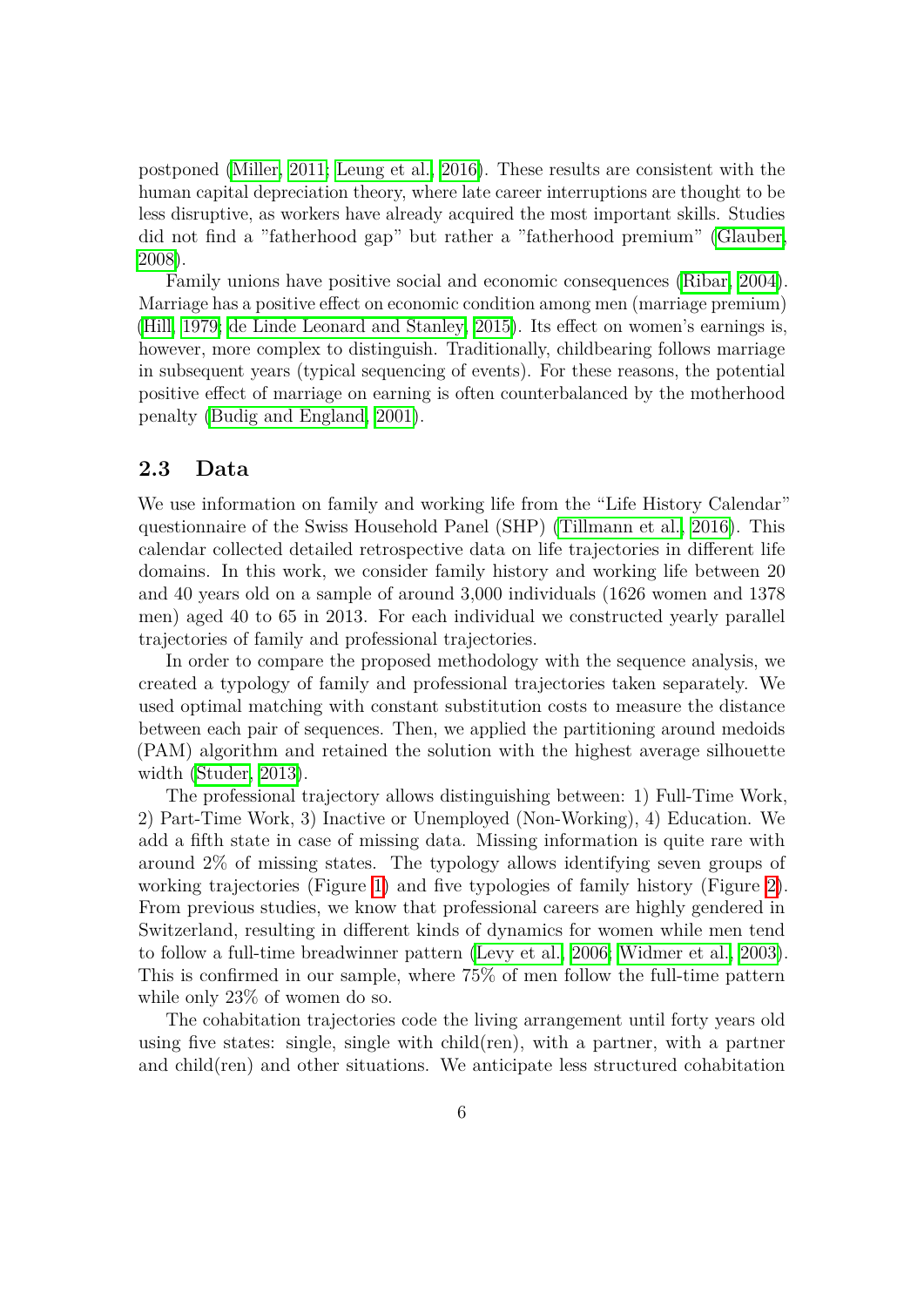postponed (Miller,  $2011$ ; Leung et al.,  $2016$ ). These results are consistent with the human capital depreciation theory, where late career interruptions are thought to be less disruptive, as workers have already acquired the most important skills. Studies did not find a "fatherhood gap" but rather a "fatherhood premium" [\(Glauber,](#page-29-9) [2008\)](#page-29-9).

Family unions have positive social and economic consequences [\(Ribar, 2004\)](#page-32-7). Marriage has a positive effect on economic condition among men (marriage premium) [\(Hill, 1979;](#page-30-7) [de Linde Leonard and Stanley, 2015\)](#page-28-7). Its effect on women's earnings is, however, more complex to distinguish. Traditionally, childbearing follows marriage in subsequent years (typical sequencing of events). For these reasons, the potential positive effect of marriage on earning is often counterbalanced by the motherhood penalty [\(Budig and England, 2001\)](#page-28-5).

## <span id="page-7-0"></span>**2.3 Data**

We use information on family and working life from the "Life History Calendar" questionnaire of the Swiss Household Panel (SHP) [\(Tillmann et al., 2016\)](#page-33-4). This calendar collected detailed retrospective data on life trajectories in different life domains. In this work, we consider family history and working life between 20 and 40 years old on a sample of around 3,000 individuals (1626 women and 1378 men) aged 40 to 65 in 2013. For each individual we constructed yearly parallel trajectories of family and professional trajectories.

In order to compare the proposed methodology with the sequence analysis, we created a typology of family and professional trajectories taken separately. We used optimal matching with constant substitution costs to measure the distance between each pair of sequences. Then, we applied the partitioning around medoids (PAM) algorithm and retained the solution with the highest average silhouette width [\(Studer, 2013\)](#page-32-8).

The professional trajectory allows distinguishing between: 1) Full-Time Work, 2) Part-Time Work, 3) Inactive or Unemployed (Non-Working), 4) Education. We add a fifth state in case of missing data. Missing information is quite rare with around 2% of missing states. The typology allows identifying seven groups of working trajectories (Figure  $\overline{1}$ ) and five typologies of family history (Figure  $\overline{2}$ ). From previous studies, we know that professional careers are highly gendered in Switzerland, resulting in different kinds of dynamics for women while men tend to follow a full-time breadwinner pattern [\(Levy et al., 2006;](#page-31-8) [Widmer et al., 2003\)](#page-33-5). This is confirmed in our sample, where 75% of men follow the full-time pattern while only 23% of women do so.

The cohabitation trajectories code the living arrangement until forty years old using five states: single, single with child(ren), with a partner, with a partner and child(ren) and other situations. We anticipate less structured cohabitation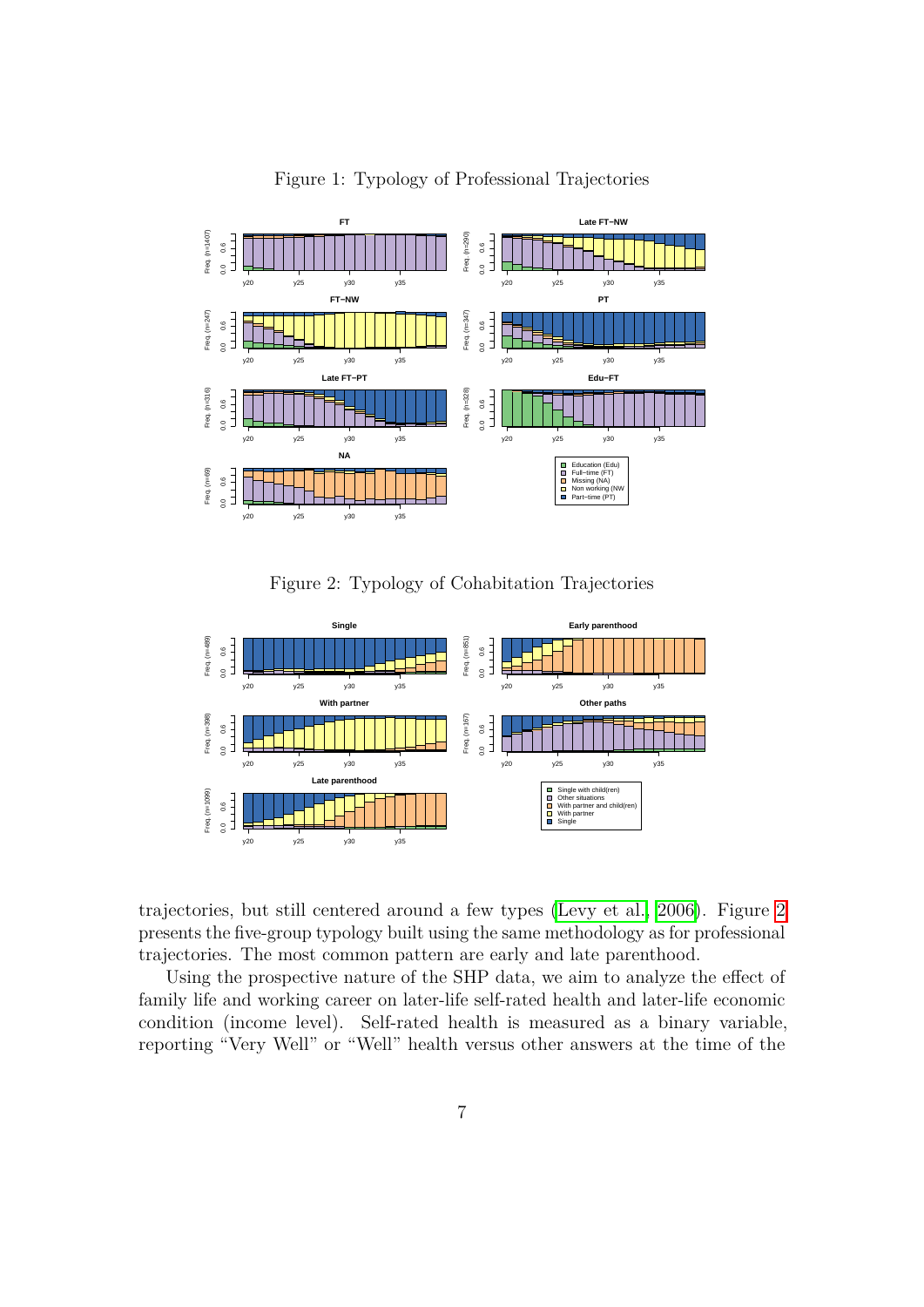

<span id="page-8-0"></span>Figure 1: Typology of Professional Trajectories

<span id="page-8-1"></span>Figure 2: Typology of Cohabitation Trajectories



trajectories, but still centered around a few types (Levy et al.,  $2006$ ). Figure  $\Omega$ presents the five-group typology built using the same methodology as for professional trajectories. The most common pattern are early and late parenthood.

Using the prospective nature of the SHP data, we aim to analyze the effect of family life and working career on later-life self-rated health and later-life economic condition (income level). Self-rated health is measured as a binary variable, reporting "Very Well" or "Well" health versus other answers at the time of the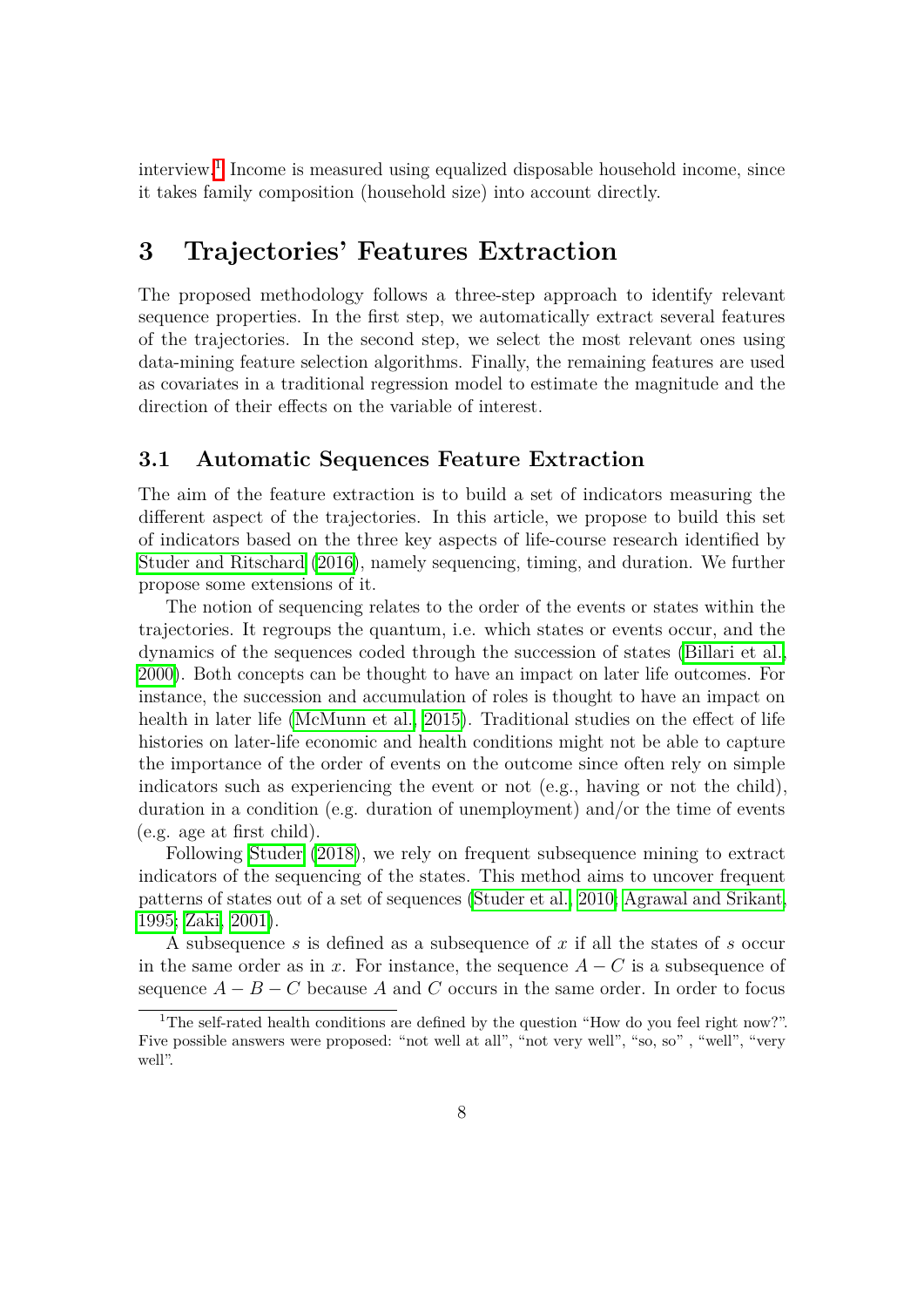interview.<sup>[1](#page-9-1)</sup> Income is measured using equalized disposable household income, since it takes family composition (household size) into account directly.

## <span id="page-9-0"></span>**3 Trajectories' Features Extraction**

The proposed methodology follows a three-step approach to identify relevant sequence properties. In the first step, we automatically extract several features of the trajectories. In the second step, we select the most relevant ones using data-mining feature selection algorithms. Finally, the remaining features are used as covariates in a traditional regression model to estimate the magnitude and the direction of their effects on the variable of interest.

#### **3.1 Automatic Sequences Feature Extraction**

The aim of the feature extraction is to build a set of indicators measuring the different aspect of the trajectories. In this article, we propose to build this set of indicators based on the three key aspects of life-course research identified by [Studer and Ritschard](#page-33-2) [\(2016\)](#page-33-2), namely sequencing, timing, and duration. We further propose some extensions of it.

The notion of sequencing relates to the order of the events or states within the trajectories. It regroups the quantum, i.e. which states or events occur, and the dynamics of the sequences coded through the succession of states (Billari et al. [2000\)](#page-28-8). Both concepts can be thought to have an impact on later life outcomes. For instance, the succession and accumulation of roles is thought to have an impact on health in later life  $(McMunn et al.]$   $2015$ . Traditional studies on the effect of life histories on later-life economic and health conditions might not be able to capture the importance of the order of events on the outcome since often rely on simple indicators such as experiencing the event or not (e.g., having or not the child), duration in a condition (e.g. duration of unemployment) and/or the time of events (e.g. age at first child).

Following [Studer](#page-32-2) [\(2018\)](#page-32-2), we rely on frequent subsequence mining to extract indicators of the sequencing of the states. This method aims to uncover frequent patterns of states out of a set of sequences [\(Studer et al., 2010;](#page-32-9) Agrawal and Srikant [1995;](#page-27-3) [Zaki, 2001\)](#page-33-6).

A subsequence *s* is defined as a subsequence of *x* if all the states of *s* occur in the same order as in *x*. For instance, the sequence  $A - C$  is a subsequence of sequence  $A - B - C$  because A and C occurs in the same order. In order to focus

<span id="page-9-1"></span><sup>&</sup>lt;sup>1</sup>The self-rated health conditions are defined by the question "How do you feel right now?". Five possible answers were proposed: "not well at all", "not very well", "so, so" , "well", "very well".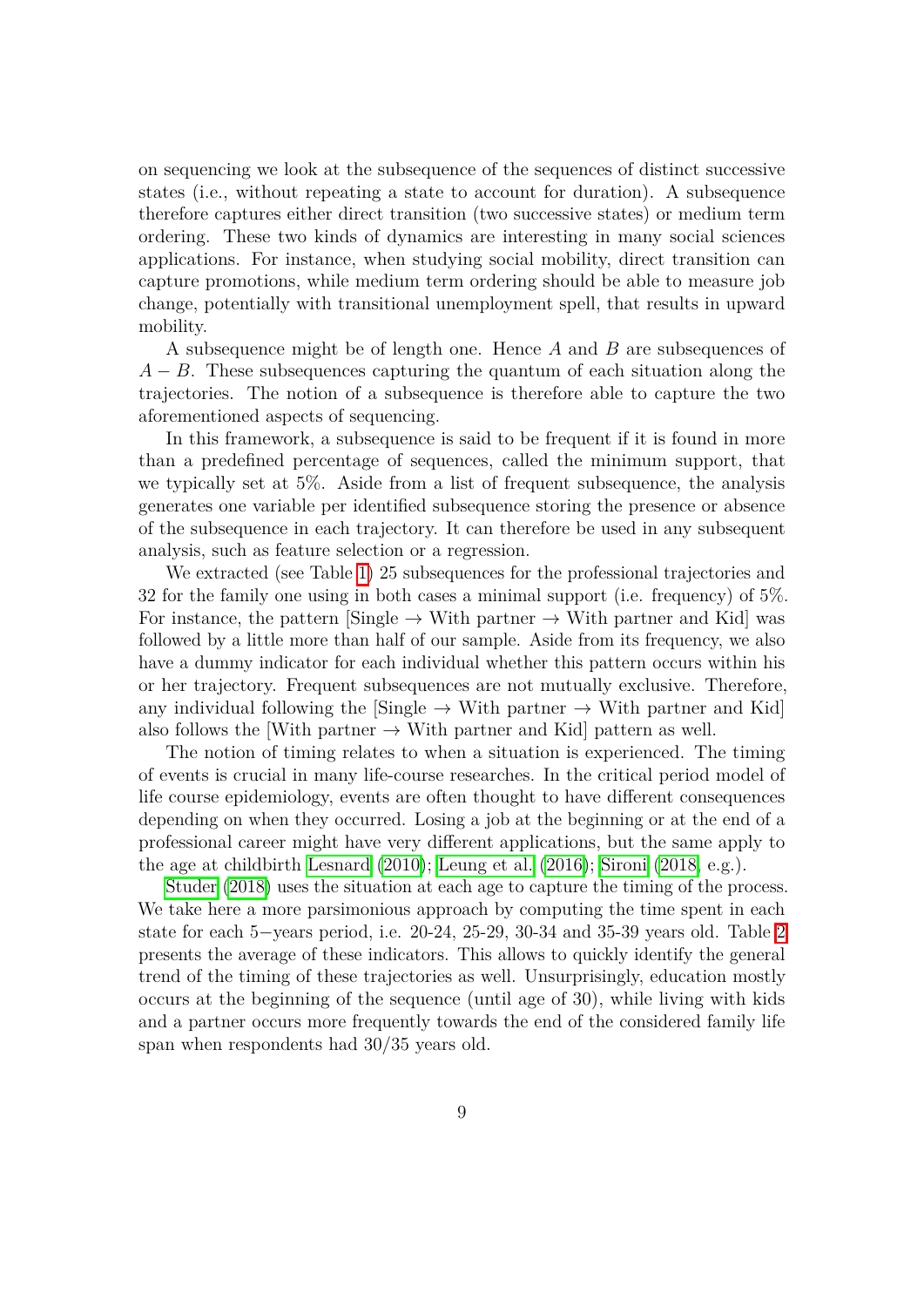on sequencing we look at the subsequence of the sequences of distinct successive states (i.e., without repeating a state to account for duration). A subsequence therefore captures either direct transition (two successive states) or medium term ordering. These two kinds of dynamics are interesting in many social sciences applications. For instance, when studying social mobility, direct transition can capture promotions, while medium term ordering should be able to measure job change, potentially with transitional unemployment spell, that results in upward mobility.

A subsequence might be of length one. Hence *A* and *B* are subsequences of *A* − *B*. These subsequences capturing the quantum of each situation along the trajectories. The notion of a subsequence is therefore able to capture the two aforementioned aspects of sequencing.

In this framework, a subsequence is said to be frequent if it is found in more than a predefined percentage of sequences, called the minimum support, that we typically set at 5%. Aside from a list of frequent subsequence, the analysis generates one variable per identified subsequence storing the presence or absence of the subsequence in each trajectory. It can therefore be used in any subsequent analysis, such as feature selection or a regression.

We extracted (see Table  $\boxed{1}$ ) 25 subsequences for the professional trajectories and 32 for the family one using in both cases a minimal support (i.e. frequency) of 5%. For instance, the pattern [Single  $\rightarrow$  With partner  $\rightarrow$  With partner and Kid] was followed by a little more than half of our sample. Aside from its frequency, we also have a dummy indicator for each individual whether this pattern occurs within his or her trajectory. Frequent subsequences are not mutually exclusive. Therefore, any individual following the [Single  $\rightarrow$  With partner  $\rightarrow$  With partner and Kid] also follows the [With partner  $\rightarrow$  With partner and Kid] pattern as well.

The notion of timing relates to when a situation is experienced. The timing of events is crucial in many life-course researches. In the critical period model of life course epidemiology, events are often thought to have different consequences depending on when they occurred. Losing a job at the beginning or at the end of a professional career might have very different applications, but the same apply to the age at childbirth **Lesnard**  $(2010)$ ; [Leung et al.](#page-31-7)  $(2016)$ ; [Sironi](#page-32-4)  $(2018)$ , e.g.).

[Studer](#page-32-2) [\(2018\)](#page-32-2) uses the situation at each age to capture the timing of the process. We take here a more parsimonious approach by computing the time spent in each state for each 5–years period, i.e. [2](#page-12-0)0-24, 25-29, 30-34 and 35-39 years old. Table 2 presents the average of these indicators. This allows to quickly identify the general trend of the timing of these trajectories as well. Unsurprisingly, education mostly occurs at the beginning of the sequence (until age of 30), while living with kids and a partner occurs more frequently towards the end of the considered family life span when respondents had 30/35 years old.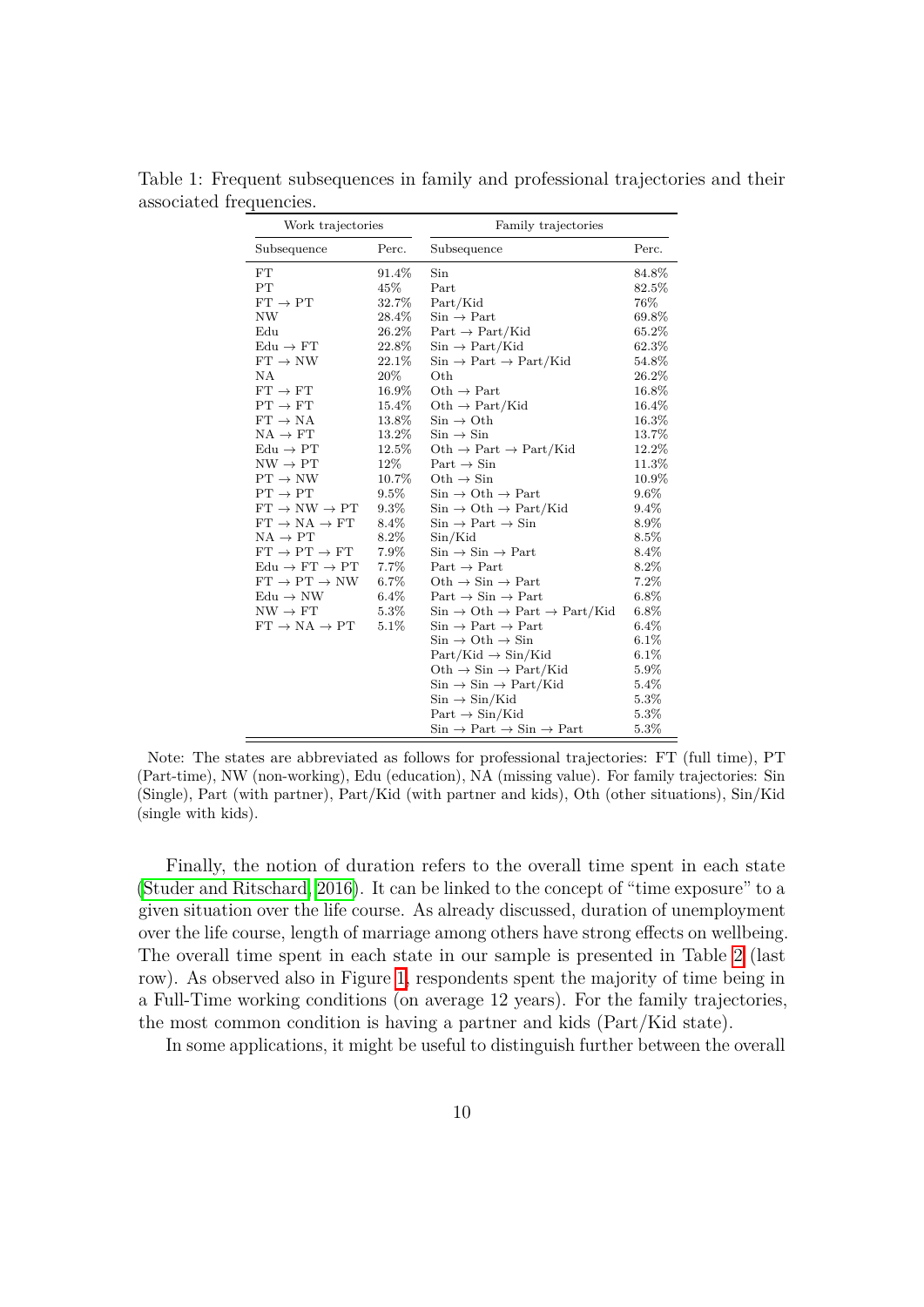<span id="page-11-0"></span>

| Work trajectories                   |          | Family trajectories                                                        |          |  |  |
|-------------------------------------|----------|----------------------------------------------------------------------------|----------|--|--|
| Perc.<br>Subsequence                |          | Subsequence                                                                | Perc.    |  |  |
| ${\rm FT}$                          | 91.4%    | Sin                                                                        | 84.8%    |  |  |
| PT                                  | 45%      | Part                                                                       | 82.5%    |  |  |
| $FT \rightarrow PT$                 | 32.7%    | Part/Kid                                                                   | 76%      |  |  |
| <b>NW</b>                           | 28.4%    | $Sin \rightarrow Part$                                                     | 69.8%    |  |  |
| Edu                                 | 26.2%    | $Part \rightarrow Part/Kid$                                                | 65.2%    |  |  |
| $Edu \rightarrow FT$                | 22.8%    | $Sin \rightarrow Part/Kid$                                                 | 62.3%    |  |  |
| $FT \rightarrow NW$                 | $22.1\%$ | $Sin \rightarrow Part \rightarrow Part/Kid$                                | $54.8\%$ |  |  |
| ΝA                                  | 20%      | Oth                                                                        | 26.2%    |  |  |
| $\mathrm{FT}\rightarrow\mathrm{FT}$ | 16.9%    | Oth $\rightarrow$ Part                                                     | 16.8%    |  |  |
| $PT \rightarrow FT$                 | 15.4%    | $Oth \rightarrow Part/Kid$                                                 | 16.4%    |  |  |
| $FT \rightarrow NA$                 | 13.8%    | $\mathrm{Sin}\rightarrow\mathrm{Oth}$                                      | 16.3%    |  |  |
| $NA \rightarrow FT$                 | 13.2%    | $\mathrm{Sin}\rightarrow\mathrm{Sin}$                                      | 13.7%    |  |  |
| $Edu \rightarrow PT$                | 12.5%    | $Oth \rightarrow Part \rightarrow Part/Kid$                                | 12.2%    |  |  |
| $NW \rightarrow PT$                 | 12%      | $Part \rightarrow Sin$                                                     | 11.3%    |  |  |
| $PT \rightarrow NW$                 | 10.7%    | Oth $\rightarrow$ Sin                                                      | 10.9%    |  |  |
| $PT \rightarrow PT$                 | 9.5%     | $Sin \rightarrow Oth \rightarrow Part$                                     | 9.6%     |  |  |
| $FT \rightarrow NW \rightarrow PT$  | $9.3\%$  | $\text{Sin} \rightarrow \text{Oth} \rightarrow \text{Part}/\text{Kid}$     | 9.4%     |  |  |
| $FT \rightarrow NA \rightarrow FT$  | 8.4%     | $\text{Sin} \rightarrow \text{Part} \rightarrow \text{Sin}$                | 8.9%     |  |  |
| $NA \rightarrow PT$                 | $8.2\%$  | $\sin/Kid$                                                                 | 8.5%     |  |  |
| $FT \rightarrow PT \rightarrow FT$  | 7.9%     | $\mathrm{Sin}\rightarrow\mathrm{Sin}\rightarrow\mathrm{Part}$              | 8.4%     |  |  |
| $Edu \rightarrow FT \rightarrow PT$ | 7.7%     | $Part \rightarrow Part$                                                    | 8.2%     |  |  |
| $FT \rightarrow PT \rightarrow NW$  | 6.7%     | $Oth \rightarrow Sin \rightarrow Part$                                     | 7.2%     |  |  |
| $Edu \rightarrow NW$                | $6.4\%$  | $Part \rightarrow Sin \rightarrow Part$                                    | $6.8\%$  |  |  |
| $NW \rightarrow FT$                 | 5.3%     | $Sin \rightarrow Oth \rightarrow Part \rightarrow Part/Kid$                | 6.8%     |  |  |
| $FT \rightarrow NA \rightarrow PT$  | 5.1%     | $Sin \rightarrow Part \rightarrow Part$                                    | $6.4\%$  |  |  |
|                                     |          | $\text{Sin} \rightarrow \text{Oth} \rightarrow \text{Sin}$                 | $6.1\%$  |  |  |
|                                     |          | $Part/Kid \rightarrow Sin/Kid$                                             | 6.1%     |  |  |
|                                     |          | $Oth \rightarrow Sin \rightarrow Part/Kid$                                 | 5.9%     |  |  |
|                                     |          | $\mathrm{Sin}\rightarrow\mathrm{Sin}\rightarrow\mathrm{Part}/\mathrm{Kid}$ | $5.4\%$  |  |  |
|                                     |          | $\mathrm{Sin}\rightarrow\mathrm{Sin}/\mathrm{Kid}$                         | $5.3\%$  |  |  |
|                                     |          | $Part \rightarrow Sin/Kid$                                                 | 5.3%     |  |  |
|                                     |          | $Sin \rightarrow Part \rightarrow Sin \rightarrow Part$                    | $5.3\%$  |  |  |

Table 1: Frequent subsequences in family and professional trajectories and their associated frequencies.

Note: The states are abbreviated as follows for professional trajectories: FT (full time), PT (Part-time), NW (non-working), Edu (education), NA (missing value). For family trajectories: Sin (Single), Part (with partner), Part/Kid (with partner and kids), Oth (other situations), Sin/Kid (single with kids).

Finally, the notion of duration refers to the overall time spent in each state [\(Studer and Ritschard, 2016\)](#page-33-2). It can be linked to the concept of "time exposure" to a given situation over the life course. As already discussed, duration of unemployment over the life course, length of marriage among others have strong effects on wellbeing. The overall time spent in each state in our sample is presented in Table  $\overline{2}$  (last row). As observed also in Figure  $\overline{\mathbb{1}}$ , respondents spent the majority of time being in a Full-Time working conditions (on average 12 years). For the family trajectories, the most common condition is having a partner and kids (Part/Kid state).

In some applications, it might be useful to distinguish further between the overall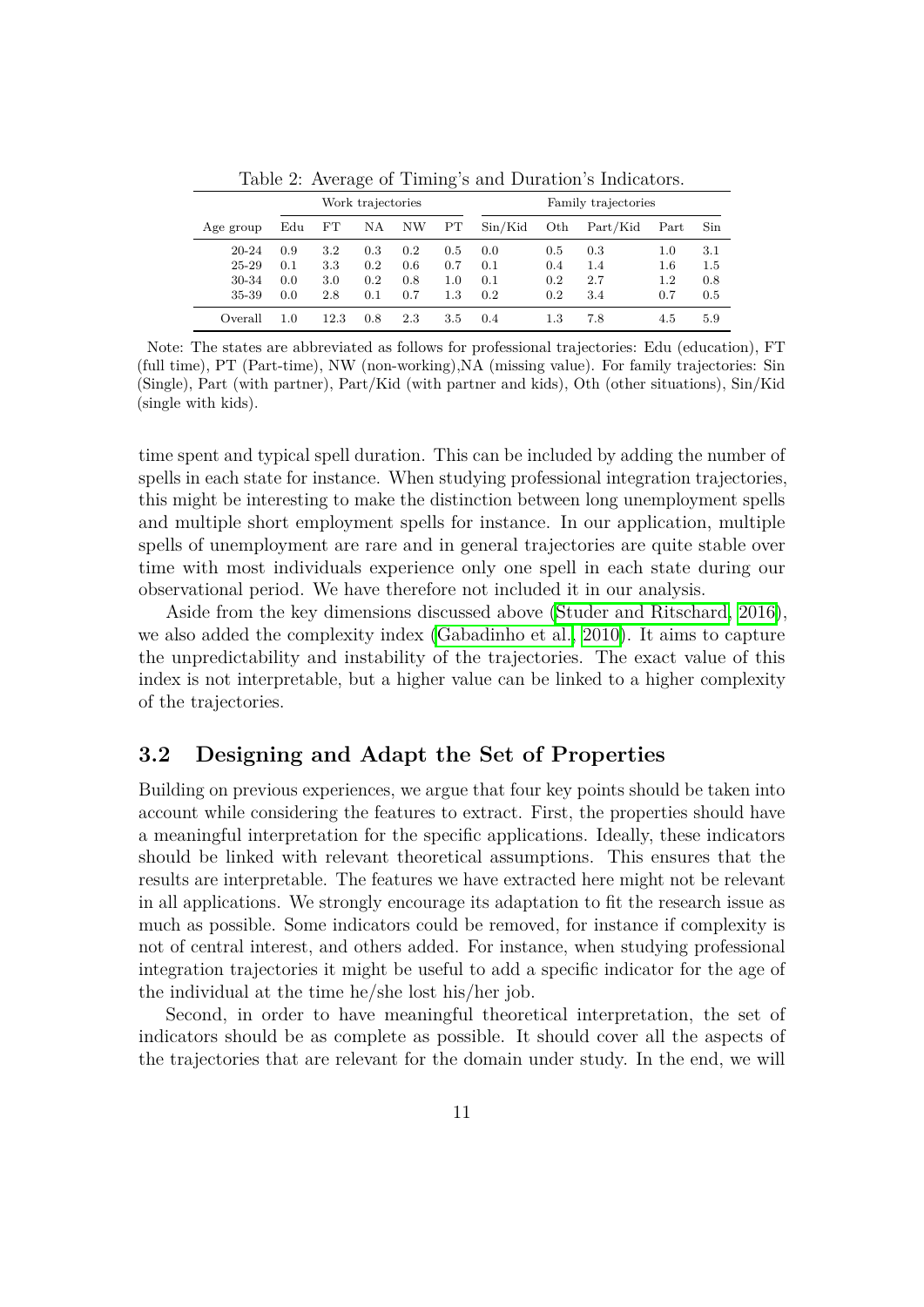|                                      |                          |                          | Work trajectories        |                          |                          |                          |                          | Family trajectories      |                          |                          |
|--------------------------------------|--------------------------|--------------------------|--------------------------|--------------------------|--------------------------|--------------------------|--------------------------|--------------------------|--------------------------|--------------------------|
| Age group                            | Edu                      | FT                       | NΑ                       | NW                       | PT                       | $\sin/Kid$               | Oth                      | Part/Kid                 | Part                     | Sin                      |
| $20 - 24$<br>25-29<br>30-34<br>35-39 | 0.9<br>0.1<br>0.0<br>0.0 | 3.2<br>3.3<br>3.0<br>2.8 | 0.3<br>0.2<br>0.2<br>0.1 | 0.2<br>0.6<br>0.8<br>0.7 | 0.5<br>0.7<br>1.0<br>1.3 | 0.0<br>0.1<br>0.1<br>0.2 | 0.5<br>0.4<br>0.2<br>0.2 | 0.3<br>1.4<br>2.7<br>3.4 | 1.0<br>1.6<br>1.2<br>0.7 | 3.1<br>1.5<br>0.8<br>0.5 |
| Overall                              | 1.0                      | 12.3                     | 0.8                      | 2.3                      | 3.5                      | 0.4                      | $1.3\,$                  | 7.8                      | 4.5                      | 5.9                      |

<span id="page-12-0"></span>Table 2: Average of Timing's and Duration's Indicators.

Note: The states are abbreviated as follows for professional trajectories: Edu (education), FT (full time), PT (Part-time), NW (non-working),NA (missing value). For family trajectories: Sin (Single), Part (with partner), Part/Kid (with partner and kids), Oth (other situations), Sin/Kid (single with kids).

time spent and typical spell duration. This can be included by adding the number of spells in each state for instance. When studying professional integration trajectories, this might be interesting to make the distinction between long unemployment spells and multiple short employment spells for instance. In our application, multiple spells of unemployment are rare and in general trajectories are quite stable over time with most individuals experience only one spell in each state during our observational period. We have therefore not included it in our analysis.

Aside from the key dimensions discussed above [\(Studer and Ritschard, 2016\)](#page-33-2), we also added the complexity index  $(Gabadinho et al. 2010)$ . It aims to capture the unpredictability and instability of the trajectories. The exact value of this index is not interpretable, but a higher value can be linked to a higher complexity of the trajectories.

## **3.2 Designing and Adapt the Set of Properties**

Building on previous experiences, we argue that four key points should be taken into account while considering the features to extract. First, the properties should have a meaningful interpretation for the specific applications. Ideally, these indicators should be linked with relevant theoretical assumptions. This ensures that the results are interpretable. The features we have extracted here might not be relevant in all applications. We strongly encourage its adaptation to fit the research issue as much as possible. Some indicators could be removed, for instance if complexity is not of central interest, and others added. For instance, when studying professional integration trajectories it might be useful to add a specific indicator for the age of the individual at the time he/she lost his/her job.

Second, in order to have meaningful theoretical interpretation, the set of indicators should be as complete as possible. It should cover all the aspects of the trajectories that are relevant for the domain under study. In the end, we will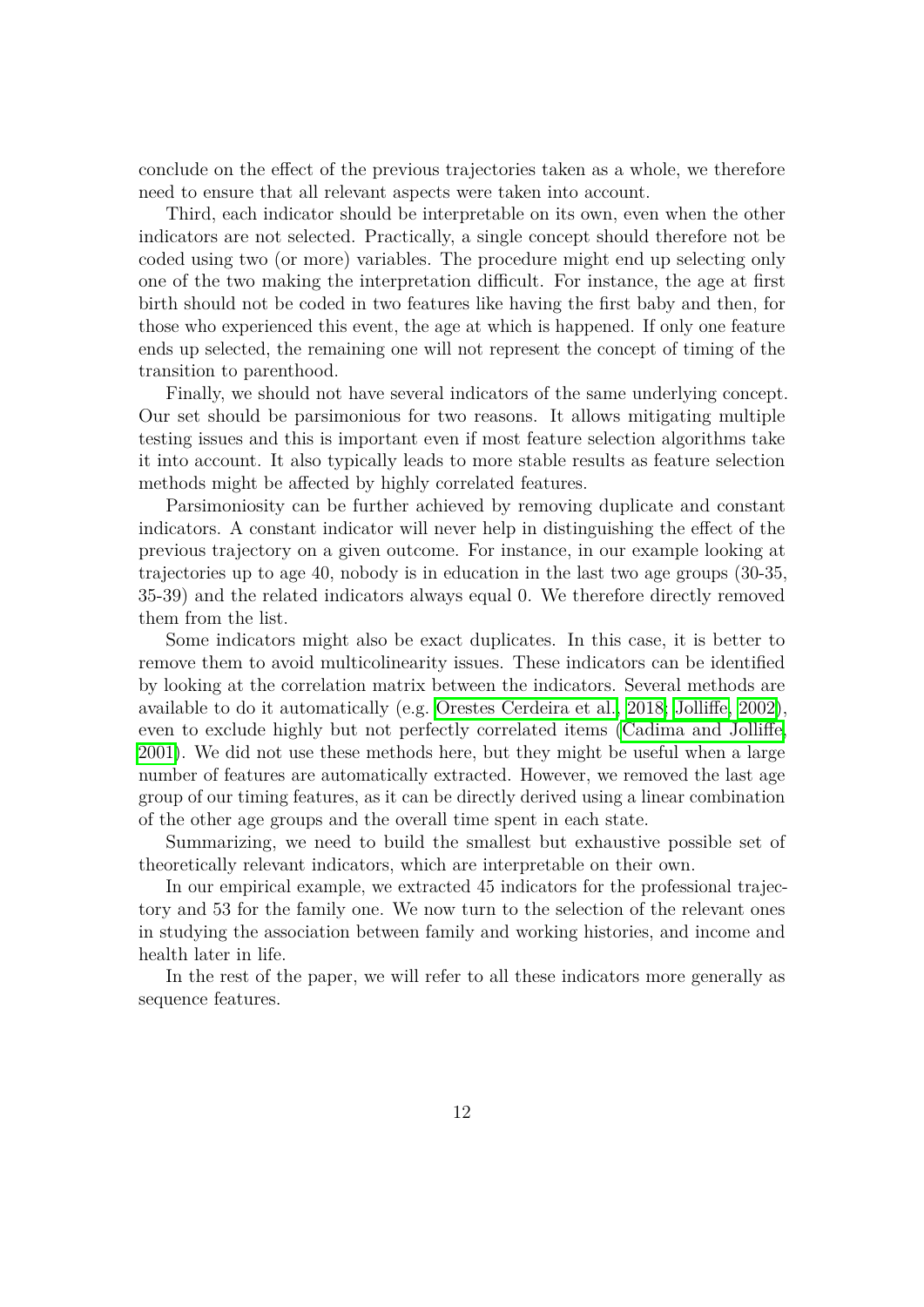conclude on the effect of the previous trajectories taken as a whole, we therefore need to ensure that all relevant aspects were taken into account.

Third, each indicator should be interpretable on its own, even when the other indicators are not selected. Practically, a single concept should therefore not be coded using two (or more) variables. The procedure might end up selecting only one of the two making the interpretation difficult. For instance, the age at first birth should not be coded in two features like having the first baby and then, for those who experienced this event, the age at which is happened. If only one feature ends up selected, the remaining one will not represent the concept of timing of the transition to parenthood.

Finally, we should not have several indicators of the same underlying concept. Our set should be parsimonious for two reasons. It allows mitigating multiple testing issues and this is important even if most feature selection algorithms take it into account. It also typically leads to more stable results as feature selection methods might be affected by highly correlated features.

Parsimoniosity can be further achieved by removing duplicate and constant indicators. A constant indicator will never help in distinguishing the effect of the previous trajectory on a given outcome. For instance, in our example looking at trajectories up to age 40, nobody is in education in the last two age groups (30-35, 35-39) and the related indicators always equal 0. We therefore directly removed them from the list.

Some indicators might also be exact duplicates. In this case, it is better to remove them to avoid multicolinearity issues. These indicators can be identified by looking at the correlation matrix between the indicators. Several methods are available to do it automatically (e.g. [Orestes Cerdeira et al., 2018;](#page-31-10) [Jolliffe, 2002\)](#page-30-8), even to exclude highly but not perfectly correlated items [\(Cadima and Jolliffe,](#page-28-9) [2001\)](#page-28-9). We did not use these methods here, but they might be useful when a large number of features are automatically extracted. However, we removed the last age group of our timing features, as it can be directly derived using a linear combination of the other age groups and the overall time spent in each state.

Summarizing, we need to build the smallest but exhaustive possible set of theoretically relevant indicators, which are interpretable on their own.

In our empirical example, we extracted 45 indicators for the professional trajectory and 53 for the family one. We now turn to the selection of the relevant ones in studying the association between family and working histories, and income and health later in life.

In the rest of the paper, we will refer to all these indicators more generally as sequence features.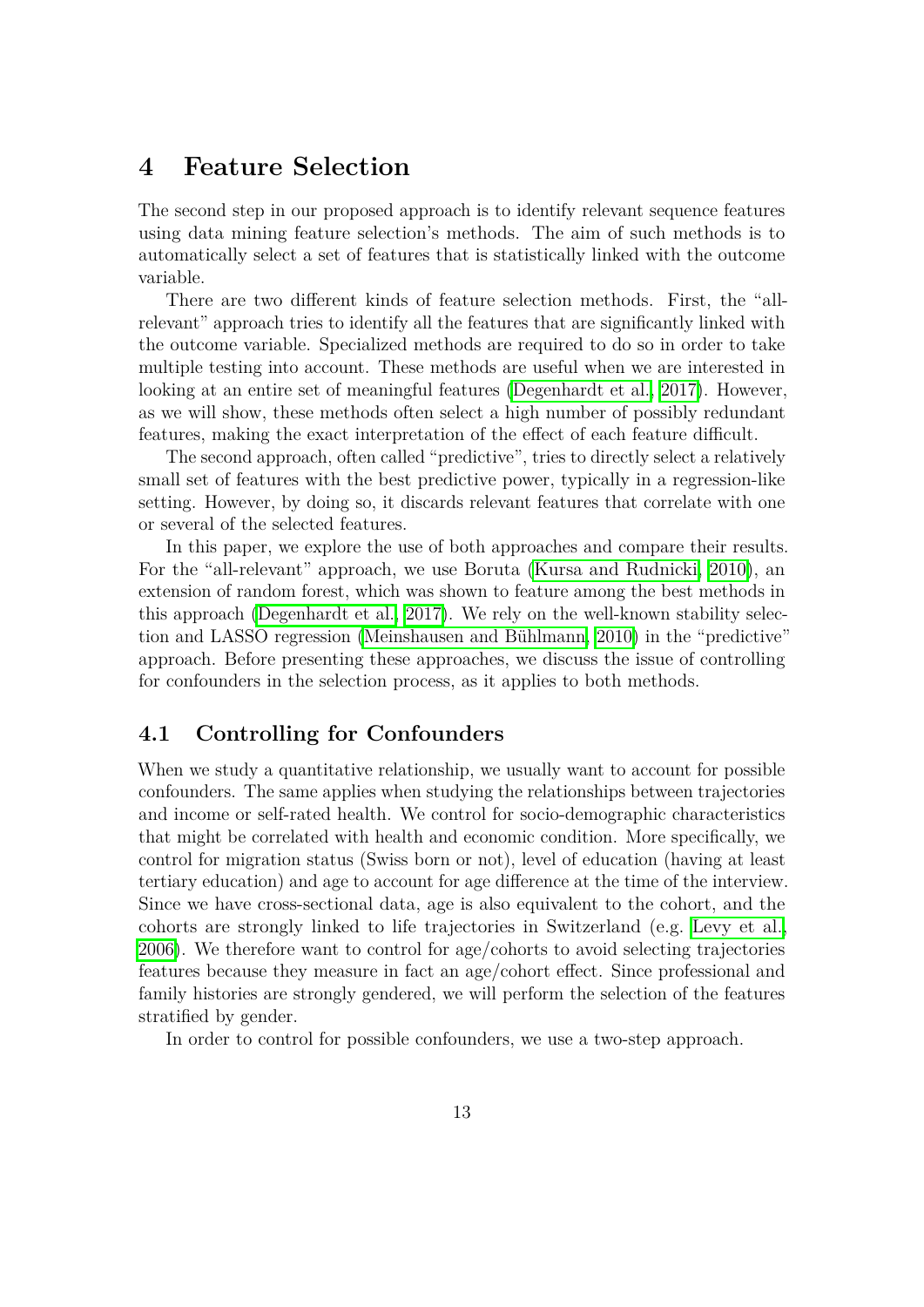## <span id="page-14-0"></span>**4 Feature Selection**

The second step in our proposed approach is to identify relevant sequence features using data mining feature selection's methods. The aim of such methods is to automatically select a set of features that is statistically linked with the outcome variable.

There are two different kinds of feature selection methods. First, the "allrelevant" approach tries to identify all the features that are significantly linked with the outcome variable. Specialized methods are required to do so in order to take multiple testing into account. These methods are useful when we are interested in looking at an entire set of meaningful features [\(Degenhardt et al., 2017\)](#page-29-11). However, as we will show, these methods often select a high number of possibly redundant features, making the exact interpretation of the effect of each feature difficult.

The second approach, often called "predictive", tries to directly select a relatively small set of features with the best predictive power, typically in a regression-like setting. However, by doing so, it discards relevant features that correlate with one or several of the selected features.

In this paper, we explore the use of both approaches and compare their results. For the "all-relevant" approach, we use Boruta [\(Kursa and Rudnicki, 2010\)](#page-30-9), an extension of random forest, which was shown to feature among the best methods in this approach (Degenhardt et al.,  $\boxed{2017}$ ). We rely on the well-known stability selection and LASSO regression (Meinshausen and Bühlmann,  $2010$ ) in the "predictive" approach. Before presenting these approaches, we discuss the issue of controlling for confounders in the selection process, as it applies to both methods.

## **4.1 Controlling for Confounders**

When we study a quantitative relationship, we usually want to account for possible confounders. The same applies when studying the relationships between trajectories and income or self-rated health. We control for socio-demographic characteristics that might be correlated with health and economic condition. More specifically, we control for migration status (Swiss born or not), level of education (having at least tertiary education) and age to account for age difference at the time of the interview. Since we have cross-sectional data, age is also equivalent to the cohort, and the cohorts are strongly linked to life trajectories in Switzerland (e.g. [Levy et al.,](#page-31-8) [2006\)](#page-31-8). We therefore want to control for age/cohorts to avoid selecting trajectories features because they measure in fact an age/cohort effect. Since professional and family histories are strongly gendered, we will perform the selection of the features stratified by gender.

In order to control for possible confounders, we use a two-step approach.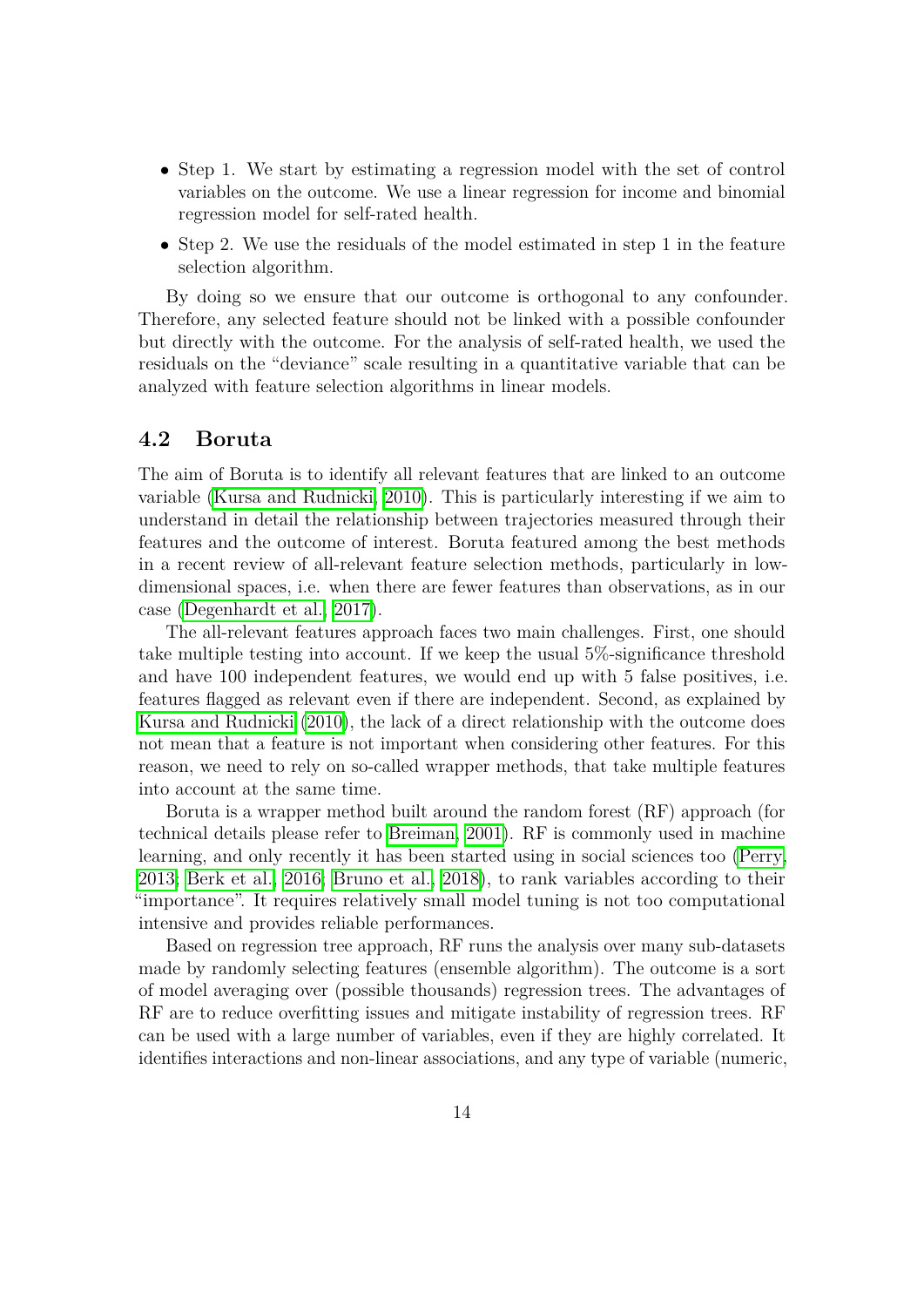- Step 1. We start by estimating a regression model with the set of control variables on the outcome. We use a linear regression for income and binomial regression model for self-rated health.
- Step 2. We use the residuals of the model estimated in step 1 in the feature selection algorithm.

By doing so we ensure that our outcome is orthogonal to any confounder. Therefore, any selected feature should not be linked with a possible confounder but directly with the outcome. For the analysis of self-rated health, we used the residuals on the "deviance" scale resulting in a quantitative variable that can be analyzed with feature selection algorithms in linear models.

## **4.2 Boruta**

The aim of Boruta is to identify all relevant features that are linked to an outcome variable [\(Kursa and Rudnicki, 2010\)](#page-30-9). This is particularly interesting if we aim to understand in detail the relationship between trajectories measured through their features and the outcome of interest. Boruta featured among the best methods in a recent review of all-relevant feature selection methods, particularly in lowdimensional spaces, i.e. when there are fewer features than observations, as in our case [\(Degenhardt et al., 2017\)](#page-29-11).

The all-relevant features approach faces two main challenges. First, one should take multiple testing into account. If we keep the usual 5%-significance threshold and have 100 independent features, we would end up with 5 false positives, i.e. features flagged as relevant even if there are independent. Second, as explained by [Kursa and Rudnicki](#page-30-9) [\(2010\)](#page-30-9), the lack of a direct relationship with the outcome does not mean that a feature is not important when considering other features. For this reason, we need to rely on so-called wrapper methods, that take multiple features into account at the same time.

Boruta is a wrapper method built around the random forest (RF) approach (for technical details please refer to [Breiman, 2001\)](#page-28-10). RF is commonly used in machine learning, and only recently it has been started using in social sciences too [\(Perry,](#page-32-10) [2013;](#page-32-10) [Berk et al., 2016;](#page-28-11) [Bruno et al., 2018\)](#page-28-12), to rank variables according to their "importance". It requires relatively small model tuning is not too computational intensive and provides reliable performances.

Based on regression tree approach, RF runs the analysis over many sub-datasets made by randomly selecting features (ensemble algorithm). The outcome is a sort of model averaging over (possible thousands) regression trees. The advantages of RF are to reduce overfitting issues and mitigate instability of regression trees. RF can be used with a large number of variables, even if they are highly correlated. It identifies interactions and non-linear associations, and any type of variable (numeric,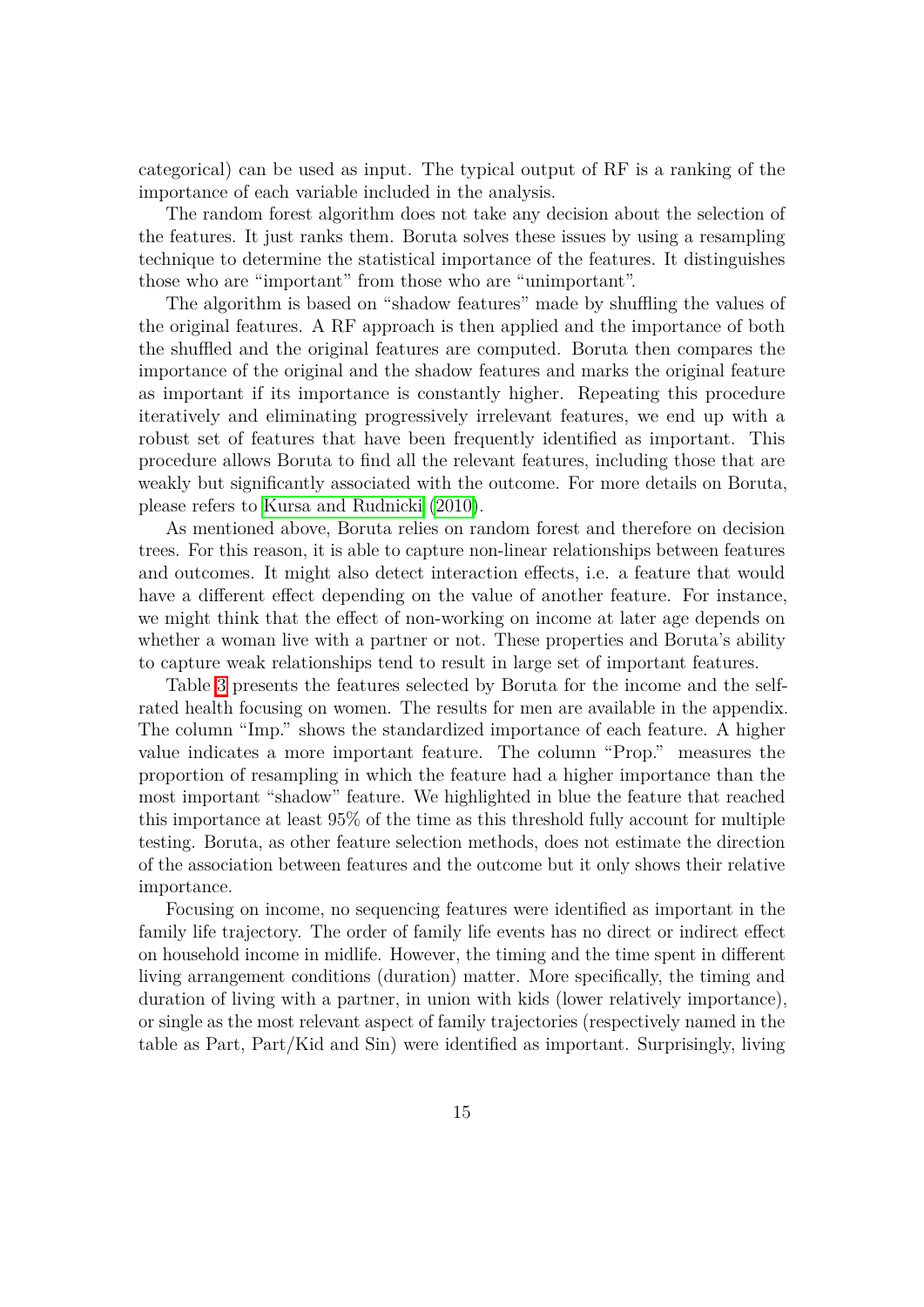categorical) can be used as input. The typical output of RF is a ranking of the importance of each variable included in the analysis.

The random forest algorithm does not take any decision about the selection of the features. It just ranks them. Boruta solves these issues by using a resampling technique to determine the statistical importance of the features. It distinguishes those who are "important" from those who are "unimportant".

The algorithm is based on "shadow features" made by shuffling the values of the original features. A RF approach is then applied and the importance of both the shuffled and the original features are computed. Boruta then compares the importance of the original and the shadow features and marks the original feature as important if its importance is constantly higher. Repeating this procedure iteratively and eliminating progressively irrelevant features, we end up with a robust set of features that have been frequently identified as important. This procedure allows Boruta to find all the relevant features, including those that are weakly but significantly associated with the outcome. For more details on Boruta, please refers to [Kursa and Rudnicki](#page-30-9) [\(2010\)](#page-30-9).

As mentioned above, Boruta relies on random forest and therefore on decision trees. For this reason, it is able to capture non-linear relationships between features and outcomes. It might also detect interaction effects, i.e. a feature that would have a different effect depending on the value of another feature. For instance, we might think that the effect of non-working on income at later age depends on whether a woman live with a partner or not. These properties and Boruta's ability to capture weak relationships tend to result in large set of important features.

Table  $\overline{3}$  presents the features selected by Boruta for the income and the selfrated health focusing on women. The results for men are available in the appendix. The column "Imp." shows the standardized importance of each feature. A higher value indicates a more important feature. The column "Prop." measures the proportion of resampling in which the feature had a higher importance than the most important "shadow" feature. We highlighted in blue the feature that reached this importance at least 95% of the time as this threshold fully account for multiple testing. Boruta, as other feature selection methods, does not estimate the direction of the association between features and the outcome but it only shows their relative importance.

Focusing on income, no sequencing features were identified as important in the family life trajectory. The order of family life events has no direct or indirect effect on household income in midlife. However, the timing and the time spent in different living arrangement conditions (duration) matter. More specifically, the timing and duration of living with a partner, in union with kids (lower relatively importance), or single as the most relevant aspect of family trajectories (respectively named in the table as Part, Part/Kid and Sin) were identified as important. Surprisingly, living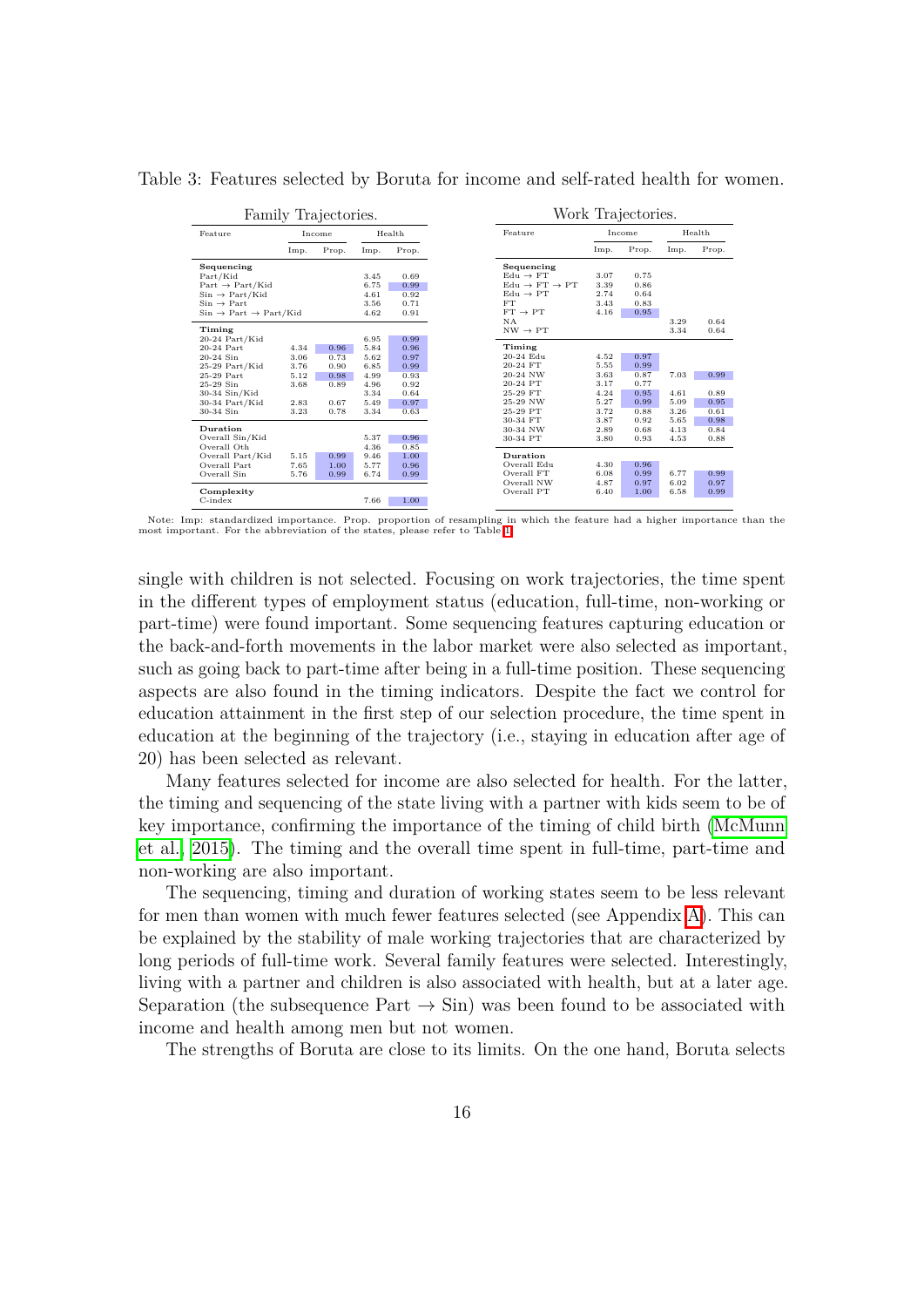Table 3: Features selected by Boruta for income and self-rated health for women.

<span id="page-17-0"></span>

|                                             |                             | Family Trajectories. |      |       |                                     |      | Work Trajectories. |      |       |
|---------------------------------------------|-----------------------------|----------------------|------|-------|-------------------------------------|------|--------------------|------|-------|
| Feature                                     | Feature<br>Health<br>Income |                      |      |       | Income                              |      | Health             |      |       |
|                                             | Imp.                        | Prop.                | Imp. | Prop. |                                     | Imp. | Prop.              | Imp. | Prop. |
| Sequencing                                  |                             |                      |      |       | Sequencing                          |      |                    |      |       |
| Part/Kid                                    |                             |                      | 3.45 | 0.69  | $Edu \rightarrow FT$                | 3.07 | 0.75               |      |       |
| Part $\rightarrow$ Part/Kid                 |                             |                      | 6.75 | 0.99  | $Edu \rightarrow FT \rightarrow PT$ | 3.39 | 0.86               |      |       |
| $Sin \rightarrow Part/Kid$                  |                             |                      | 4.61 | 0.92  | $Edu \rightarrow PT$                | 2.74 | 0.64               |      |       |
| $\mathrm{Sin}\rightarrow \mathrm{Part}$     |                             |                      | 3.56 | 0.71  | <b>FT</b>                           | 3.43 | 0.83               |      |       |
| $Sin \rightarrow Part \rightarrow Part/Kid$ |                             |                      | 4.62 | 0.91  | $FT \rightarrow PT$                 | 4.16 | 0.95               |      |       |
|                                             |                             |                      |      |       | NA                                  |      |                    | 3.29 | 0.64  |
| Timing                                      |                             |                      |      |       | $NW \rightarrow PT$                 |      |                    | 3.34 | 0.64  |
| 20-24 Part/Kid                              |                             |                      | 6.95 | 0.99  |                                     |      |                    |      |       |
| 20-24 Part                                  | 4.34                        | 0.96                 | 5.84 | 0.96  | Timing                              |      |                    |      |       |
| $20-24$ Sin                                 | 3.06                        | 0.73                 | 5.62 | 0.97  | 20-24 Edu                           | 4.52 | 0.97               |      |       |
| 25-29 Part/Kid                              | 3.76                        | 0.90                 | 6.85 | 0.99  | 20-24 FT                            | 5.55 | 0.99               |      |       |
| 25-29 Part                                  | 5.12                        | 0.98                 | 4.99 | 0.93  | 20-24 NW                            | 3.63 | 0.87               | 7.03 | 0.99  |
| 25-29 Sin                                   | 3.68                        | 0.89                 | 4.96 | 0.92  | 20-24 PT                            | 3.17 | 0.77               |      |       |
| 30-34 Sin/Kid                               |                             |                      | 3.34 | 0.64  | 25-29 FT                            | 4.24 | 0.95               | 4.61 | 0.89  |
| 30-34 Part/Kid                              | 2.83                        | 0.67                 | 5.49 | 0.97  | 25-29 NW                            | 5.27 | 0.99               | 5.09 | 0.95  |
| 30-34 Sin                                   | 3.23                        | 0.78                 | 3.34 | 0.63  | 25-29 PT                            | 3.72 | 0.88               | 3.26 | 0.61  |
|                                             |                             |                      |      |       | 30-34 FT                            | 3.87 | 0.92               | 5.65 | 0.98  |
| Duration                                    |                             |                      |      |       | 30-34 NW                            | 2.89 | 0.68               | 4.13 | 0.84  |
| Overall Sin/Kid                             |                             |                      | 5.37 | 0.96  | 30-34 PT                            | 3.80 | 0.93               | 4.53 | 0.88  |
| Overall Oth                                 |                             |                      | 4.36 | 0.85  |                                     |      |                    |      |       |
| Overall Part/Kid                            | 5.15                        | 0.99                 | 9.46 | 1.00  | Duration                            |      |                    |      |       |
| Overall Part                                | 7.65                        | 1.00                 | 5.77 | 0.96  | Overall Edu                         | 4.30 | 0.96               |      |       |
| Overall Sin                                 | 5.76                        | 0.99                 | 6.74 | 0.99  | Overall FT                          | 6.08 | 0.99               | 6.77 | 0.99  |
|                                             |                             |                      |      |       | Overall NW                          | 4.87 | 0.97               | 6.02 | 0.97  |
| Complexity                                  |                             |                      |      |       | Overall PT                          | 6.40 | 1.00               | 6.58 | 0.99  |
| $C$ -index                                  |                             |                      | 7.66 | 1.00  |                                     |      |                    |      |       |

Note: Imp: standardized importance. Prop. proportion of resampling in which the feature had a higher importance than the most important. For the abbreviation of the states, please refer to Table [1.](#page-11-0)

single with children is not selected. Focusing on work trajectories, the time spent in the different types of employment status (education, full-time, non-working or part-time) were found important. Some sequencing features capturing education or the back-and-forth movements in the labor market were also selected as important, such as going back to part-time after being in a full-time position. These sequencing aspects are also found in the timing indicators. Despite the fact we control for education attainment in the first step of our selection procedure, the time spent in education at the beginning of the trajectory (i.e., staying in education after age of 20) has been selected as relevant.

Many features selected for income are also selected for health. For the latter, the timing and sequencing of the state living with a partner with kids seem to be of key importance, confirming the importance of the timing of child birth [\(McMunn](#page-31-0) [et al., 2015\)](#page-31-0). The timing and the overall time spent in full-time, part-time and non-working are also important.

The sequencing, timing and duration of working states seem to be less relevant for men than women with much fewer features selected (see Appendix  $\overline{A}$ ). This can be explained by the stability of male working trajectories that are characterized by long periods of full-time work. Several family features were selected. Interestingly, living with a partner and children is also associated with health, but at a later age. Separation (the subsequence Part  $\rightarrow$  Sin) was been found to be associated with income and health among men but not women.

The strengths of Boruta are close to its limits. On the one hand, Boruta selects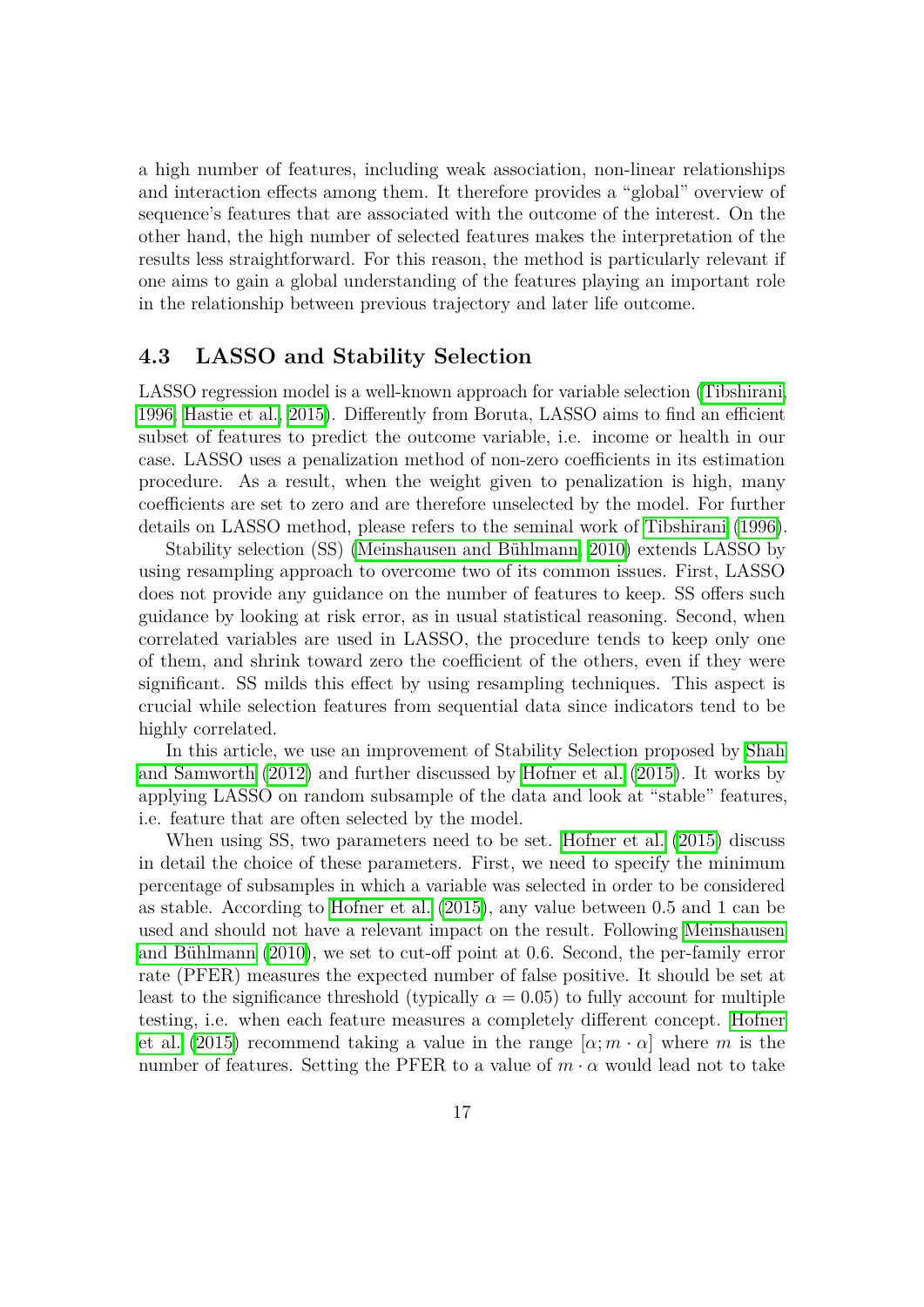a high number of features, including weak association, non-linear relationships and interaction effects among them. It therefore provides a "global" overview of sequence's features that are associated with the outcome of the interest. On the other hand, the high number of selected features makes the interpretation of the results less straightforward. For this reason, the method is particularly relevant if one aims to gain a global understanding of the features playing an important role in the relationship between previous trajectory and later life outcome.

#### **4.3 LASSO and Stability Selection**

LASSO regression model is a well-known approach for variable selection [\(Tibshirani,](#page-33-7) [1996;](#page-33-7) [Hastie et al., 2015\)](#page-30-10). Differently from Boruta, LASSO aims to find an efficient subset of features to predict the outcome variable, i.e. income or health in our case. LASSO uses a penalization method of non-zero coefficients in its estimation procedure. As a result, when the weight given to penalization is high, many coefficients are set to zero and are therefore unselected by the model. For further details on LASSO method, please refers to the seminal work of *Tibshirani* [\(1996\)](#page-33-7).

Stability selection (SS) (Meinshausen and Bühlmann, 2010) extends LASSO by using resampling approach to overcome two of its common issues. First, LASSO does not provide any guidance on the number of features to keep. SS offers such guidance by looking at risk error, as in usual statistical reasoning. Second, when correlated variables are used in LASSO, the procedure tends to keep only one of them, and shrink toward zero the coefficient of the others, even if they were significant. SS milds this effect by using resampling techniques. This aspect is crucial while selection features from sequential data since indicators tend to be highly correlated.

In this article, we use an improvement of Stability Selection proposed by [Shah](#page-32-11) [and Samworth](#page-32-11)  $(2012)$  and further discussed by [Hofner et al.](#page-30-11)  $(2015)$ . It works by applying LASSO on random subsample of the data and look at "stable" features, i.e. feature that are often selected by the model.

When using SS, two parameters need to be set. [Hofner et al.](#page-30-11) [\(2015\)](#page-30-11) discuss in detail the choice of these parameters. First, we need to specify the minimum percentage of subsamples in which a variable was selected in order to be considered as stable. According to [Hofner et al.](#page-30-11) [\(2015\)](#page-30-11), any value between 0*.*5 and 1 can be used and should not have a relevant impact on the result. Following [Meinshausen](#page-31-11) and Bühlmann [\(2010\)](#page-31-11), we set to cut-off point at 0.6. Second, the per-family error rate (PFER) measures the expected number of false positive. It should be set at least to the significance threshold (typically  $\alpha = 0.05$ ) to fully account for multiple testing, i.e. when each feature measures a completely different concept. [Hofner](#page-30-11) [et al.](#page-30-11) [\(2015\)](#page-30-11) recommend taking a value in the range  $[\alpha; m \cdot \alpha]$  where m is the number of features. Setting the PFER to a value of  $m \cdot \alpha$  would lead not to take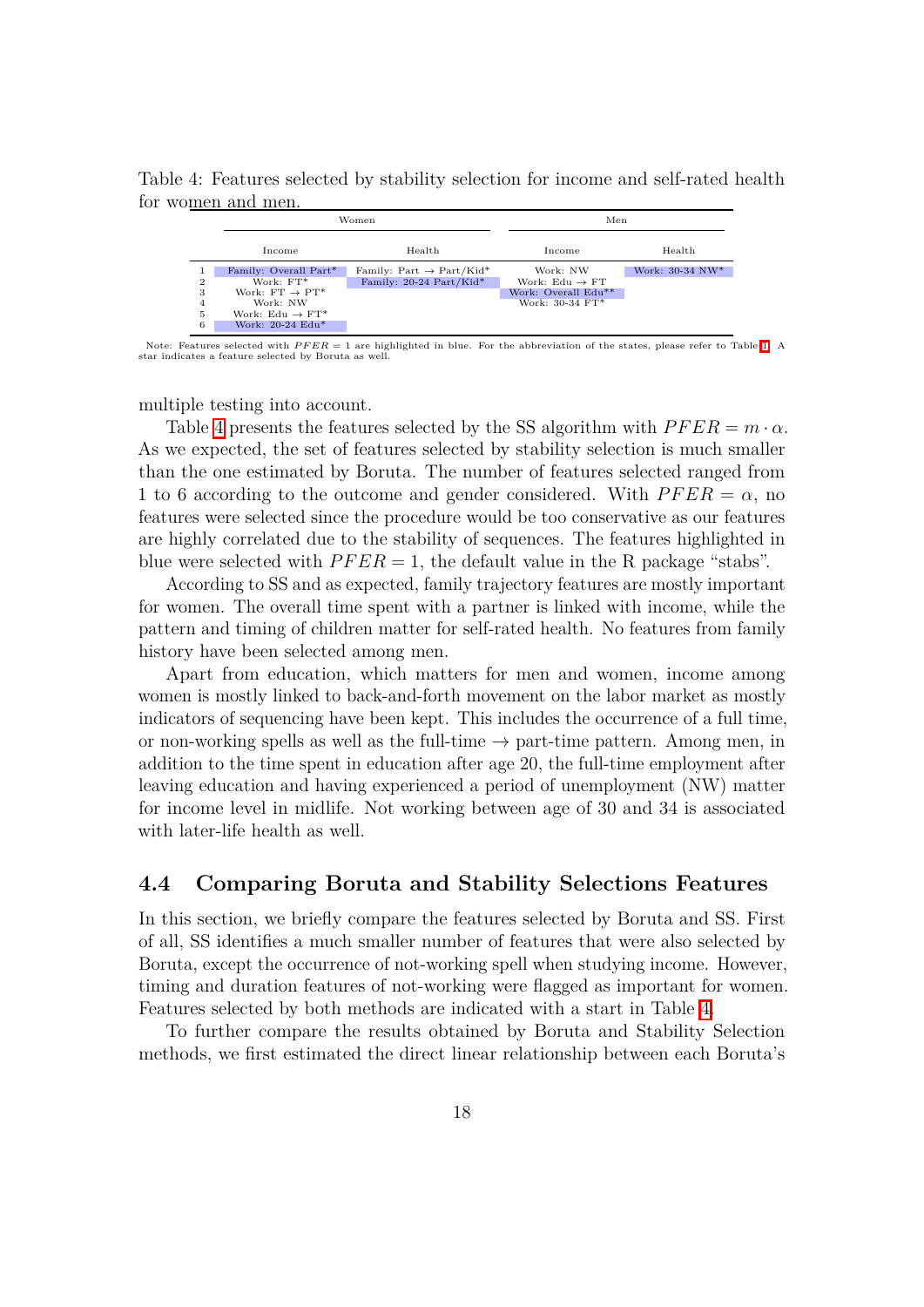Table 4: Features selected by stability selection for income and self-rated health for women and men.

<span id="page-19-0"></span>

Note: Features selected with  $PFER = 1$  are highlighted in blue. For the abbreviation of the states, please refer to Table **1.** A star indicates a feature selected by Boruta as well.

multiple testing into account.

Table  $\overline{4}$  presents the features selected by the SS algorithm with  $PFER = m \cdot \alpha$ . As we expected, the set of features selected by stability selection is much smaller than the one estimated by Boruta. The number of features selected ranged from 1 to 6 according to the outcome and gender considered. With  $PFER = \alpha$ , no features were selected since the procedure would be too conservative as our features are highly correlated due to the stability of sequences. The features highlighted in blue were selected with  $PFER = 1$ , the default value in the R package "stabs".

According to SS and as expected, family trajectory features are mostly important for women. The overall time spent with a partner is linked with income, while the pattern and timing of children matter for self-rated health. No features from family history have been selected among men.

Apart from education, which matters for men and women, income among women is mostly linked to back-and-forth movement on the labor market as mostly indicators of sequencing have been kept. This includes the occurrence of a full time, or non-working spells as well as the full-time  $\rightarrow$  part-time pattern. Among men, in addition to the time spent in education after age 20, the full-time employment after leaving education and having experienced a period of unemployment (NW) matter for income level in midlife. Not working between age of 30 and 34 is associated with later-life health as well.

#### **4.4 Comparing Boruta and Stability Selections Features**

In this section, we briefly compare the features selected by Boruta and SS. First of all, SS identifies a much smaller number of features that were also selected by Boruta, except the occurrence of not-working spell when studying income. However, timing and duration features of not-working were flagged as important for women. Features selected by both methods are indicated with a start in Table  $\frac{\pi}{4}$ .

To further compare the results obtained by Boruta and Stability Selection methods, we first estimated the direct linear relationship between each Boruta's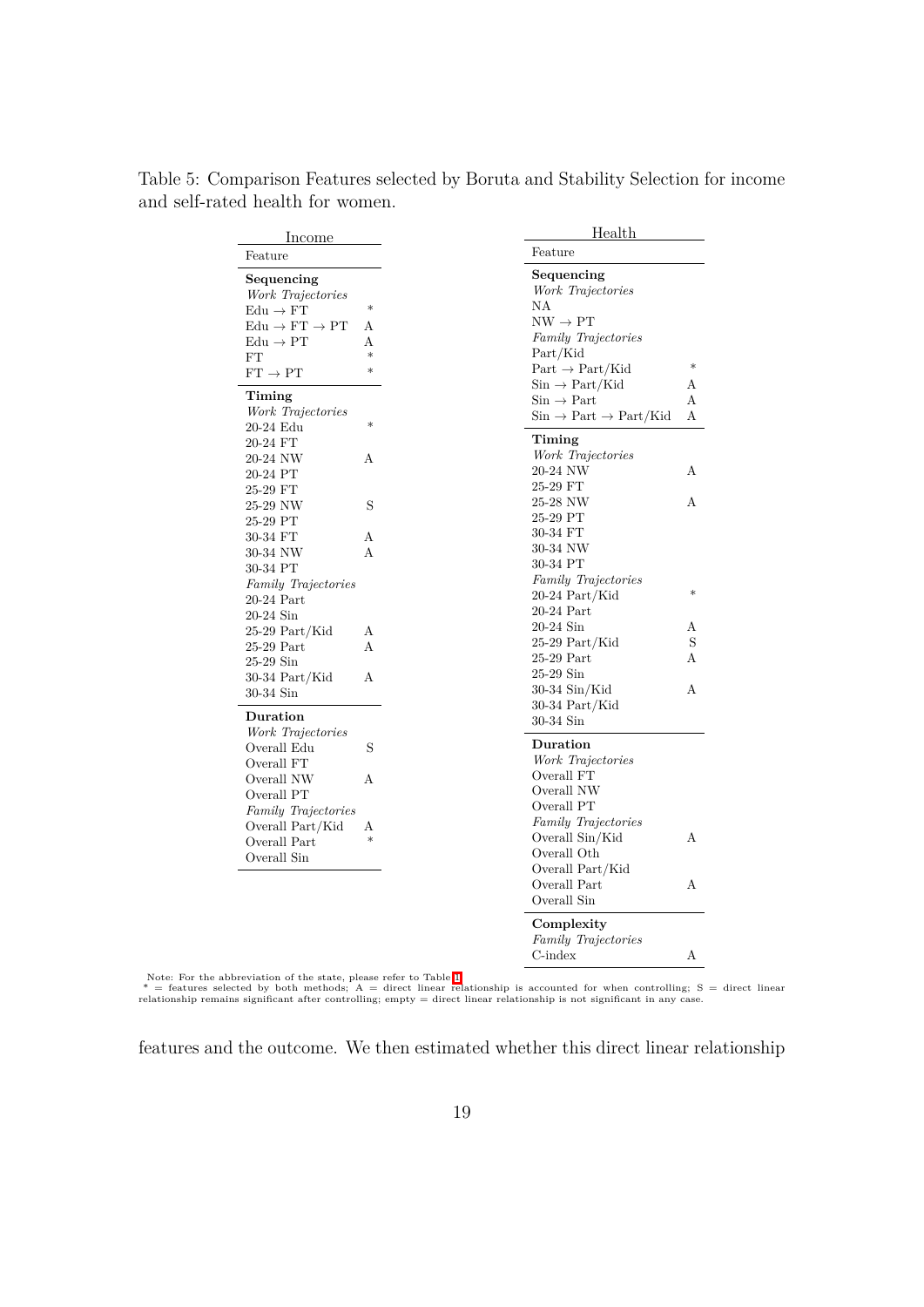<span id="page-20-0"></span>

| <b>Income</b>                            |             | Health                                                                        |        |
|------------------------------------------|-------------|-------------------------------------------------------------------------------|--------|
| Feature                                  |             | Feature                                                                       |        |
| Sequencing                               |             | Sequencing                                                                    |        |
| Work Trajectories                        |             | Work Trajectories                                                             |        |
| $\text{Edu} \rightarrow \text{FT}$       | $\ast$      | ΝA                                                                            |        |
| $\text{Edu} \to \text{FT} \to \text{PT}$ | A           | $NW \rightarrow PT$                                                           |        |
| $Edu \rightarrow PT$                     | A           | <b>Family Trajectories</b>                                                    |        |
| FT                                       | $\ast$      | Part/Kid                                                                      |        |
| $FT \rightarrow PT$                      | $\ast$      | $Part \rightarrow Part/Kid$                                                   | $\ast$ |
|                                          |             | $\mathrm{Sin}\rightarrow \mathrm{Part}/\mathrm{Kid}$                          | А      |
| Timing                                   |             | $\mathrm{Sin}\rightarrow\mathrm{Part}$                                        | А      |
| Work Trajectories                        | $\ast$      | $\mathrm{Sin}\rightarrow \mathrm{Part}\rightarrow \mathrm{Part}/\mathrm{Kid}$ | Α      |
| 20-24 Edu                                |             | Timing                                                                        |        |
| 20-24 FT                                 |             | Work Trajectories                                                             |        |
| 20-24 NW                                 | А           | 20-24 NW                                                                      | А      |
| 20-24 PT                                 |             | 25-29 FT                                                                      |        |
| 25-29 FT                                 |             | 25-28 NW                                                                      | A      |
| 25-29 NW                                 | S           | 25-29 PT                                                                      |        |
| 25-29 PT                                 |             |                                                                               |        |
| 30-34 FT                                 | А           | 30-34 FT                                                                      |        |
| 30-34 NW                                 | A           | 30-34 NW                                                                      |        |
| 30-34 PT                                 |             | 30-34 PT                                                                      |        |
| <b>Family Trajectories</b>               |             | Family Trajectories                                                           | $\ast$ |
| $20\text{-}24$ Part                      |             | $20-24$ Part/Kid                                                              |        |
| 20-24 Sin                                |             | $20-24$ Part                                                                  |        |
| $25-29$ Part/Kid                         | А           | $20-24$ Sin                                                                   | A      |
| $25-29$ Part                             | A           | $25-29$ Part/Kid                                                              | S      |
| $25-29$ Sin                              |             | $25-29$ Part                                                                  | A      |
| $30-34$ Part/Kid                         | A           | $25-29$ Sin                                                                   |        |
| 30-34 Sin                                |             | $30-34$ Sin/Kid                                                               | A      |
| Duration                                 |             | $30-34$ Part/Kid                                                              |        |
| Work Trajectories                        |             | 30-34 Sin                                                                     |        |
| Overall Edu                              | S           | Duration                                                                      |        |
| Overall FT                               |             | Work Trajectories                                                             |        |
| Overall NW                               | А           | Overall FT                                                                    |        |
| Overall PT                               |             | Overall NW                                                                    |        |
|                                          |             | Overall PT                                                                    |        |
| Family Trajectories                      |             | Family Trajectories                                                           |        |
| Overall Part/Kid                         | Α<br>$\ast$ | Overall Sin/Kid                                                               | А      |
| Overall Part                             |             | Overall Oth                                                                   |        |
| Overall Sin                              |             | Overall Part/Kid                                                              |        |
|                                          |             | Overall Part                                                                  | A      |
|                                          |             | Overall Sin                                                                   |        |
|                                          |             |                                                                               |        |
|                                          |             | Complexity                                                                    |        |
|                                          |             | Family Trajectories                                                           |        |

Table 5: Comparison Features selected by Boruta and Stability Selection for income and self-rated health for women.

Note: For the abbreviation of the state, please refer to Table  $\prod_{\text{all}}$ <br>\* = features selected by both methods; A = direct linear relationship is accounted for when controlling; S = direct linear<br>relationship remains sig

 $\mbox{C-index}$  <br> <br> $\mbox{A}$ 

features and the outcome. We then estimated whether this direct linear relationship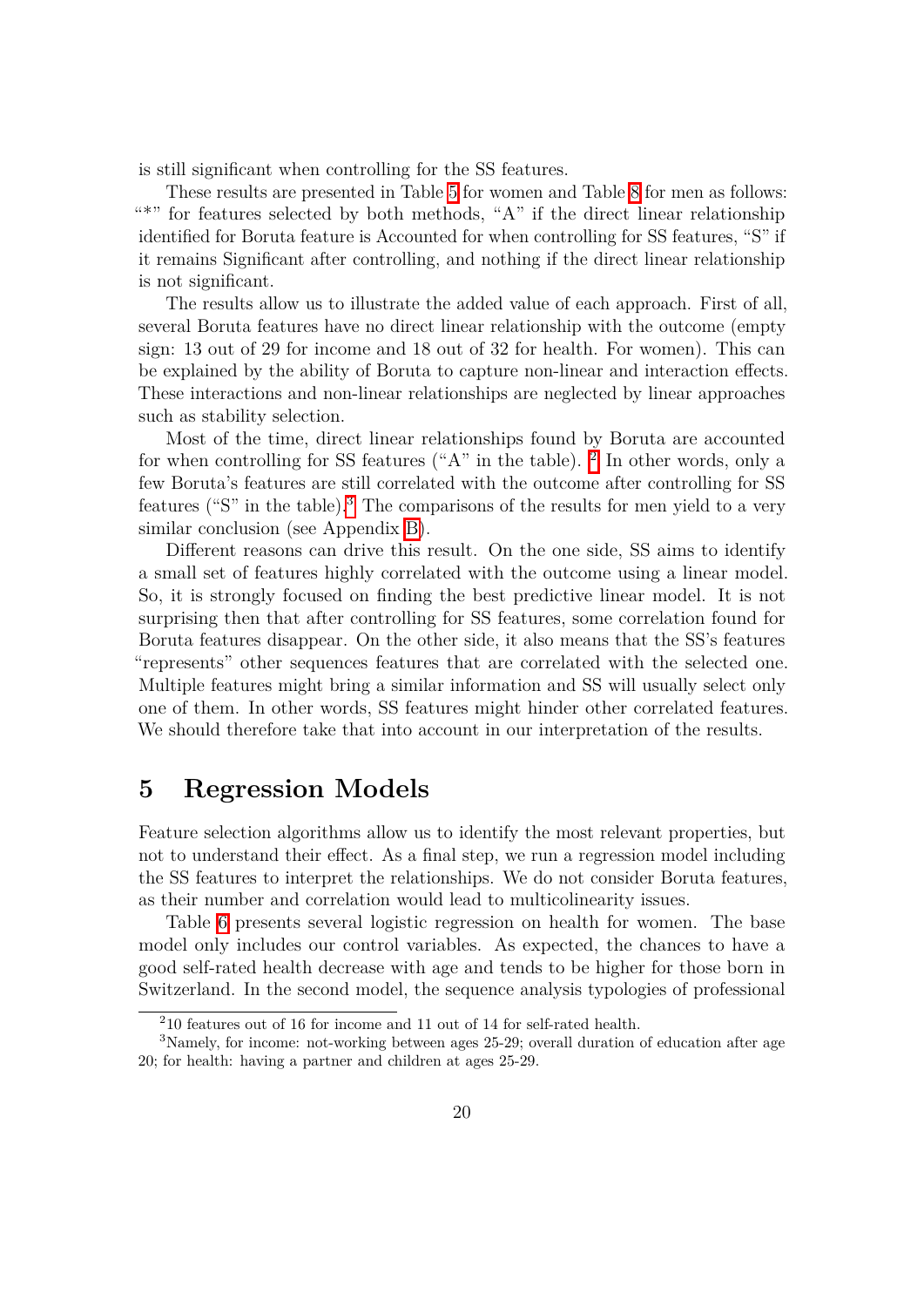is still significant when controlling for the SS features.

These results are presented in Table  $\overline{5}$  for women and Table  $\overline{8}$  for men as follows: "\*" for features selected by both methods, " $A$ " if the direct linear relationship identified for Boruta feature is Accounted for when controlling for SS features, "S" if it remains Significant after controlling, and nothing if the direct linear relationship is not significant.

The results allow us to illustrate the added value of each approach. First of all, several Boruta features have no direct linear relationship with the outcome (empty sign: 13 out of 29 for income and 18 out of 32 for health. For women). This can be explained by the ability of Boruta to capture non-linear and interaction effects. These interactions and non-linear relationships are neglected by linear approaches such as stability selection.

Most of the time, direct linear relationships found by Boruta are accounted for when controlling for SS features ("A" in the table).  $\boxed{?}$  In other words, only a few Boruta's features are still correlated with the outcome after controlling for SS features ("S" in the table).<sup>[3](#page-21-2)</sup> The comparisons of the results for men yield to a very similar conclusion (see Appendix  $\overline{B}$ ).

Different reasons can drive this result. On the one side, SS aims to identify a small set of features highly correlated with the outcome using a linear model. So, it is strongly focused on finding the best predictive linear model. It is not surprising then that after controlling for SS features, some correlation found for Boruta features disappear. On the other side, it also means that the SS's features "represents" other sequences features that are correlated with the selected one. Multiple features might bring a similar information and SS will usually select only one of them. In other words, SS features might hinder other correlated features. We should therefore take that into account in our interpretation of the results.

## <span id="page-21-0"></span>**5 Regression Models**

Feature selection algorithms allow us to identify the most relevant properties, but not to understand their effect. As a final step, we run a regression model including the SS features to interpret the relationships. We do not consider Boruta features, as their number and correlation would lead to multicolinearity issues.

Table [6](#page-22-0) presents several logistic regression on health for women. The base model only includes our control variables. As expected, the chances to have a good self-rated health decrease with age and tends to be higher for those born in Switzerland. In the second model, the sequence analysis typologies of professional

<span id="page-21-2"></span><span id="page-21-1"></span><sup>2</sup>10 features out of 16 for income and 11 out of 14 for self-rated health.

<sup>3</sup>Namely, for income: not-working between ages 25-29; overall duration of education after age 20; for health: having a partner and children at ages 25-29.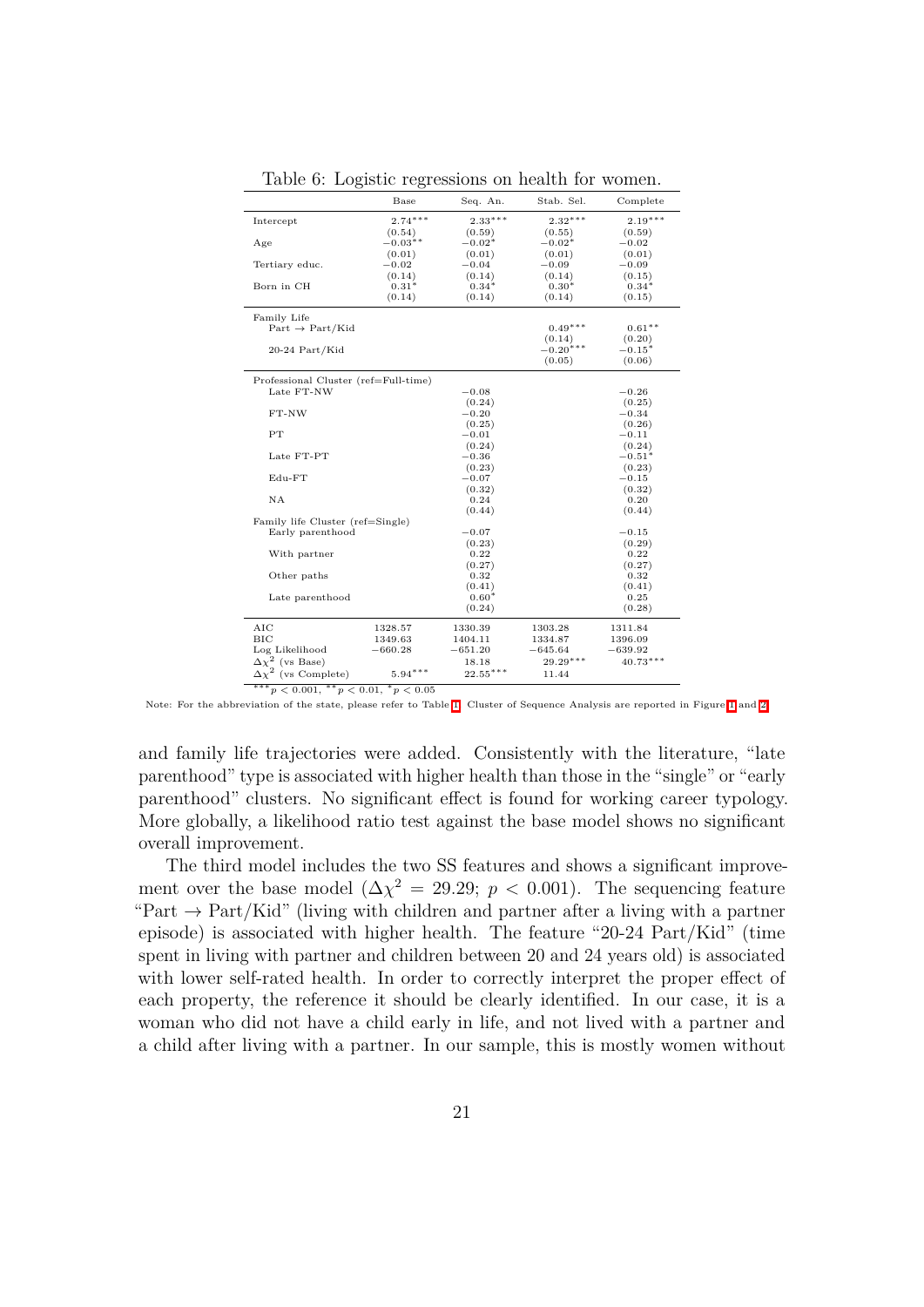|                                      | Base           | Seq. An.   | Stab. Sel. | Complete   |
|--------------------------------------|----------------|------------|------------|------------|
| Intercept                            | $2.74***$      | $2.33***$  | $2.32***$  | $2.19***$  |
|                                      | (0.54)         | (0.59)     | (0.55)     | (0.59)     |
| Age                                  | $-0.03**$      | $-0.02*$   | $-0.02*$   | $-0.02$    |
|                                      | (0.01)         | (0.01)     | (0.01)     | (0.01)     |
| Tertiary educ.                       | $^{ -0.02}$    | $-0.04$    | $-0.09$    | $-0.09$    |
|                                      | (0.14)         | (0.14)     | (0.14)     | (0.15)     |
| Born in CH                           | $0.31*$        | $0.34*$    | $0.30*$    | $0.34*$    |
|                                      | (0.14)         | (0.14)     | (0.14)     | (0.15)     |
| Family Life                          |                |            |            |            |
| $Part \rightarrow Part/Kid$          |                |            | $0.49***$  | $0.61**$   |
|                                      |                |            | (0.14)     | (0.20)     |
| $20-24$ Part/Kid                     |                |            | $-0.20***$ | $-0.15*$   |
|                                      |                |            | (0.05)     | (0.06)     |
| Professional Cluster (ref=Full-time) |                |            |            |            |
| Late FT-NW                           |                | $-0.08$    |            | $-0.26$    |
|                                      |                | (0.24)     |            | (0.25)     |
| FT-NW                                |                | $-0.20$    |            | $-0.34$    |
|                                      |                | (0.25)     |            | (0.26)     |
| PT                                   |                | $-0.01$    |            | $-0.11$    |
|                                      |                | (0.24)     |            | (0.24)     |
| Late FT-PT                           |                | $-0.36$    |            | $-0.51*$   |
|                                      |                | (0.23)     |            | (0.23)     |
| $Edu-FT$                             |                | $-0.07$    |            | $-0.15$    |
|                                      |                | (0.32)     |            | (0.32)     |
| NA                                   |                | 0.24       |            | 0.20       |
|                                      |                | (0.44)     |            | (0.44)     |
| Family life Cluster (ref=Single)     |                |            |            |            |
| Early parenthood                     |                | $-0.07$    |            | $-0.15$    |
|                                      |                | (0.23)     |            | (0.29)     |
| With partner                         |                | 0.22       |            | 0.22       |
|                                      |                | (0.27)     |            | (0.27)     |
| Other paths                          |                | 0.32       |            | 0.32       |
|                                      |                | (0.41)     |            | (0.41)     |
| Late parenthood                      |                | $0.60*$    |            | 0.25       |
|                                      |                | (0.24)     |            | (0.28)     |
| AIC                                  | 1328.57        | 1330.39    | 1303.28    | 1311.84    |
| BIC                                  | 1349.63        | 1404.11    | 1334.87    | 1396.09    |
| Log Likelihood                       | $-660.28$      | $-651.20$  | $-645.64$  | $-639.92$  |
| $2$ (vs Base)<br>$\Delta\chi$        |                | 18.18      | $29.29***$ | $40.73***$ |
| $\Delta\chi^2$ (vs Complete)         | $5.94***$      | $22.55***$ | 11.44      |            |
| *** $p < 0.001$ , ** $p < 0.01$ ,    | $*_{p}$ < 0.05 |            |            |            |

<span id="page-22-0"></span>Table 6: Logistic regressions on health for women.

Note: For the abbreviation of the state, please refer to Table  $\prod$  Cluster of Sequence Analysis are reported in Figure  $\prod$  and  $\boxed{2}$ 

and family life trajectories were added. Consistently with the literature, "late parenthood" type is associated with higher health than those in the "single" or "early parenthood" clusters. No significant effect is found for working career typology. More globally, a likelihood ratio test against the base model shows no significant overall improvement.

The third model includes the two SS features and shows a significant improvement over the base model ( $\Delta \chi^2 = 29.29$ ;  $p < 0.001$ ). The sequencing feature "Part  $\rightarrow$  Part/Kid" (living with children and partner after a living with a partner episode) is associated with higher health. The feature "20-24 Part/Kid" (time spent in living with partner and children between 20 and 24 years old) is associated with lower self-rated health. In order to correctly interpret the proper effect of each property, the reference it should be clearly identified. In our case, it is a woman who did not have a child early in life, and not lived with a partner and a child after living with a partner. In our sample, this is mostly women without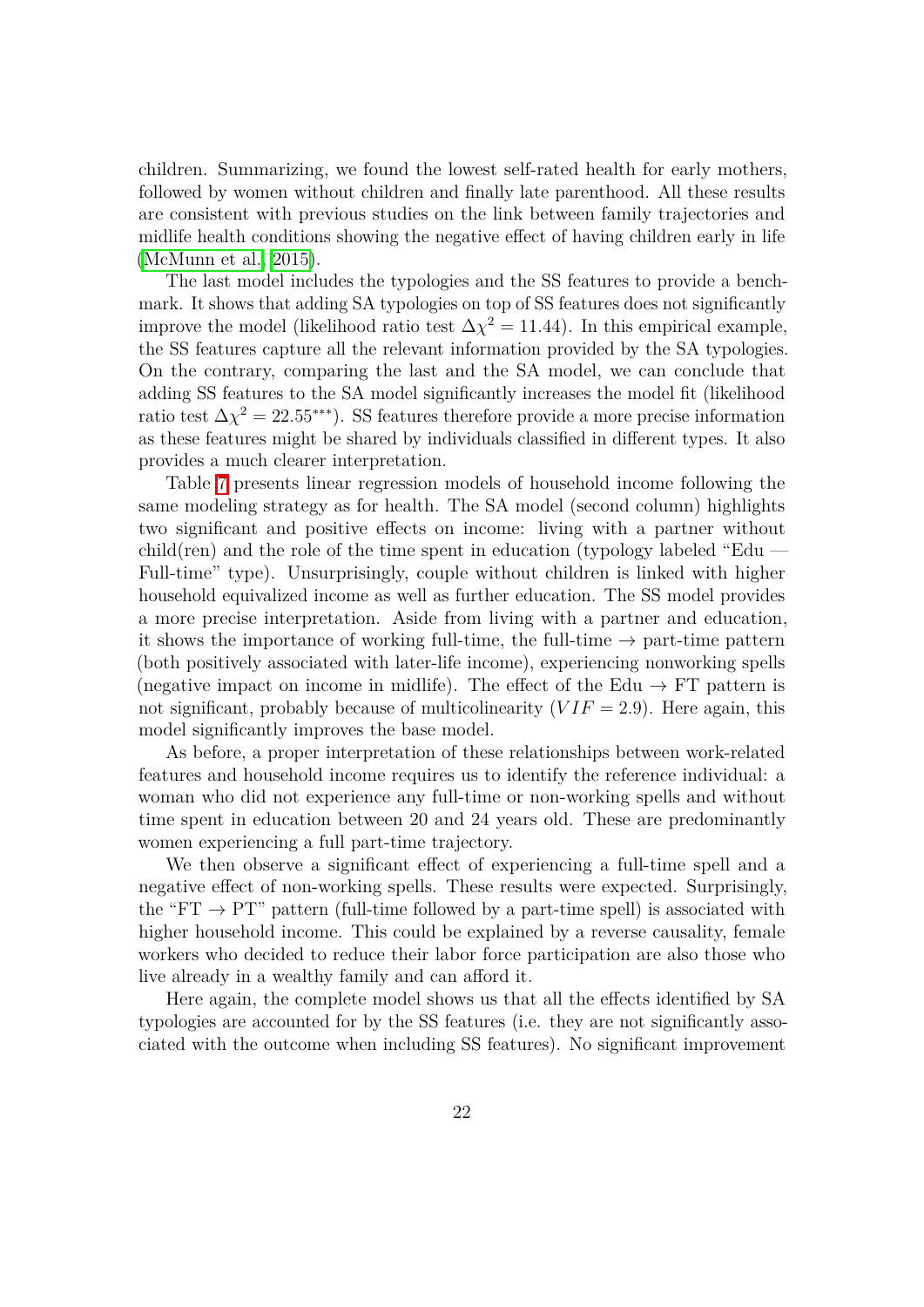children. Summarizing, we found the lowest self-rated health for early mothers, followed by women without children and finally late parenthood. All these results are consistent with previous studies on the link between family trajectories and midlife health conditions showing the negative effect of having children early in life [\(McMunn et al., 2015\)](#page-31-0).

The last model includes the typologies and the SS features to provide a benchmark. It shows that adding SA typologies on top of SS features does not significantly improve the model (likelihood ratio test  $\Delta \chi^2 = 11.44$ ). In this empirical example, the SS features capture all the relevant information provided by the SA typologies. On the contrary, comparing the last and the SA model, we can conclude that adding SS features to the SA model significantly increases the model fit (likelihood ratio test  $\Delta \chi^2 = 22.55$ <sup>\*\*\*</sup>). SS features therefore provide a more precise information as these features might be shared by individuals classified in different types. It also provides a much clearer interpretation.

Table  $\bar{7}$  presents linear regression models of household income following the same modeling strategy as for health. The SA model (second column) highlights two significant and positive effects on income: living with a partner without child(ren) and the role of the time spent in education (typology labeled "Edu  $-$ Full-time" type). Unsurprisingly, couple without children is linked with higher household equivalized income as well as further education. The SS model provides a more precise interpretation. Aside from living with a partner and education, it shows the importance of working full-time, the full-time  $\rightarrow$  part-time pattern (both positively associated with later-life income), experiencing nonworking spells (negative impact on income in midlife). The effect of the Edu  $\rightarrow$  FT pattern is not significant, probably because of multicolinearity  $(VIF = 2.9)$ . Here again, this model significantly improves the base model.

As before, a proper interpretation of these relationships between work-related features and household income requires us to identify the reference individual: a woman who did not experience any full-time or non-working spells and without time spent in education between 20 and 24 years old. These are predominantly women experiencing a full part-time trajectory.

We then observe a significant effect of experiencing a full-time spell and a negative effect of non-working spells. These results were expected. Surprisingly, the "FT  $\rightarrow$  PT" pattern (full-time followed by a part-time spell) is associated with higher household income. This could be explained by a reverse causality, female workers who decided to reduce their labor force participation are also those who live already in a wealthy family and can afford it.

Here again, the complete model shows us that all the effects identified by SA typologies are accounted for by the SS features (i.e. they are not significantly associated with the outcome when including SS features). No significant improvement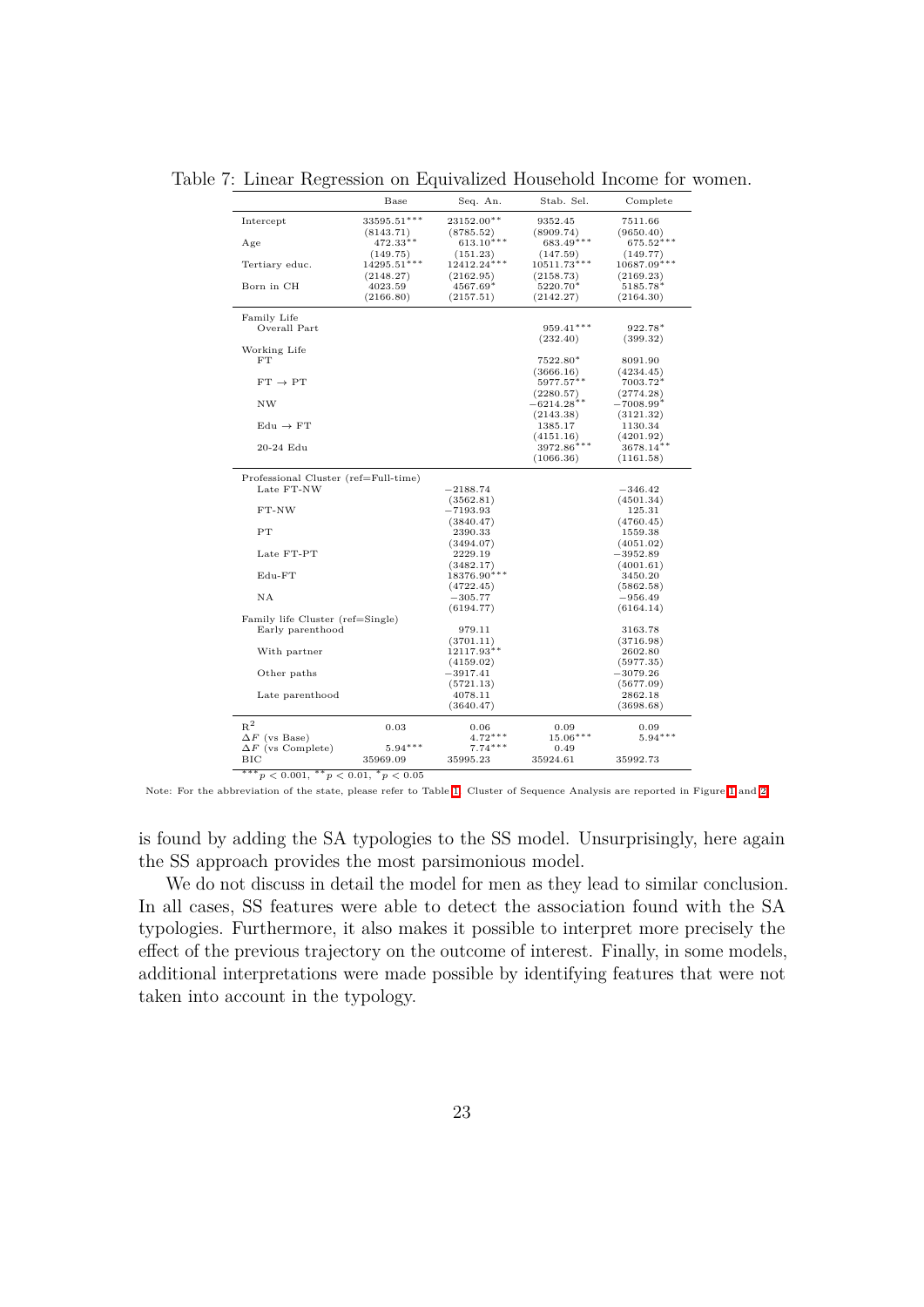Table 7: Linear Regression on Equivalized Household Income for women.

<span id="page-24-0"></span>

|                                      | Base          | Seq. An.      | Stab. Sel.    | Complete     |
|--------------------------------------|---------------|---------------|---------------|--------------|
| Intercept                            | 33595.51***   | 23152.00**    | 9352.45       | 7511.66      |
|                                      | (8143.71)     | (8785.52)     | (8909.74)     | (9650.40)    |
| Age                                  | $472.33**$    | $613.10***$   | 683.49***     | $675.52***$  |
|                                      | (149.75)      | (151.23)      | (147.59)      | (149.77)     |
| Tertiary educ.                       | $14295.51***$ | $12412.24***$ | $10511.73***$ | 10687.09***  |
|                                      | (2148.27)     | (2162.95)     | (2158.73)     | (2169.23)    |
| Born in CH                           | 4023.59       | 4567.69*      | $5220.70*$    | 5185.78*     |
|                                      | (2166.80)     | (2157.51)     | (2142.27)     | (2164.30)    |
|                                      |               |               |               |              |
| Family Life                          |               |               | 959.41***     | $922.78*$    |
| Overall Part                         |               |               |               |              |
|                                      |               |               | (232.40)      | (399.32)     |
| Working Life                         |               |               |               |              |
| FT                                   |               |               | $7522.80*$    | 8091.90      |
|                                      |               |               | (3666.16)     | (4234.45)    |
| $FT \rightarrow PT$                  |               |               | $5977.57***$  | $7003.72*$   |
|                                      |               |               | (2280.57)     | (2774.28)    |
| <b>NW</b>                            |               |               | $-6214.28***$ | $-7008.99*$  |
|                                      |               |               | (2143.38)     | (3121.32)    |
| $Edu \rightarrow FT$                 |               |               | 1385.17       | 1130.34      |
|                                      |               |               | (4151.16)     | (4201.92)    |
| 20-24 Edu                            |               |               | 3972.86***    | $3678.14***$ |
|                                      |               |               | (1066.36)     | (1161.58)    |
| Professional Cluster (ref=Full-time) |               |               |               |              |
| Late FT-NW                           |               | $-2188.74$    |               | $-346.42$    |
|                                      |               | (3562.81)     |               | (4501.34)    |
| FT-NW                                |               | $-7193.93$    |               | 125.31       |
|                                      |               | (3840.47)     |               | (4760.45)    |
| PT                                   |               | 2390.33       |               | 1559.38      |
|                                      |               | (3494.07)     |               | (4051.02)    |
| Late FT-PT                           |               | 2229.19       |               | $-3952.89$   |
|                                      |               | (3482.17)     |               | (4001.61)    |
| $Edu-FT$                             |               | $18376.90***$ |               | 3450.20      |
|                                      |               |               |               |              |
| NΑ                                   |               | (4722.45)     |               | (5862.58)    |
|                                      |               | $-305.77$     |               | $-956.49$    |
| Family life Cluster (ref=Single)     |               | (6194.77)     |               | (6164.14)    |
| Early parenthood                     |               | 979.11        |               | 3163.78      |
|                                      |               | (3701.11)     |               | (3716.98)    |
| With partner                         |               | 12117.93**    |               | 2602.80      |
|                                      |               |               |               | (5977.35)    |
|                                      |               | (4159.02)     |               |              |
| Other paths                          |               | $-3917.41$    |               | $-3079.26$   |
|                                      |               | (5721.13)     |               | (5677.09)    |
| Late parenthood                      |               | 4078.11       |               | 2862.18      |
|                                      |               | (3640.47)     |               | (3698.68)    |
| $R^2$                                | 0.03          | 0.06          | 0.09          | 0.09         |
| $\Delta F$ (vs Base)                 |               | $4.72***$     | $15.06***$    | $5.94***$    |
| $\Delta F$ (vs Complete)             | $5.94***$     | $7.74***$     | 0.49          |              |
|                                      |               |               |               |              |
| ВIС                                  | 35969.09      | 35995.23      | 35924.61      | 35992.73     |

Note: For the abbreviation of the state, please refer to Table  $\boxed{1}$  Cluster of Sequence Analysis are reported in Figure  $\boxed{1}$  and  $\boxed{2}$ 

is found by adding the SA typologies to the SS model. Unsurprisingly, here again the SS approach provides the most parsimonious model.

We do not discuss in detail the model for men as they lead to similar conclusion. In all cases, SS features were able to detect the association found with the SA typologies. Furthermore, it also makes it possible to interpret more precisely the effect of the previous trajectory on the outcome of interest. Finally, in some models, additional interpretations were made possible by identifying features that were not taken into account in the typology.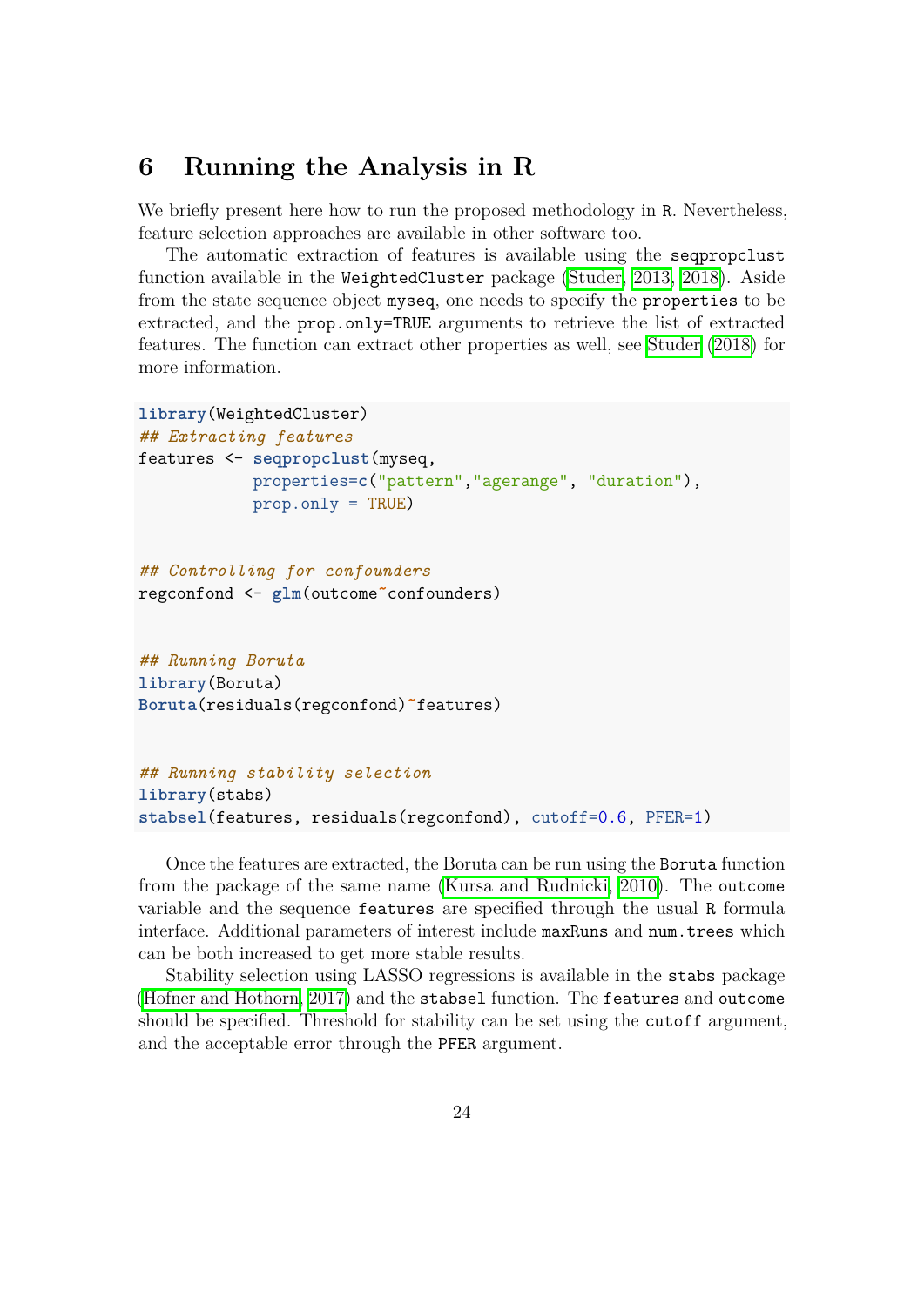## <span id="page-25-0"></span>**6 Running the Analysis in R**

We briefly present here how to run the proposed methodology in R. Nevertheless, feature selection approaches are available in other software too.

The automatic extraction of features is available using the seqpropclust function available in the WeightedCluster package  $(Studer, 2013, 2018)$  $(Studer, 2013, 2018)$ . Aside from the state sequence object myseq, one needs to specify the properties to be extracted, and the prop.only=TRUE arguments to retrieve the list of extracted features. The function can extract other properties as well, see [Studer](#page-32-2) [\(2018\)](#page-32-2) for more information.

```
library(WeightedCluster)
## Extracting features
features <- seqpropclust(myseq,
            properties=c("pattern","agerange", "duration"),
            prop.only = TRUE)
## Controlling for confounders
regconfond <- glm(outcome˜confounders)
## Running Boruta
```

```
library(Boruta)
Boruta(residuals(regconfond)˜features)
```

```
## Running stability selection
library(stabs)
stabsel(features, residuals(regconfond), cutoff=0.6, PFER=1)
```
Once the features are extracted, the Boruta can be run using the Boruta function from the package of the same name [\(Kursa and Rudnicki, 2010\)](#page-30-9). The outcome variable and the sequence features are specified through the usual R formula interface. Additional parameters of interest include maxRuns and num.trees which can be both increased to get more stable results.

Stability selection using LASSO regressions is available in the stabs package [\(Hofner and Hothorn, 2017\)](#page-30-12) and the stabsel function. The features and outcome should be specified. Threshold for stability can be set using the cutoff argument, and the acceptable error through the PFER argument.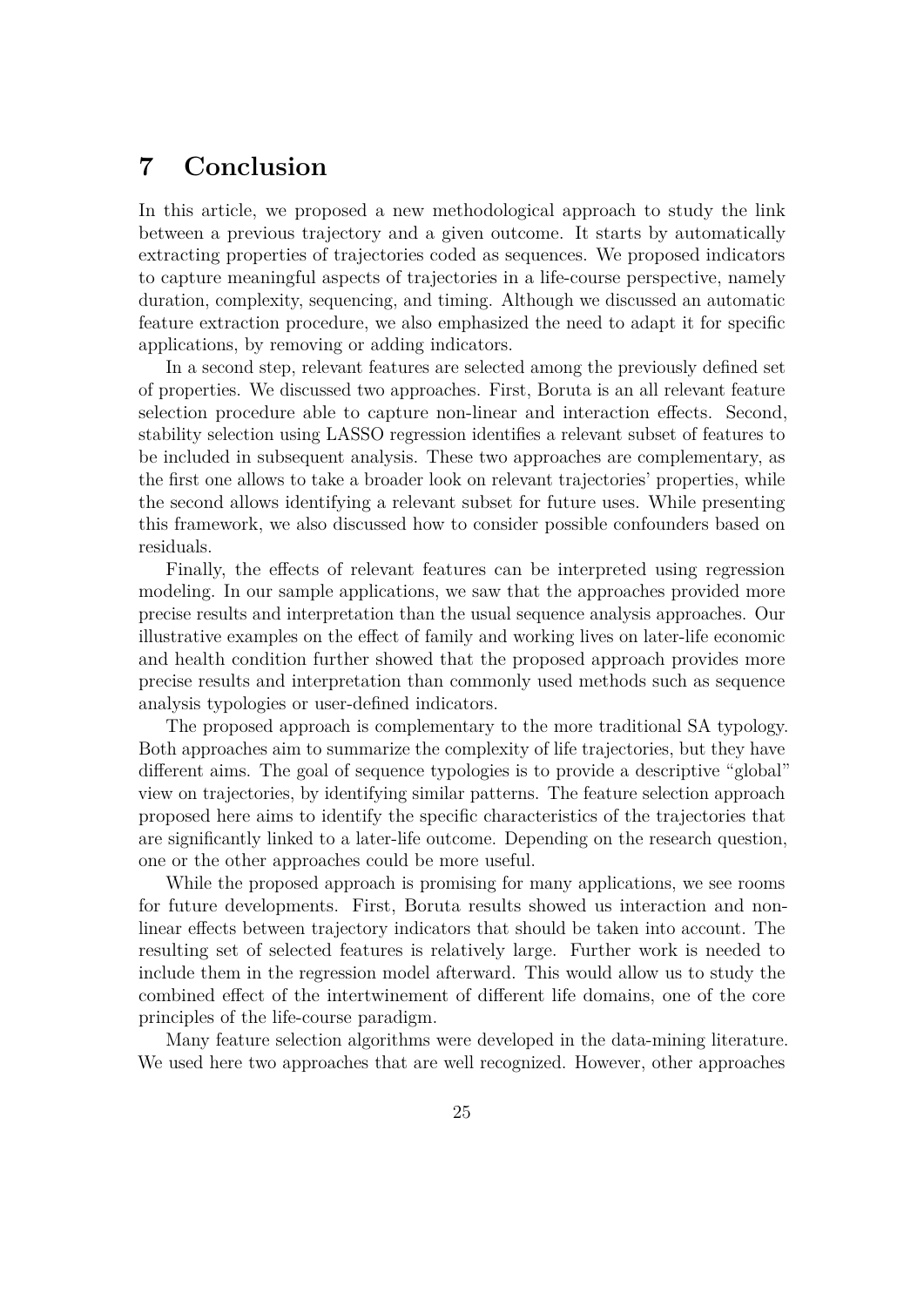## <span id="page-26-0"></span>**7 Conclusion**

In this article, we proposed a new methodological approach to study the link between a previous trajectory and a given outcome. It starts by automatically extracting properties of trajectories coded as sequences. We proposed indicators to capture meaningful aspects of trajectories in a life-course perspective, namely duration, complexity, sequencing, and timing. Although we discussed an automatic feature extraction procedure, we also emphasized the need to adapt it for specific applications, by removing or adding indicators.

In a second step, relevant features are selected among the previously defined set of properties. We discussed two approaches. First, Boruta is an all relevant feature selection procedure able to capture non-linear and interaction effects. Second, stability selection using LASSO regression identifies a relevant subset of features to be included in subsequent analysis. These two approaches are complementary, as the first one allows to take a broader look on relevant trajectories' properties, while the second allows identifying a relevant subset for future uses. While presenting this framework, we also discussed how to consider possible confounders based on residuals.

Finally, the effects of relevant features can be interpreted using regression modeling. In our sample applications, we saw that the approaches provided more precise results and interpretation than the usual sequence analysis approaches. Our illustrative examples on the effect of family and working lives on later-life economic and health condition further showed that the proposed approach provides more precise results and interpretation than commonly used methods such as sequence analysis typologies or user-defined indicators.

The proposed approach is complementary to the more traditional SA typology. Both approaches aim to summarize the complexity of life trajectories, but they have different aims. The goal of sequence typologies is to provide a descriptive "global" view on trajectories, by identifying similar patterns. The feature selection approach proposed here aims to identify the specific characteristics of the trajectories that are significantly linked to a later-life outcome. Depending on the research question, one or the other approaches could be more useful.

While the proposed approach is promising for many applications, we see rooms for future developments. First, Boruta results showed us interaction and nonlinear effects between trajectory indicators that should be taken into account. The resulting set of selected features is relatively large. Further work is needed to include them in the regression model afterward. This would allow us to study the combined effect of the intertwinement of different life domains, one of the core principles of the life-course paradigm.

Many feature selection algorithms were developed in the data-mining literature. We used here two approaches that are well recognized. However, other approaches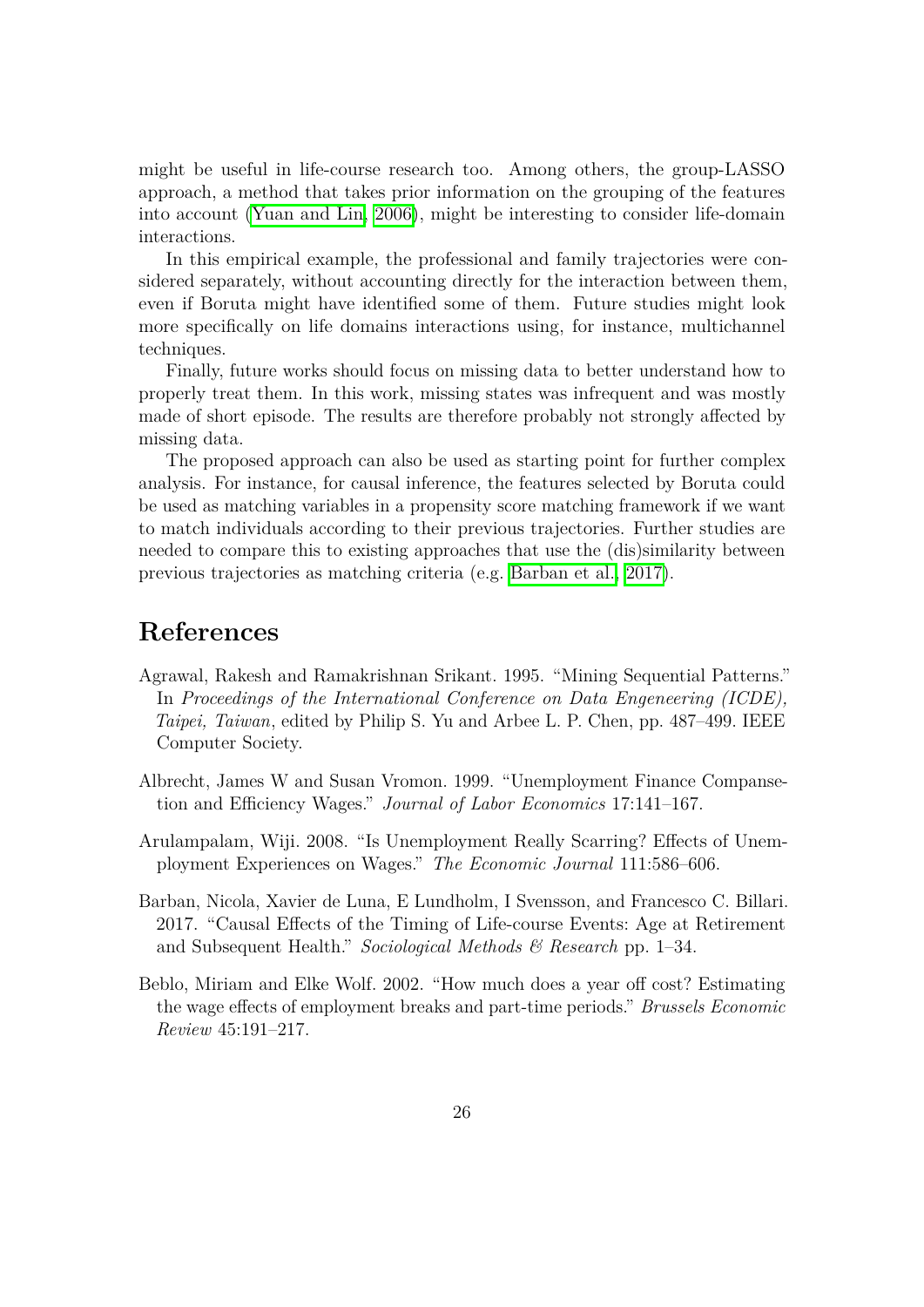might be useful in life-course research too. Among others, the group-LASSO approach, a method that takes prior information on the grouping of the features into account (Yuan and Lin,  $\langle 2006 \rangle$ , might be interesting to consider life-domain interactions.

In this empirical example, the professional and family trajectories were considered separately, without accounting directly for the interaction between them, even if Boruta might have identified some of them. Future studies might look more specifically on life domains interactions using, for instance, multichannel techniques.

Finally, future works should focus on missing data to better understand how to properly treat them. In this work, missing states was infrequent and was mostly made of short episode. The results are therefore probably not strongly affected by missing data.

The proposed approach can also be used as starting point for further complex analysis. For instance, for causal inference, the features selected by Boruta could be used as matching variables in a propensity score matching framework if we want to match individuals according to their previous trajectories. Further studies are needed to compare this to existing approaches that use the (dis)similarity between previous trajectories as matching criteria (e.g. [Barban et al., 2017\)](#page-27-4).

## **References**

- <span id="page-27-3"></span>Agrawal, Rakesh and Ramakrishnan Srikant. 1995. "Mining Sequential Patterns." In *Proceedings of the International Conference on Data Engeneering (ICDE), Taipei, Taiwan*, edited by Philip S. Yu and Arbee L. P. Chen, pp. 487–499. IEEE Computer Society.
- <span id="page-27-1"></span>Albrecht, James W and Susan Vromon. 1999. "Unemployment Finance Compansetion and Efficiency Wages." *Journal of Labor Economics* 17:141–167.
- <span id="page-27-0"></span>Arulampalam, Wiji. 2008. "Is Unemployment Really Scarring? Effects of Unemployment Experiences on Wages." *The Economic Journal* 111:586–606.
- <span id="page-27-4"></span>Barban, Nicola, Xavier de Luna, E Lundholm, I Svensson, and Francesco C. Billari. 2017. "Causal Effects of the Timing of Life-course Events: Age at Retirement and Subsequent Health." *Sociological Methods & Research* pp. 1–34.
- <span id="page-27-2"></span>Beblo, Miriam and Elke Wolf. 2002. "How much does a year off cost? Estimating the wage effects of employment breaks and part-time periods." *Brussels Economic Review* 45:191–217.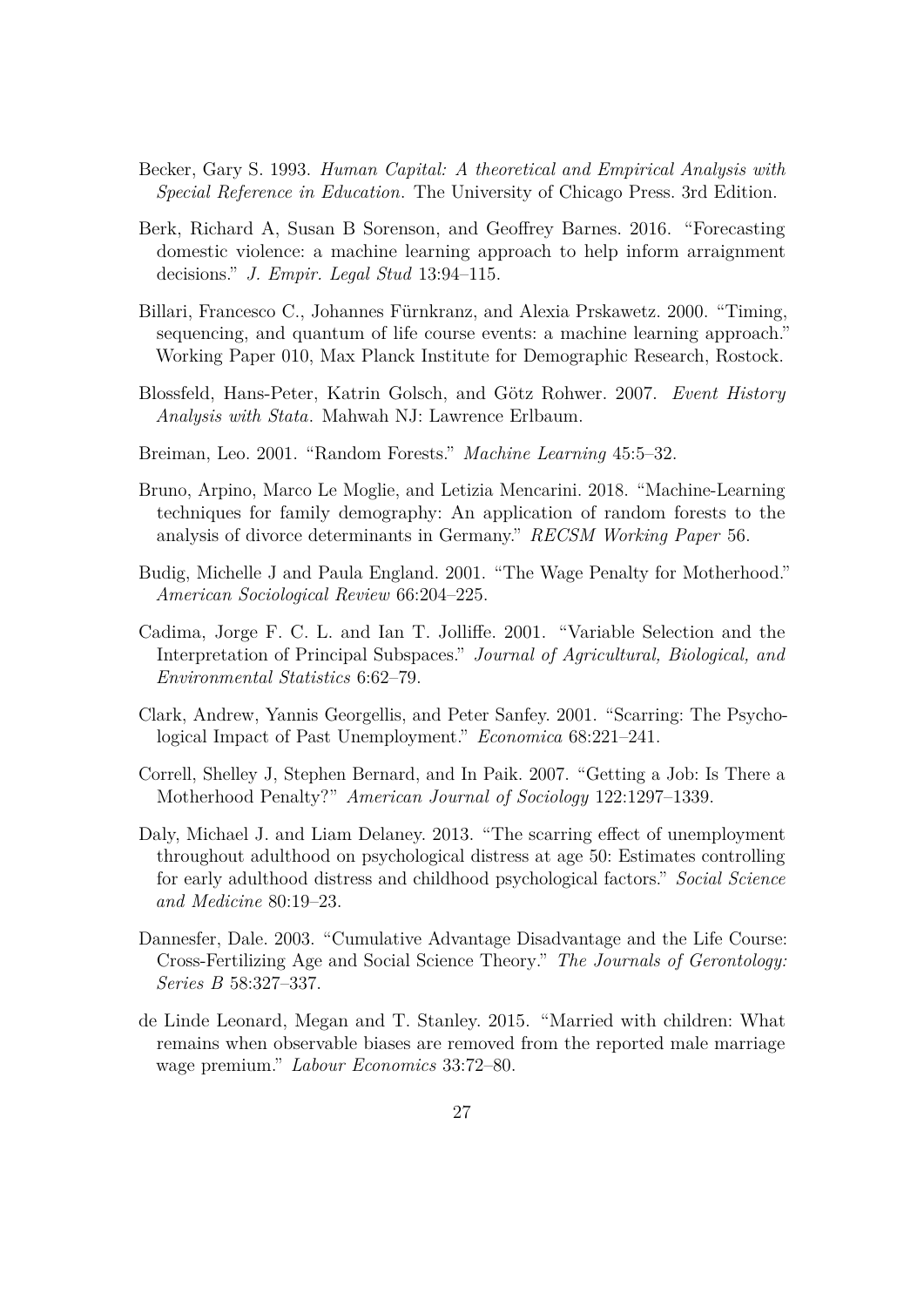- <span id="page-28-4"></span>Becker, Gary S. 1993. *Human Capital: A theoretical and Empirical Analysis with Special Reference in Education*. The University of Chicago Press. 3rd Edition.
- <span id="page-28-11"></span>Berk, Richard A, Susan B Sorenson, and Geoffrey Barnes. 2016. "Forecasting domestic violence: a machine learning approach to help inform arraignment decisions." *J. Empir. Legal Stud* 13:94–115.
- <span id="page-28-8"></span>Billari, Francesco C., Johannes Fürnkranz, and Alexia Prskawetz. 2000. "Timing, sequencing, and quantum of life course events: a machine learning approach." Working Paper 010, Max Planck Institute for Demographic Research, Rostock.
- <span id="page-28-0"></span>Blossfeld, Hans-Peter, Katrin Golsch, and Götz Rohwer. 2007. Event History *Analysis with Stata*. Mahwah NJ: Lawrence Erlbaum.
- <span id="page-28-10"></span>Breiman, Leo. 2001. "Random Forests." *Machine Learning* 45:5–32.
- <span id="page-28-12"></span>Bruno, Arpino, Marco Le Moglie, and Letizia Mencarini. 2018. "Machine-Learning techniques for family demography: An application of random forests to the analysis of divorce determinants in Germany." *RECSM Working Paper* 56.
- <span id="page-28-5"></span>Budig, Michelle J and Paula England. 2001. "The Wage Penalty for Motherhood." *American Sociological Review* 66:204–225.
- <span id="page-28-9"></span>Cadima, Jorge F. C. L. and Ian T. Jolliffe. 2001. "Variable Selection and the Interpretation of Principal Subspaces." *Journal of Agricultural, Biological, and Environmental Statistics* 6:62–79.
- <span id="page-28-2"></span>Clark, Andrew, Yannis Georgellis, and Peter Sanfey. 2001. "Scarring: The Psychological Impact of Past Unemployment." *Economica* 68:221–241.
- <span id="page-28-6"></span>Correll, Shelley J, Stephen Bernard, and In Paik. 2007. "Getting a Job: Is There a Motherhood Penalty?" *American Journal of Sociology* 122:1297–1339.
- <span id="page-28-3"></span>Daly, Michael J. and Liam Delaney. 2013. "The scarring effect of unemployment throughout adulthood on psychological distress at age 50: Estimates controlling for early adulthood distress and childhood psychological factors." *Social Science and Medicine* 80:19–23.
- <span id="page-28-1"></span>Dannesfer, Dale. 2003. "Cumulative Advantage Disadvantage and the Life Course: Cross-Fertilizing Age and Social Science Theory." *The Journals of Gerontology: Series B* 58:327–337.
- <span id="page-28-7"></span>de Linde Leonard, Megan and T. Stanley. 2015. "Married with children: What remains when observable biases are removed from the reported male marriage wage premium." *Labour Economics* 33:72–80.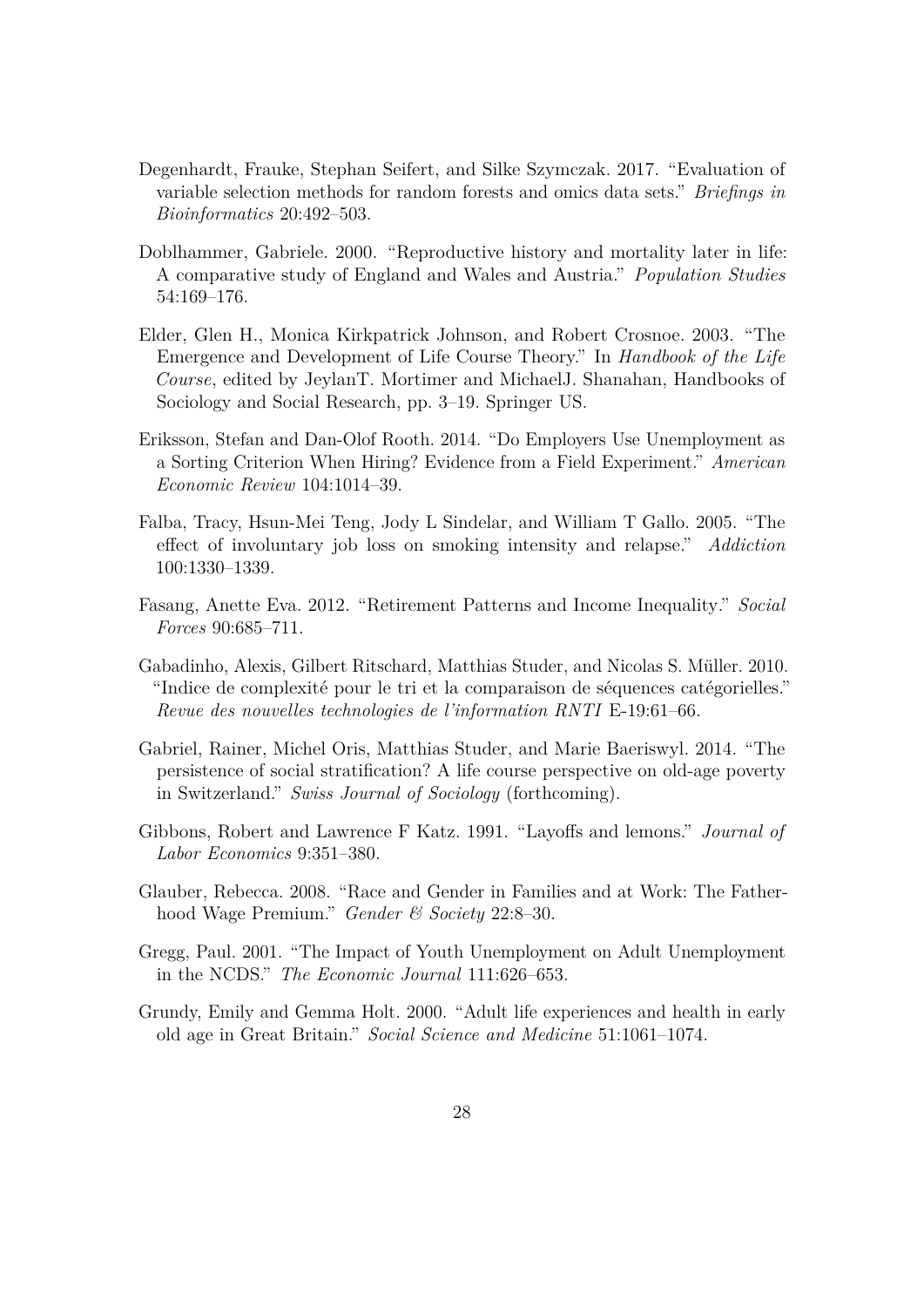- <span id="page-29-11"></span>Degenhardt, Frauke, Stephan Seifert, and Silke Szymczak. 2017. "Evaluation of variable selection methods for random forests and omics data sets." *Briefings in Bioinformatics* 20:492–503.
- <span id="page-29-4"></span>Doblhammer, Gabriele. 2000. "Reproductive history and mortality later in life: A comparative study of England and Wales and Austria." *Population Studies* 54:169–176.
- <span id="page-29-0"></span>Elder, Glen H., Monica Kirkpatrick Johnson, and Robert Crosnoe. 2003. "The Emergence and Development of Life Course Theory." In *Handbook of the Life Course*, edited by JeylanT. Mortimer and MichaelJ. Shanahan, Handbooks of Sociology and Social Research, pp. 3–19. Springer US.
- <span id="page-29-7"></span>Eriksson, Stefan and Dan-Olof Rooth. 2014. "Do Employers Use Unemployment as a Sorting Criterion When Hiring? Evidence from a Field Experiment." *American Economic Review* 104:1014–39.
- <span id="page-29-3"></span>Falba, Tracy, Hsun-Mei Teng, Jody L Sindelar, and William T Gallo. 2005. "The effect of involuntary job loss on smoking intensity and relapse." *Addiction* 100:1330–1339.
- <span id="page-29-1"></span>Fasang, Anette Eva. 2012. "Retirement Patterns and Income Inequality." *Social Forces* 90:685–711.
- <span id="page-29-10"></span>Gabadinho, Alexis, Gilbert Ritschard, Matthias Studer, and Nicolas S. Müller. 2010. "Indice de complexité pour le tri et la comparaison de séquences catégorielles." *Revue des nouvelles technologies de l'information RNTI* E-19:61–66.
- <span id="page-29-2"></span>Gabriel, Rainer, Michel Oris, Matthias Studer, and Marie Baeriswyl. 2014. "The persistence of social stratification? A life course perspective on old-age poverty in Switzerland." *Swiss Journal of Sociology* (forthcoming).
- <span id="page-29-6"></span>Gibbons, Robert and Lawrence F Katz. 1991. "Layoffs and lemons." *Journal of Labor Economics* 9:351–380.
- <span id="page-29-9"></span>Glauber, Rebecca. 2008. "Race and Gender in Families and at Work: The Fatherhood Wage Premium." *Gender & Society* 22:8–30.
- <span id="page-29-8"></span>Gregg, Paul. 2001. "The Impact of Youth Unemployment on Adult Unemployment in the NCDS." *The Economic Journal* 111:626–653.
- <span id="page-29-5"></span>Grundy, Emily and Gemma Holt. 2000. "Adult life experiences and health in early old age in Great Britain." *Social Science and Medicine* 51:1061–1074.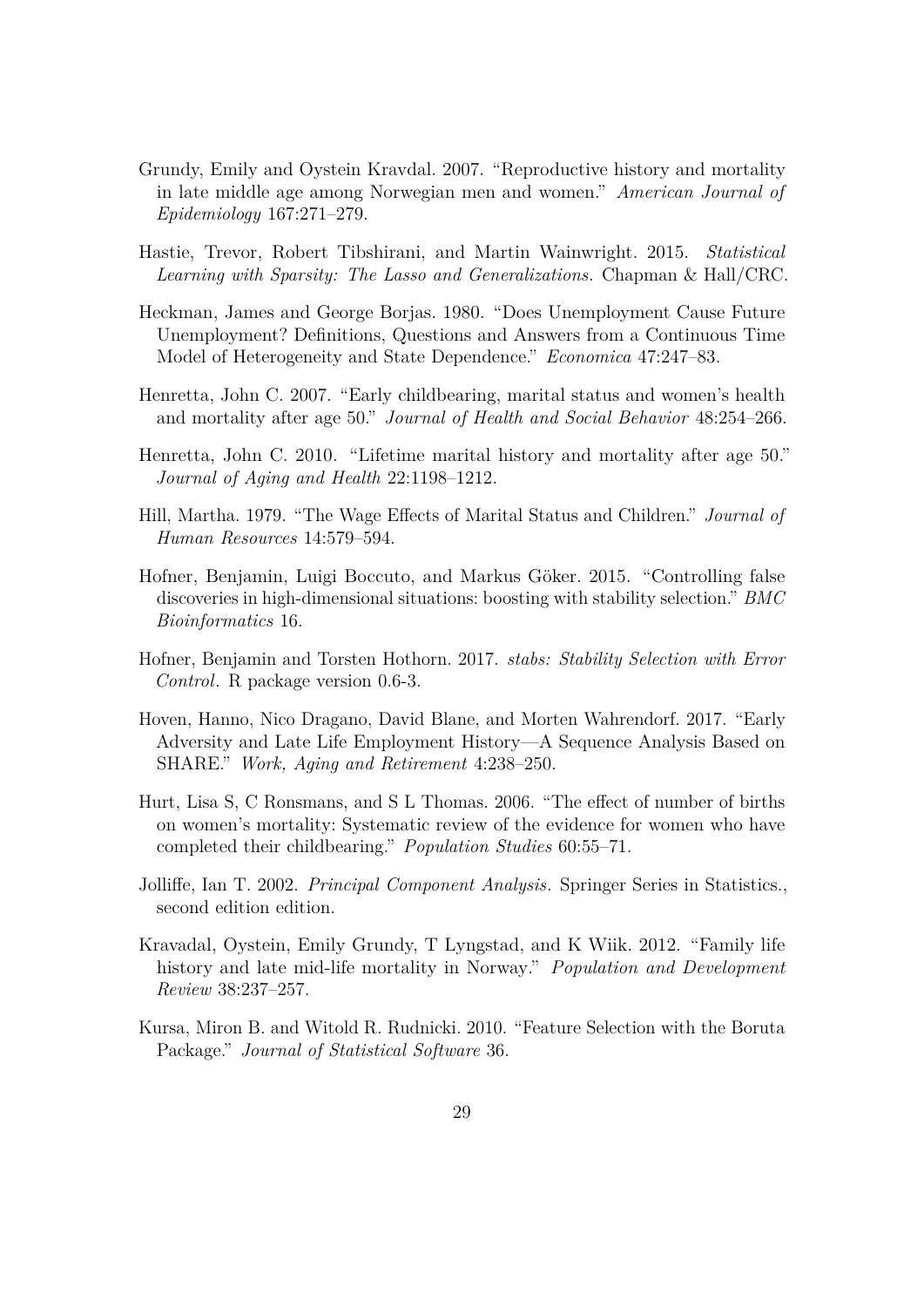- <span id="page-30-4"></span>Grundy, Emily and Oystein Kravdal. 2007. "Reproductive history and mortality in late middle age among Norwegian men and women." *American Journal of Epidemiology* 167:271–279.
- <span id="page-30-10"></span>Hastie, Trevor, Robert Tibshirani, and Martin Wainwright. 2015. *Statistical Learning with Sparsity: The Lasso and Generalizations*. Chapman & Hall/CRC.
- <span id="page-30-6"></span>Heckman, James and George Borjas. 1980. "Does Unemployment Cause Future Unemployment? Definitions, Questions and Answers from a Continuous Time Model of Heterogeneity and State Dependence." *Economica* 47:247–83.
- <span id="page-30-1"></span>Henretta, John C. 2007. "Early childbearing, marital status and women's health and mortality after age 50." *Journal of Health and Social Behavior* 48:254–266.
- <span id="page-30-5"></span>Henretta, John C. 2010. "Lifetime marital history and mortality after age 50." *Journal of Aging and Health* 22:1198–1212.
- <span id="page-30-7"></span>Hill, Martha. 1979. "The Wage Effects of Marital Status and Children." *Journal of Human Resources* 14:579–594.
- <span id="page-30-11"></span>Hofner, Benjamin, Luigi Boccuto, and Markus Göker. 2015. "Controlling false discoveries in high-dimensional situations: boosting with stability selection." *BMC Bioinformatics* 16.
- <span id="page-30-12"></span>Hofner, Benjamin and Torsten Hothorn. 2017. *stabs: Stability Selection with Error Control*. R package version 0.6-3.
- <span id="page-30-0"></span>Hoven, Hanno, Nico Dragano, David Blane, and Morten Wahrendorf. 2017. "Early Adversity and Late Life Employment History—A Sequence Analysis Based on SHARE." *Work, Aging and Retirement* 4:238–250.
- <span id="page-30-3"></span>Hurt, Lisa S, C Ronsmans, and S L Thomas. 2006. "The effect of number of births on women's mortality: Systematic review of the evidence for women who have completed their childbearing." *Population Studies* 60:55–71.
- <span id="page-30-8"></span>Jolliffe, Ian T. 2002. *Principal Component Analysis*. Springer Series in Statistics., second edition edition.
- <span id="page-30-2"></span>Kravadal, Oystein, Emily Grundy, T Lyngstad, and K Wiik. 2012. "Family life history and late mid-life mortality in Norway." *Population and Development Review* 38:237–257.
- <span id="page-30-9"></span>Kursa, Miron B. and Witold R. Rudnicki. 2010. "Feature Selection with the Boruta Package." *Journal of Statistical Software* 36.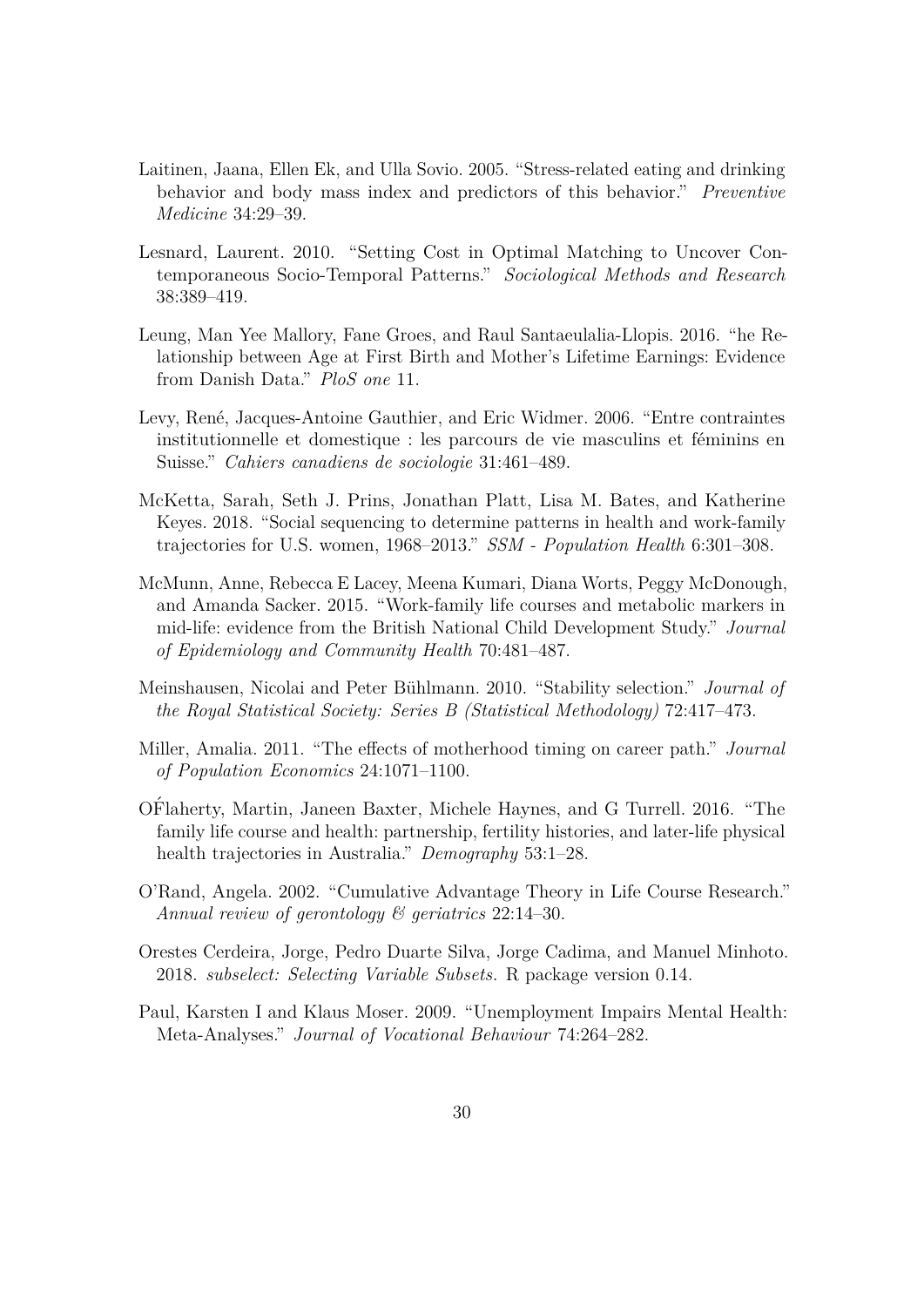- <span id="page-31-3"></span>Laitinen, Jaana, Ellen Ek, and Ulla Sovio. 2005. "Stress-related eating and drinking behavior and body mass index and predictors of this behavior." *Preventive Medicine* 34:29–39.
- <span id="page-31-9"></span>Lesnard, Laurent. 2010. "Setting Cost in Optimal Matching to Uncover Contemporaneous Socio-Temporal Patterns." *Sociological Methods and Research* 38:389–419.
- <span id="page-31-7"></span>Leung, Man Yee Mallory, Fane Groes, and Raul Santaeulalia-Llopis. 2016. "he Relationship between Age at First Birth and Mother's Lifetime Earnings: Evidence from Danish Data." *PloS one* 11.
- <span id="page-31-8"></span>Levy, René, Jacques-Antoine Gauthier, and Eric Widmer. 2006. "Entre contraintes institutionnelle et domestique : les parcours de vie masculins et féminins en Suisse." *Cahiers canadiens de sociologie* 31:461–489.
- <span id="page-31-5"></span>McKetta, Sarah, Seth J. Prins, Jonathan Platt, Lisa M. Bates, and Katherine Keyes. 2018. "Social sequencing to determine patterns in health and work-family trajectories for U.S. women, 1968–2013." *SSM - Population Health* 6:301–308.
- <span id="page-31-0"></span>McMunn, Anne, Rebecca E Lacey, Meena Kumari, Diana Worts, Peggy McDonough, and Amanda Sacker. 2015. "Work-family life courses and metabolic markers in mid-life: evidence from the British National Child Development Study." *Journal of Epidemiology and Community Health* 70:481–487.
- <span id="page-31-11"></span>Meinshausen, Nicolai and Peter B¨uhlmann. 2010. "Stability selection." *Journal of the Royal Statistical Society: Series B (Statistical Methodology)* 72:417–473.
- <span id="page-31-6"></span>Miller, Amalia. 2011. "The effects of motherhood timing on career path." *Journal of Population Economics* 24:1071–1100.
- <span id="page-31-4"></span>OFlaherty, Martin, Janeen Baxter, Michele Haynes, and G Turrell. 2016. "The ´ family life course and health: partnership, fertility histories, and later-life physical health trajectories in Australia." *Demography* 53:1–28.
- <span id="page-31-1"></span>O'Rand, Angela. 2002. "Cumulative Advantage Theory in Life Course Research." *Annual review of gerontology & geriatrics* 22:14–30.
- <span id="page-31-10"></span>Orestes Cerdeira, Jorge, Pedro Duarte Silva, Jorge Cadima, and Manuel Minhoto. 2018. *subselect: Selecting Variable Subsets*. R package version 0.14.
- <span id="page-31-2"></span>Paul, Karsten I and Klaus Moser. 2009. "Unemployment Impairs Mental Health: Meta-Analyses." *Journal of Vocational Behaviour* 74:264–282.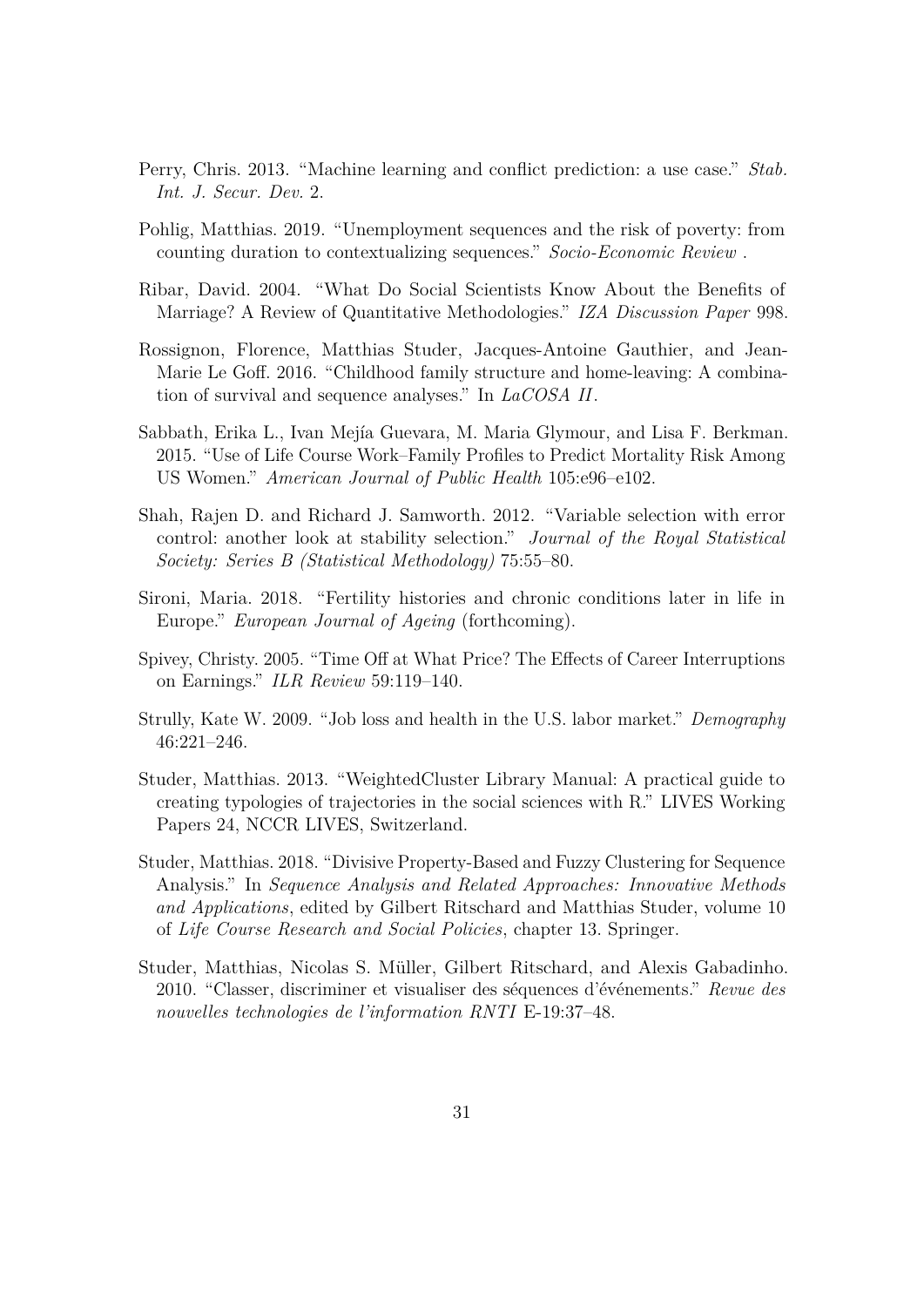- <span id="page-32-10"></span>Perry, Chris. 2013. "Machine learning and conflict prediction: a use case." *Stab. Int. J. Secur. Dev.* 2.
- <span id="page-32-6"></span>Pohlig, Matthias. 2019. "Unemployment sequences and the risk of poverty: from counting duration to contextualizing sequences." *Socio-Economic Review* .
- <span id="page-32-7"></span>Ribar, David. 2004. "What Do Social Scientists Know About the Benefits of Marriage? A Review of Quantitative Methodologies." *IZA Discussion Paper* 998.
- <span id="page-32-1"></span>Rossignon, Florence, Matthias Studer, Jacques-Antoine Gauthier, and Jean-Marie Le Goff. 2016. "Childhood family structure and home-leaving: A combination of survival and sequence analyses." In *LaCOSA II*.
- <span id="page-32-0"></span>Sabbath, Erika L., Ivan Mejía Guevara, M. Maria Glymour, and Lisa F. Berkman. 2015. "Use of Life Course Work–Family Profiles to Predict Mortality Risk Among US Women." *American Journal of Public Health* 105:e96–e102.
- <span id="page-32-11"></span>Shah, Rajen D. and Richard J. Samworth. 2012. "Variable selection with error control: another look at stability selection." *Journal of the Royal Statistical Society: Series B (Statistical Methodology)* 75:55–80.
- <span id="page-32-4"></span>Sironi, Maria. 2018. "Fertility histories and chronic conditions later in life in Europe." *European Journal of Ageing* (forthcoming).
- <span id="page-32-5"></span>Spivey, Christy. 2005. "Time Off at What Price? The Effects of Career Interruptions on Earnings." *ILR Review* 59:119–140.
- <span id="page-32-3"></span>Strully, Kate W. 2009. "Job loss and health in the U.S. labor market." *Demography* 46:221–246.
- <span id="page-32-8"></span>Studer, Matthias. 2013. "WeightedCluster Library Manual: A practical guide to creating typologies of trajectories in the social sciences with R." LIVES Working Papers 24, NCCR LIVES, Switzerland.
- <span id="page-32-2"></span>Studer, Matthias. 2018. "Divisive Property-Based and Fuzzy Clustering for Sequence Analysis." In *Sequence Analysis and Related Approaches: Innovative Methods and Applications*, edited by Gilbert Ritschard and Matthias Studer, volume 10 of *Life Course Research and Social Policies*, chapter 13. Springer.
- <span id="page-32-9"></span>Studer, Matthias, Nicolas S. Müller, Gilbert Ritschard, and Alexis Gabadinho. 2010. "Classer, discriminer et visualiser des s´equences d'´ev´enements." *Revue des nouvelles technologies de l'information RNTI* E-19:37–48.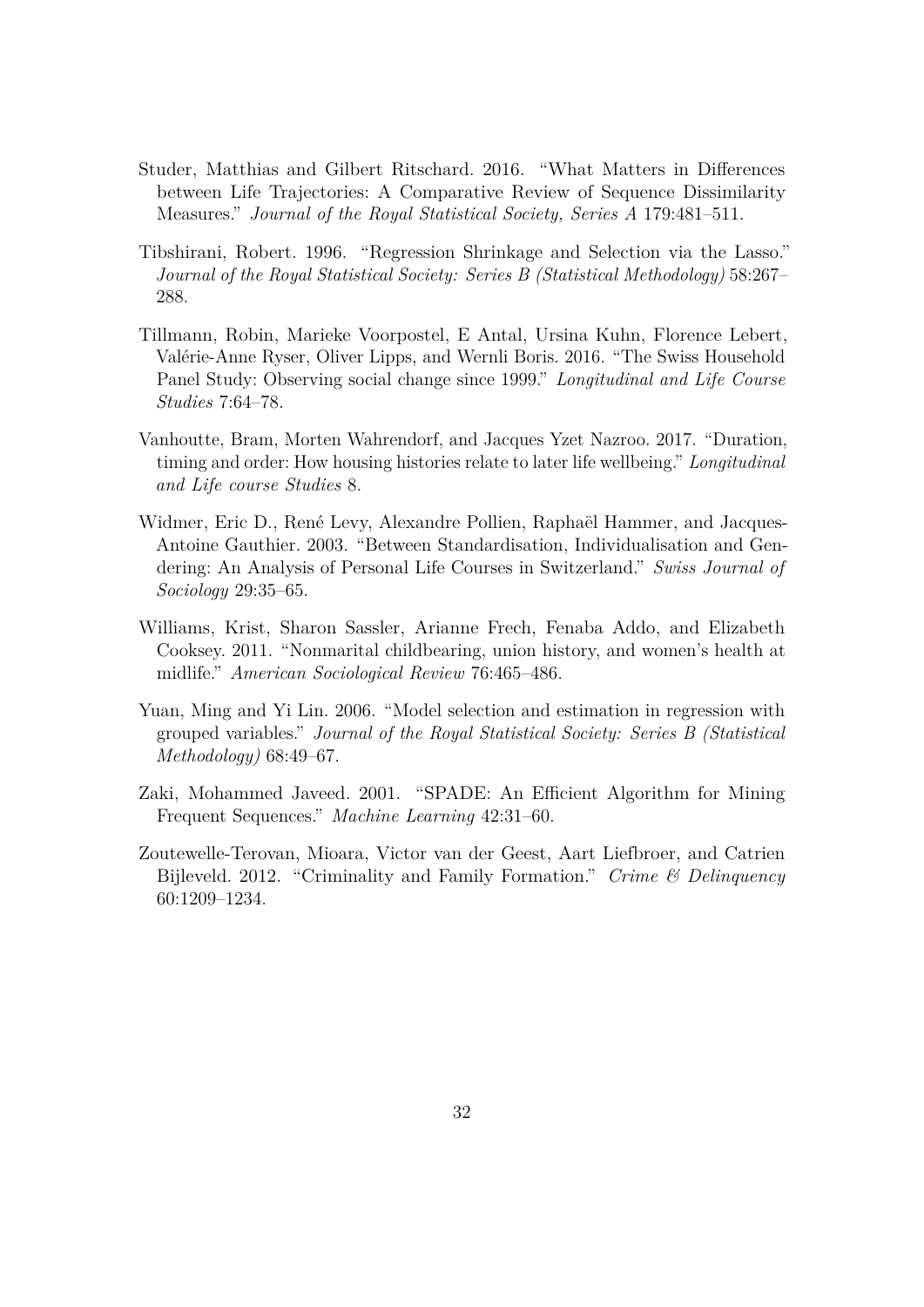- <span id="page-33-2"></span>Studer, Matthias and Gilbert Ritschard. 2016. "What Matters in Differences between Life Trajectories: A Comparative Review of Sequence Dissimilarity Measures." *Journal of the Royal Statistical Society, Series A* 179:481–511.
- <span id="page-33-7"></span>Tibshirani, Robert. 1996. "Regression Shrinkage and Selection via the Lasso." *Journal of the Royal Statistical Society: Series B (Statistical Methodology)* 58:267– 288.
- <span id="page-33-4"></span>Tillmann, Robin, Marieke Voorpostel, E Antal, Ursina Kuhn, Florence Lebert, Valérie-Anne Ryser, Oliver Lipps, and Wernli Boris. 2016. "The Swiss Household Panel Study: Observing social change since 1999." *Longitudinal and Life Course Studies* 7:64–78.
- <span id="page-33-0"></span>Vanhoutte, Bram, Morten Wahrendorf, and Jacques Yzet Nazroo. 2017. "Duration, timing and order: How housing histories relate to later life wellbeing." *Longitudinal and Life course Studies* 8.
- <span id="page-33-5"></span>Widmer, Eric D., René Levy, Alexandre Pollien, Raphaël Hammer, and Jacques-Antoine Gauthier. 2003. "Between Standardisation, Individualisation and Gendering: An Analysis of Personal Life Courses in Switzerland." *Swiss Journal of Sociology* 29:35–65.
- <span id="page-33-3"></span>Williams, Krist, Sharon Sassler, Arianne Frech, Fenaba Addo, and Elizabeth Cooksey. 2011. "Nonmarital childbearing, union history, and women's health at midlife." *American Sociological Review* 76:465–486.
- <span id="page-33-8"></span>Yuan, Ming and Yi Lin. 2006. "Model selection and estimation in regression with grouped variables." *Journal of the Royal Statistical Society: Series B (Statistical Methodology)* 68:49–67.
- <span id="page-33-6"></span>Zaki, Mohammed Javeed. 2001. "SPADE: An Efficient Algorithm for Mining Frequent Sequences." *Machine Learning* 42:31–60.
- <span id="page-33-1"></span>Zoutewelle-Terovan, Mioara, Victor van der Geest, Aart Liefbroer, and Catrien Bijleveld. 2012. "Criminality and Family Formation." *Crime & Delinquency* 60:1209–1234.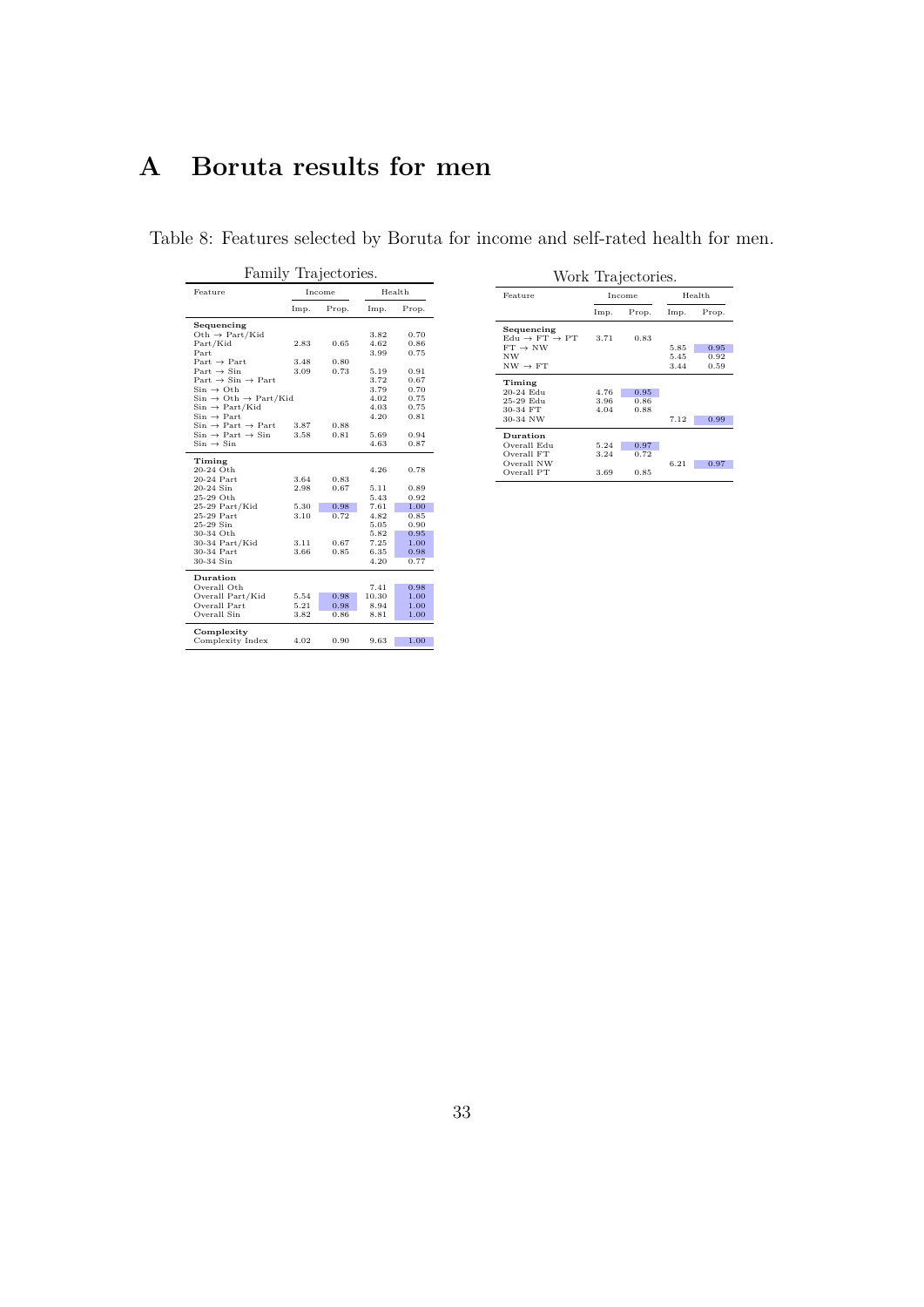## <span id="page-34-0"></span>**A Boruta results for men**

<span id="page-34-1"></span>

| Family Trajectories.                                            |      |        |       |        |  |  |
|-----------------------------------------------------------------|------|--------|-------|--------|--|--|
| Feature                                                         |      | Income |       | Health |  |  |
|                                                                 | Imp. | Prop.  | Imp.  | Prop.  |  |  |
| Sequencing                                                      |      |        |       |        |  |  |
| Oth $\rightarrow$ Part/Kid                                      |      |        | 3.82  | 0.70   |  |  |
| Part/Kid                                                        | 2.83 | 0.65   | 4.62  | 0.86   |  |  |
| Part                                                            |      |        | 3.99  | 0.75   |  |  |
| $Part \rightarrow Part$                                         | 3.48 | 0.80   |       |        |  |  |
| $Part \rightarrow Sin$                                          | 3.09 | 0.73   | 5.19  | 0.91   |  |  |
| $Part \rightarrow Sin \rightarrow Part$                         |      |        | 3.72  | 0.67   |  |  |
| $\mathrm{Sin}\rightarrow\mathrm{Oth}$                           |      |        | 3.79  | 0.70   |  |  |
| $Sin \rightarrow Oth \rightarrow Part/Kid$                      |      |        | 4.02  | 0.75   |  |  |
| $Sin \rightarrow Part/Kid$                                      |      |        | 4.03  | 0.75   |  |  |
| $\mathrm{Sin}\rightarrow \mathrm{Part}$                         |      |        | 4.20  | 0.81   |  |  |
| $\text{Sin} \rightarrow \text{Part} \rightarrow \text{Part}$    | 3.87 | 0.88   |       |        |  |  |
| $\mathrm{Sin}\rightarrow \mathrm{Part}\rightarrow \mathrm{Sin}$ | 3.58 | 0.81   | 5.69  | 0.94   |  |  |
| $\mathrm{Sin}\rightarrow \mathrm{Sin}$                          |      |        | 4.63  | 0.87   |  |  |
| Timing                                                          |      |        |       |        |  |  |
| $20-24$ Oth                                                     |      |        | 4.26  | 0.78   |  |  |
| 20-24 Part                                                      | 3.64 | 0.83   |       |        |  |  |
| 20-24 Sin                                                       | 2.98 | 0.67   | 5.11  | 0.89   |  |  |
| 25-29 Oth                                                       |      |        | 5.43  | 0.92   |  |  |
| 25-29 Part/Kid                                                  | 5.30 | 0.98   | 7.61  | 1.00   |  |  |
| 25-29 Part                                                      | 3.10 | 0.72   | 4.82  | 0.85   |  |  |
| 25-29 Sin                                                       |      |        | 5.05  | 0.90   |  |  |
| 30-34 Oth                                                       |      |        | 5.82  | 0.95   |  |  |
| 30-34 Part/Kid                                                  | 3.11 | 0.67   | 7.25  | 1.00.  |  |  |
| 30-34 Part                                                      | 3.66 | 0.85   | 6.35  | 0.98   |  |  |
| 30-34 Sin                                                       |      |        | 4.20  | 0.77   |  |  |
| Duration                                                        |      |        |       |        |  |  |
| Overall Oth                                                     |      |        | 7.41  | 0.98   |  |  |
| Overall Part/Kid                                                | 5.54 | 0.98   | 10.30 | 1.00   |  |  |
| Overall Part                                                    | 5.21 | 0.98   | 8.94  | 1.00   |  |  |
| Overall Sin                                                     | 3.82 | 0.86   | 8.81  | 1.00   |  |  |
| Complexity                                                      |      |        |       |        |  |  |
| Complexity Index                                                | 4.02 | 0.90   | 9.63  | 1.00   |  |  |

Table 8: Features selected by Boruta for income and self-rated health for men.

Work Trajectories.

| Feature                                           |      | Income |      | Health |
|---------------------------------------------------|------|--------|------|--------|
|                                                   | Imp. | Prop.  | Imp. | Prop.  |
| Sequencing<br>$Edu \rightarrow FT \rightarrow PT$ | 3.71 | 0.83   |      |        |
| $FT \rightarrow NW$                               |      |        | 5.85 | 0.95   |
| <b>NW</b>                                         |      |        | 5.45 | 0.92   |
| $NW \rightarrow FT$                               |      |        | 3.44 | 0.59   |
| Timing                                            |      |        |      |        |
| 20-24 Edu                                         | 4.76 | 0.95   |      |        |
| 25-29 Edu                                         | 3.96 | 0.86   |      |        |
| 30-34 FT                                          | 4.04 | 0.88   |      |        |
| 30-34 NW                                          |      |        | 7.12 | 0.99   |
| Duration                                          |      |        |      |        |
| Overall Edu                                       | 5.24 | 0.97   |      |        |
| Overall FT                                        | 3.24 | 0.72   |      |        |
| Overall NW                                        |      |        | 6.21 | 0.97   |
| Overall PT                                        | 3.69 | 0.85   |      |        |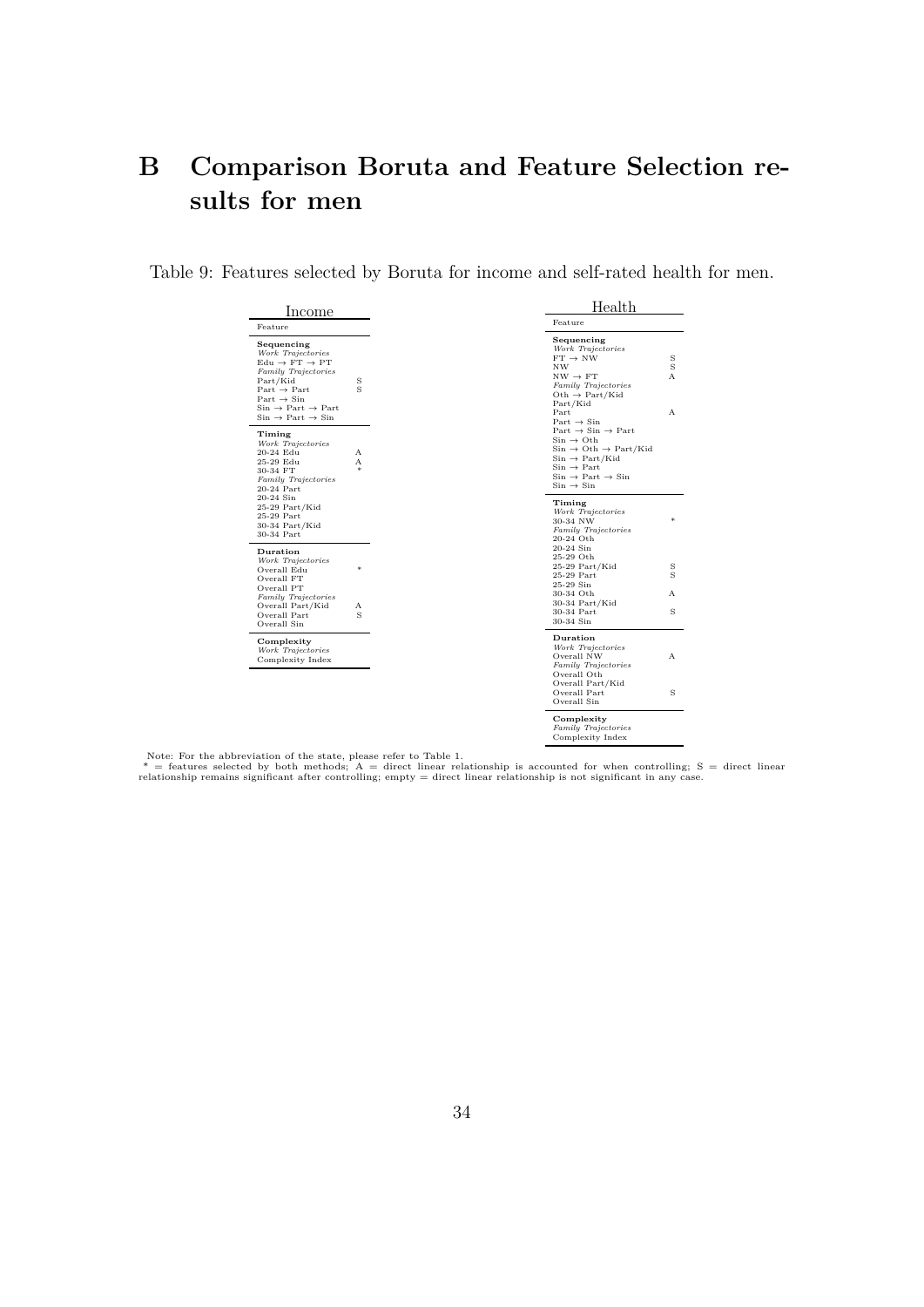## <span id="page-35-0"></span>**B Comparison Boruta and Feature Selection results for men**

Table 9: Features selected by Boruta for income and self-rated health for men.

| Income                                                                                                                                                                                                                                                                              |                              |  |
|-------------------------------------------------------------------------------------------------------------------------------------------------------------------------------------------------------------------------------------------------------------------------------------|------------------------------|--|
| Feature                                                                                                                                                                                                                                                                             |                              |  |
| Sequencing<br>Work Trajectories<br>$Edu \rightarrow FT \rightarrow PT$<br><b>Family Trajectories</b><br>Part/Kid<br>$Part \rightarrow Part$<br>$Part \rightarrow Sin$<br>$Sin \rightarrow Part \rightarrow Part$<br>$\mathrm{Sin}\rightarrow \mathrm{Part}\rightarrow \mathrm{Sin}$ | S<br>$\overline{\mathbf{s}}$ |  |
| Timing<br>Work Trajectories<br>20-24 Edu<br>25-29 Edu<br>30-34 FT<br>Family Trajectories<br>20-24 Part<br>20-24 Sin<br>25-29 Part/Kid<br>25-29 Part<br>30-34 Part/Kid<br>30-34 Part                                                                                                 | A<br>A                       |  |
| Duration<br>Work Trajectories<br>Overall Edu<br>Overall FT<br>Overall PT                                                                                                                                                                                                            | ×                            |  |
| Family Trajectories<br>Overall Part/Kid<br>Overall Part<br>Overall Sin                                                                                                                                                                                                              | A<br>Ś                       |  |
| Complexity<br>Work Trajectories<br>Complexity Index                                                                                                                                                                                                                                 |                              |  |
|                                                                                                                                                                                                                                                                                     |                              |  |

| Health                                                                                                                                                                                                                                                                                                                                                                                                   |                       |  |  |  |  |
|----------------------------------------------------------------------------------------------------------------------------------------------------------------------------------------------------------------------------------------------------------------------------------------------------------------------------------------------------------------------------------------------------------|-----------------------|--|--|--|--|
| Feature                                                                                                                                                                                                                                                                                                                                                                                                  |                       |  |  |  |  |
| Sequencing<br>Work Trajectories<br>$FT \rightarrow NW$<br>ΝW<br>$NW \rightarrow FT$<br>Family Trajectories<br>$Oth \rightarrow Part/Kid$<br>Part/Kid                                                                                                                                                                                                                                                     | $\frac{\rm S}{\rm S}$ |  |  |  |  |
| Part<br>Part $\rightarrow$ Sin<br>Part $\rightarrow$ Sin $\rightarrow$ Part<br>$\mathrm{Sin}\,\rightarrow\,\mathrm{Oth}$<br>$\mathrm{Sin}\rightarrow\mathrm{Oth}\rightarrow\mathrm{Part}/\mathrm{Kid}$<br>$Sin \rightarrow Part/Kid$<br>$\mathrm{Sin}\,\rightarrow\,\mathrm{Part}$<br>$\mathrm{Sin}\,\rightarrow\,\mathrm{Part}\,\rightarrow\,\mathrm{Sin}$<br>$\mathrm{Sin}\,\rightarrow\,\mathrm{Sin}$ | А                     |  |  |  |  |
| Timing<br>Work Trajectories<br>30-34 NW<br>Family Trajectories<br>20-24 Oth<br>20-24 Sin                                                                                                                                                                                                                                                                                                                 | 冰                     |  |  |  |  |
| 25-29 Oth<br>25-29 Part/Kid<br>25-29 Part<br>25-29 Sin                                                                                                                                                                                                                                                                                                                                                   | $\frac{S}{S}$         |  |  |  |  |
| 30-34 Oth<br>30-34 Part/Kid                                                                                                                                                                                                                                                                                                                                                                              | A                     |  |  |  |  |
| 30-34 Part<br>30-34 Sin                                                                                                                                                                                                                                                                                                                                                                                  | Ś                     |  |  |  |  |
| Duration<br>Work Trajectories<br>Overall NW<br>Family Trajectories<br>Overall Oth                                                                                                                                                                                                                                                                                                                        | A                     |  |  |  |  |
| Overall Part/Kid<br>Overall Part<br>Overall Sin                                                                                                                                                                                                                                                                                                                                                          | Ś                     |  |  |  |  |
| Complexity<br>Family Trajectories<br>Complexity Index                                                                                                                                                                                                                                                                                                                                                    |                       |  |  |  |  |

Note: For the abbreviation of the state, please refer to Table 1.<br>\* = features selected by both methods; A = direct linear relationship is accounted for when controlling; S = direct linear<br>relationship remains significant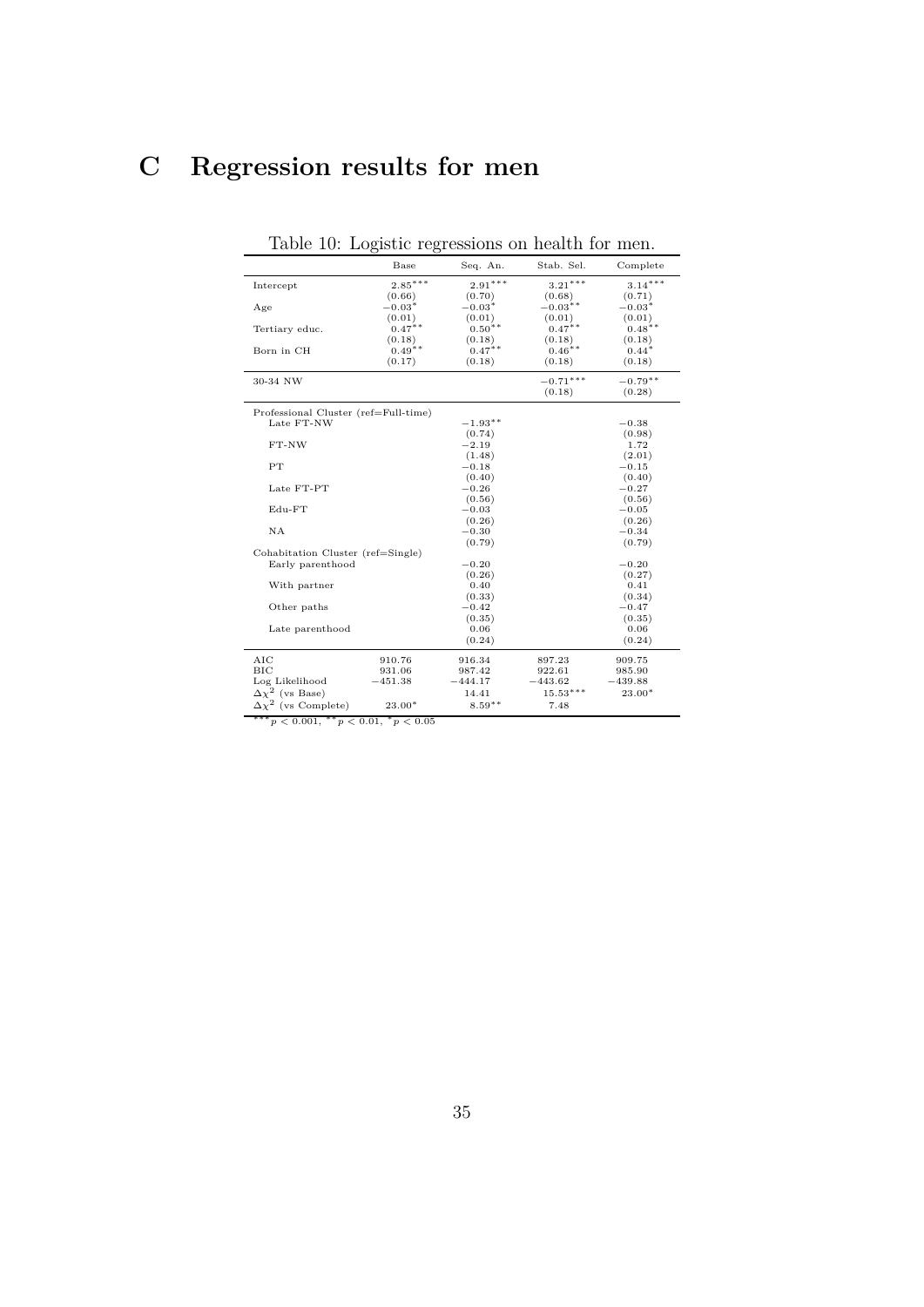# **C Regression results for men**

|                                      | Base      | Seq. An.  | Stab. Sel. | Complete   |
|--------------------------------------|-----------|-----------|------------|------------|
| Intercept                            | $2.85***$ | $2.91***$ | $3.21***$  | $3.14***$  |
|                                      | (0.66)    | (0.70)    | (0.68)     | (0.71)     |
| Age                                  | $-0.03*$  | $-0.03*$  | $-0.03$ ** | $-0.03*$   |
|                                      | (0.01)    | (0.01)    | (0.01)     | (0.01)     |
| Tertiary educ.                       | $0.47**$  | $0.50**$  | $0.47***$  | $0.48**$   |
|                                      | (0.18)    | (0.18)    | (0.18)     | (0.18)     |
| Born in CH                           | $0.49**$  | $0.47***$ | $0.46**$   | $0.44*$    |
|                                      | (0.17)    | (0.18)    | (0.18)     | (0.18)     |
| 30-34 NW                             |           |           | $-0.71***$ | $-0.79***$ |
|                                      |           |           | (0.18)     | (0.28)     |
| Professional Cluster (ref=Full-time) |           |           |            |            |
| Late FT-NW                           |           | $-1.93**$ |            | $-0.38$    |
|                                      |           | (0.74)    |            | (0.98)     |
| $FT-NW$                              |           | $-2.19$   |            | 1.72       |
|                                      |           | (1.48)    |            | (2.01)     |
| PT                                   |           | $-0.18$   |            | $-0.15$    |
|                                      |           | (0.40)    |            | (0.40)     |
| Late FT-PT                           |           | $-0.26$   |            | $-0.27$    |
|                                      |           | (0.56)    |            | (0.56)     |
| Edu-FT                               |           | $-0.03$   |            | $-0.05$    |
|                                      |           | (0.26)    |            | (0.26)     |
| NA                                   |           | $-0.30$   |            | $-0.34$    |
|                                      |           | (0.79)    |            | (0.79)     |
| Cohabitation Cluster (ref=Single)    |           |           |            |            |
| Early parenthood                     |           | $-0.20$   |            | $-0.20$    |
|                                      |           | (0.26)    |            | (0.27)     |
| With partner                         |           | 0.40      |            | 0.41       |
|                                      |           | (0.33)    |            | (0.34)     |
| Other paths                          |           | $-0.42$   |            | $-0.47$    |
|                                      |           | (0.35)    |            | (0.35)     |
| Late parenthood                      |           | 0.06      |            | 0.06       |
|                                      |           | (0.24)    |            | (0.24)     |
| AIC                                  | 910.76    | 916.34    | 897.23     | 909.75     |
| BIC                                  | 931.06    | 987.42    | 922.61     | 985.90     |
| Log Likelihood                       | $-451.38$ | $-444.17$ | $-443.62$  | $-439.88$  |
| $\Delta\chi^2$ (vs Base)             |           | 14.41     | $15.53***$ | 23.00*     |
| $\Delta\chi^2$ (vs Complete)         | $23.00*$  | $8.59***$ | 7.48       |            |

Table 10: Logistic regressions on health for men.

∗∗∗*p <* 0*.*001, ∗∗*p <* 0*.*01, <sup>∗</sup>*p <* 0*.*05